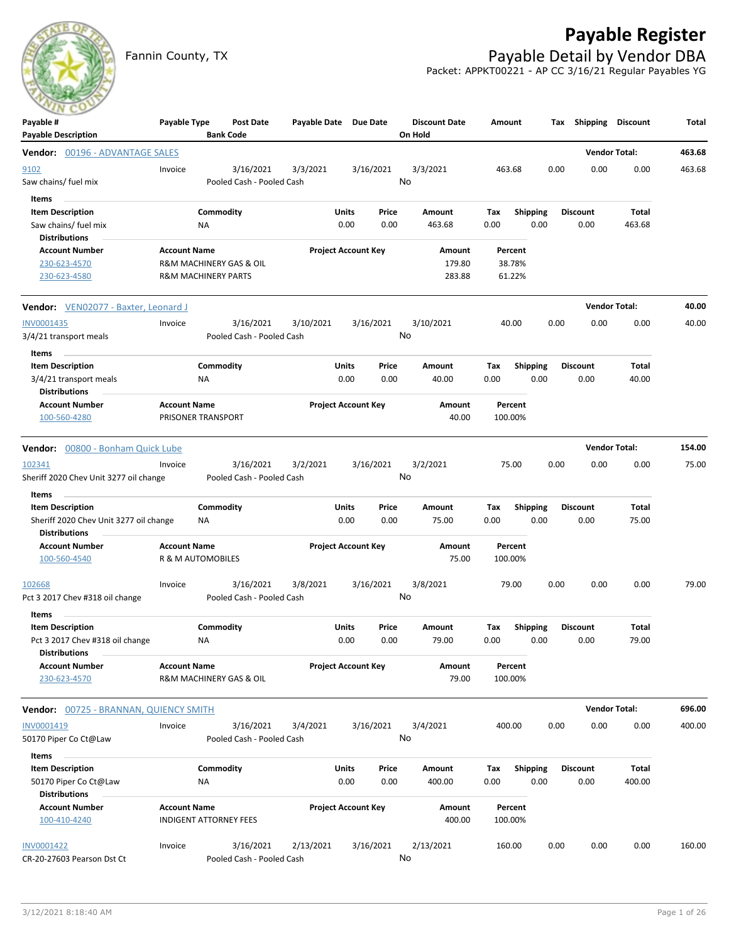# **Payable Register**



Fannin County, TX **Payable Detail by Vendor DBA** Packet: APPKT00221 - AP CC 3/16/21 Regular Payables YG

| Payable #<br><b>Payable Description</b>                                                     | Payable Type                                                                     | <b>Bank Code</b> | Post Date                              | Payable Date Due Date |                            |               | <b>Discount Date</b><br>On Hold | Amount                      |                         | Тах  | Shipping                | Discount               | Total  |
|---------------------------------------------------------------------------------------------|----------------------------------------------------------------------------------|------------------|----------------------------------------|-----------------------|----------------------------|---------------|---------------------------------|-----------------------------|-------------------------|------|-------------------------|------------------------|--------|
| Vendor: 00196 - ADVANTAGE SALES                                                             |                                                                                  |                  |                                        |                       |                            |               |                                 |                             |                         |      |                         | <b>Vendor Total:</b>   | 463.68 |
| 9102<br>Saw chains/ fuel mix                                                                | Invoice                                                                          |                  | 3/16/2021<br>Pooled Cash - Pooled Cash | 3/3/2021              |                            | 3/16/2021     | 3/3/2021<br>No                  | 463.68                      |                         | 0.00 | 0.00                    | 0.00                   | 463.68 |
| Items<br><b>Item Description</b><br>Saw chains/ fuel mix                                    |                                                                                  | Commodity<br>ΝA  |                                        |                       | <b>Units</b><br>0.00       | Price<br>0.00 | Amount<br>463.68                | Тах<br>0.00                 | <b>Shipping</b><br>0.00 |      | <b>Discount</b><br>0.00 | <b>Total</b><br>463.68 |        |
| Distributions<br><b>Account Number</b><br>230-623-4570<br>230-623-4580                      | <b>Account Name</b><br>R&M MACHINERY GAS & OIL<br><b>R&amp;M MACHINERY PARTS</b> |                  |                                        |                       | <b>Project Account Key</b> |               | Amount<br>179.80<br>283.88      | Percent<br>38.78%<br>61.22% |                         |      |                         |                        |        |
| <b>Vendor:</b> VEN02077 - Baxter, Leonard J                                                 |                                                                                  |                  |                                        |                       |                            |               |                                 |                             |                         |      |                         | <b>Vendor Total:</b>   | 40.00  |
| INV0001435<br>3/4/21 transport meals                                                        | Invoice                                                                          |                  | 3/16/2021<br>Pooled Cash - Pooled Cash | 3/10/2021             |                            | 3/16/2021     | 3/10/2021<br>No                 | 40.00                       |                         | 0.00 | 0.00                    | 0.00                   | 40.00  |
| Items<br><b>Item Description</b><br>3/4/21 transport meals<br><b>Distributions</b>          |                                                                                  | Commodity<br>ΝA  |                                        |                       | Units<br>0.00              | Price<br>0.00 | Amount<br>40.00                 | Tax<br>0.00                 | <b>Shipping</b><br>0.00 |      | <b>Discount</b><br>0.00 | Total<br>40.00         |        |
| <b>Account Number</b><br>100-560-4280                                                       | <b>Account Name</b><br>PRISONER TRANSPORT                                        |                  |                                        |                       | <b>Project Account Key</b> |               | Amount<br>40.00                 | Percent<br>100.00%          |                         |      |                         |                        |        |
| Vendor: 00800 - Bonham Quick Lube                                                           |                                                                                  |                  |                                        |                       |                            |               |                                 |                             |                         |      |                         | <b>Vendor Total:</b>   | 154.00 |
| 102341<br>Sheriff 2020 Chev Unit 3277 oil change                                            | Invoice                                                                          |                  | 3/16/2021<br>Pooled Cash - Pooled Cash | 3/2/2021              |                            | 3/16/2021     | 3/2/2021<br>No                  | 75.00                       |                         | 0.00 | 0.00                    | 0.00                   | 75.00  |
| Items<br><b>Item Description</b><br>Sheriff 2020 Chev Unit 3277 oil change                  |                                                                                  | Commodity<br>ΝA  |                                        |                       | Units<br>0.00              | Price<br>0.00 | Amount<br>75.00                 | Tax<br>0.00                 | <b>Shipping</b><br>0.00 |      | <b>Discount</b><br>0.00 | Total<br>75.00         |        |
| <b>Distributions</b><br><b>Account Number</b><br>100-560-4540                               | <b>Account Name</b><br>R & M AUTOMOBILES                                         |                  |                                        |                       | <b>Project Account Key</b> |               | Amount<br>75.00                 | Percent<br>100.00%          |                         |      |                         |                        |        |
| 102668<br>Pct 3 2017 Chev #318 oil change                                                   | Invoice                                                                          |                  | 3/16/2021<br>Pooled Cash - Pooled Cash | 3/8/2021              |                            | 3/16/2021     | 3/8/2021<br>No                  | 79.00                       |                         | 0.00 | 0.00                    | 0.00                   | 79.00  |
| Items<br><b>Item Description</b><br>Pct 3 2017 Chev #318 oil change<br><b>Distributions</b> |                                                                                  | Commodity<br>ΝA  |                                        |                       | Units<br>0.00              | Price<br>0.00 | Amount<br>79.00                 | Тах<br>0.00                 | <b>Shipping</b><br>0.00 |      | <b>Discount</b><br>0.00 | Total<br>79.00         |        |
| <b>Account Number</b><br>230-623-4570                                                       | <b>Account Name</b><br>R&M MACHINERY GAS & OIL                                   |                  |                                        |                       | <b>Project Account Key</b> |               | Amount<br>79.00                 | Percent<br>100.00%          |                         |      |                         |                        |        |
| <b>Vendor:</b> 00725 - BRANNAN, QUIENCY SMITH                                               |                                                                                  |                  |                                        |                       |                            |               |                                 |                             |                         |      |                         | <b>Vendor Total:</b>   | 696.00 |
| INV0001419<br>50170 Piper Co Ct@Law                                                         | Invoice                                                                          |                  | 3/16/2021<br>Pooled Cash - Pooled Cash | 3/4/2021              |                            | 3/16/2021     | 3/4/2021<br>No                  | 400.00                      |                         | 0.00 | 0.00                    | 0.00                   | 400.00 |
| Items<br><b>Item Description</b><br>50170 Piper Co Ct@Law<br><b>Distributions</b>           |                                                                                  | Commodity<br>ΝA  |                                        |                       | Units<br>0.00              | Price<br>0.00 | Amount<br>400.00                | Tax<br>0.00                 | <b>Shipping</b><br>0.00 |      | <b>Discount</b><br>0.00 | <b>Total</b><br>400.00 |        |
| <b>Account Number</b><br>100-410-4240                                                       | <b>Account Name</b><br><b>INDIGENT ATTORNEY FEES</b>                             |                  |                                        |                       | <b>Project Account Key</b> |               | Amount<br>400.00                | Percent<br>100.00%          |                         |      |                         |                        |        |
| <b>INV0001422</b><br>CR-20-27603 Pearson Dst Ct                                             | Invoice                                                                          |                  | 3/16/2021<br>Pooled Cash - Pooled Cash | 2/13/2021             |                            | 3/16/2021     | 2/13/2021<br>No                 | 160.00                      |                         | 0.00 | 0.00                    | 0.00                   | 160.00 |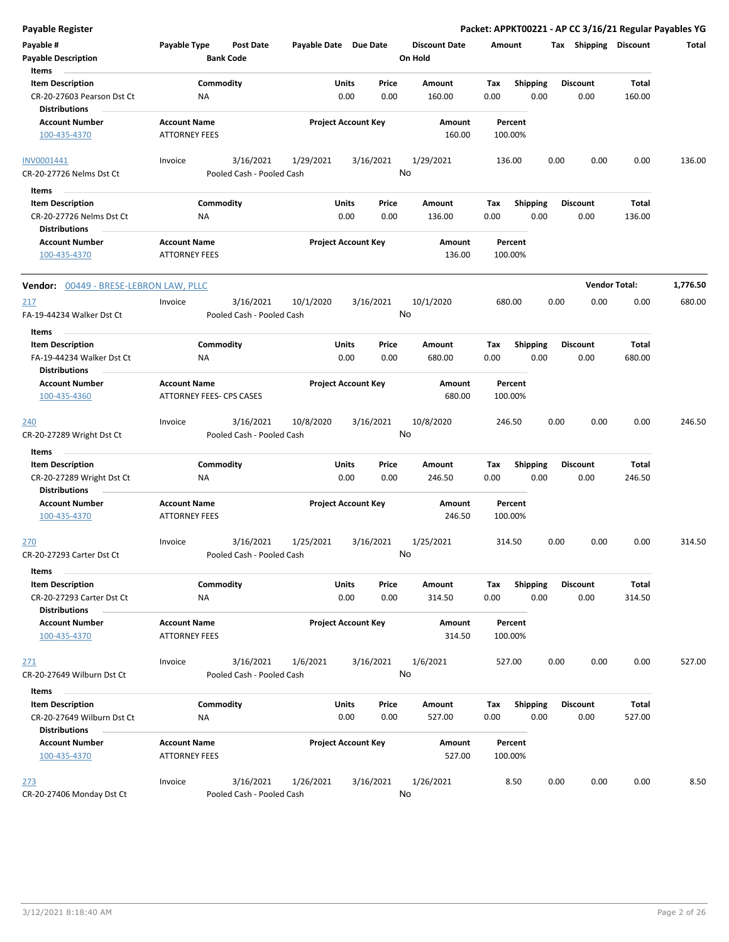| Payable #<br><b>Payable Description</b><br>Items                              | Payable Type                                | <b>Post Date</b><br><b>Bank Code</b>   | Payable Date Due Date |                                | <b>Discount Date</b><br>On Hold | Amount             |                  |                 |      | Tax Shipping Discount | Total    |
|-------------------------------------------------------------------------------|---------------------------------------------|----------------------------------------|-----------------------|--------------------------------|---------------------------------|--------------------|------------------|-----------------|------|-----------------------|----------|
| <b>Item Description</b><br>CR-20-27603 Pearson Dst Ct<br><b>Distributions</b> | ΝA                                          | Commodity                              |                       | Units<br>Price<br>0.00<br>0.00 | Amount<br>160.00                | Tax<br>0.00        | Shipping<br>0.00 | <b>Discount</b> | 0.00 | Total<br>160.00       |          |
| <b>Account Number</b><br>100-435-4370                                         | <b>Account Name</b><br><b>ATTORNEY FEES</b> |                                        |                       | <b>Project Account Key</b>     | Amount<br>160.00                | Percent<br>100.00% |                  |                 |      |                       |          |
| INV0001441<br>CR-20-27726 Nelms Dst Ct                                        | Invoice                                     | 3/16/2021<br>Pooled Cash - Pooled Cash | 1/29/2021             | 3/16/2021                      | 1/29/2021<br>No                 | 136.00             |                  | 0.00            | 0.00 | 0.00                  | 136.00   |
| Items                                                                         |                                             |                                        |                       |                                |                                 |                    |                  |                 |      |                       |          |
| <b>Item Description</b>                                                       |                                             | Commodity                              |                       | Units<br>Price                 | <b>Amount</b>                   | Tax                | Shipping         | <b>Discount</b> |      | Total                 |          |
| CR-20-27726 Nelms Dst Ct                                                      | ΝA                                          |                                        |                       | 0.00<br>0.00                   | 136.00                          | 0.00               | 0.00             |                 | 0.00 | 136.00                |          |
| <b>Distributions</b>                                                          |                                             |                                        |                       |                                |                                 |                    |                  |                 |      |                       |          |
| <b>Account Number</b><br>100-435-4370                                         | <b>Account Name</b><br><b>ATTORNEY FEES</b> |                                        |                       | <b>Project Account Key</b>     | Amount<br>136.00                | Percent<br>100.00% |                  |                 |      |                       |          |
| Vendor: 00449 - BRESE-LEBRON LAW, PLLC                                        |                                             |                                        |                       |                                |                                 |                    |                  |                 |      | <b>Vendor Total:</b>  | 1,776.50 |
| 217<br>FA-19-44234 Walker Dst Ct                                              | Invoice                                     | 3/16/2021<br>Pooled Cash - Pooled Cash | 10/1/2020             | 3/16/2021                      | 10/1/2020<br>No                 | 680.00             |                  | 0.00            | 0.00 | 0.00                  | 680.00   |
| Items                                                                         |                                             |                                        |                       |                                |                                 |                    |                  |                 |      |                       |          |
| <b>Item Description</b>                                                       |                                             | Commodity                              |                       | Units<br>Price                 | Amount                          | Tax                | Shipping         | <b>Discount</b> |      | Total                 |          |
| FA-19-44234 Walker Dst Ct                                                     | ΝA                                          |                                        |                       | 0.00<br>0.00                   | 680.00                          | 0.00               | 0.00             |                 | 0.00 | 680.00                |          |
| <b>Distributions</b>                                                          |                                             |                                        |                       |                                |                                 |                    |                  |                 |      |                       |          |
| <b>Account Number</b>                                                         | <b>Account Name</b>                         |                                        |                       | <b>Project Account Key</b>     | Amount                          | Percent            |                  |                 |      |                       |          |
| 100-435-4360                                                                  | ATTORNEY FEES- CPS CASES                    |                                        |                       |                                | 680.00                          | 100.00%            |                  |                 |      |                       |          |
| <u> 240</u><br>CR-20-27289 Wright Dst Ct                                      | Invoice                                     | 3/16/2021<br>Pooled Cash - Pooled Cash | 10/8/2020             | 3/16/2021                      | 10/8/2020<br>No                 | 246.50             |                  | 0.00            | 0.00 | 0.00                  | 246.50   |
| Items                                                                         |                                             |                                        |                       |                                |                                 |                    |                  |                 |      |                       |          |
| <b>Item Description</b>                                                       |                                             | Commodity                              |                       | Units<br>Price                 | Amount                          | Tax                | <b>Shipping</b>  | <b>Discount</b> |      | Total                 |          |
| CR-20-27289 Wright Dst Ct<br><b>Distributions</b>                             | <b>NA</b>                                   |                                        |                       | 0.00<br>0.00                   | 246.50                          | 0.00               | 0.00             |                 | 0.00 | 246.50                |          |
| <b>Account Number</b><br>100-435-4370                                         | <b>Account Name</b><br><b>ATTORNEY FEES</b> |                                        |                       | <b>Project Account Key</b>     | Amount<br>246.50                | Percent<br>100.00% |                  |                 |      |                       |          |
| <u>270</u><br>CR-20-27293 Carter Dst Ct                                       | Invoice                                     | 3/16/2021<br>Pooled Cash - Pooled Cash | 1/25/2021             | 3/16/2021                      | 1/25/2021<br>No                 | 314.50             |                  | 0.00            | 0.00 | 0.00                  | 314.50   |
| Items                                                                         |                                             |                                        |                       |                                |                                 |                    |                  |                 |      |                       |          |
| <b>Item Description</b>                                                       |                                             | Commodity                              |                       | Units<br>Price                 | Amount                          | Tax                | <b>Shipping</b>  | <b>Discount</b> |      | Total                 |          |
| CR-20-27293 Carter Dst Ct                                                     | NA                                          |                                        |                       | 0.00<br>0.00                   | 314.50                          | 0.00               | 0.00             |                 | 0.00 | 314.50                |          |
| <b>Distributions</b>                                                          |                                             |                                        |                       |                                |                                 |                    |                  |                 |      |                       |          |
| <b>Account Number</b><br>100-435-4370                                         | <b>Account Name</b><br><b>ATTORNEY FEES</b> |                                        |                       | <b>Project Account Key</b>     | Amount<br>314.50                | Percent<br>100.00% |                  |                 |      |                       |          |
| 271                                                                           | Invoice                                     | 3/16/2021                              | 1/6/2021              | 3/16/2021                      | 1/6/2021                        | 527.00             |                  | 0.00            | 0.00 | 0.00                  | 527.00   |
| CR-20-27649 Wilburn Dst Ct                                                    |                                             | Pooled Cash - Pooled Cash              |                       |                                | No                              |                    |                  |                 |      |                       |          |
| Items                                                                         |                                             |                                        |                       |                                |                                 |                    |                  |                 |      |                       |          |
| <b>Item Description</b>                                                       |                                             | Commodity                              |                       | Units<br>Price                 | Amount                          | Tax                | <b>Shipping</b>  | <b>Discount</b> |      | Total                 |          |
| CR-20-27649 Wilburn Dst Ct                                                    | ΝA                                          |                                        |                       | 0.00<br>0.00                   | 527.00                          | 0.00               | 0.00             |                 | 0.00 | 527.00                |          |
| <b>Distributions</b>                                                          |                                             |                                        |                       |                                |                                 |                    |                  |                 |      |                       |          |
| <b>Account Number</b>                                                         | <b>Account Name</b>                         |                                        |                       | <b>Project Account Key</b>     | Amount                          | Percent            |                  |                 |      |                       |          |
| 100-435-4370                                                                  | <b>ATTORNEY FEES</b>                        |                                        |                       |                                | 527.00                          | 100.00%            |                  |                 |      |                       |          |
| 273                                                                           | Invoice                                     | 3/16/2021                              | 1/26/2021             | 3/16/2021                      | 1/26/2021                       | 8.50               |                  | 0.00            | 0.00 | 0.00                  | 8.50     |
| CR-20-27406 Monday Dst Ct                                                     |                                             | Pooled Cash - Pooled Cash              |                       |                                | No                              |                    |                  |                 |      |                       |          |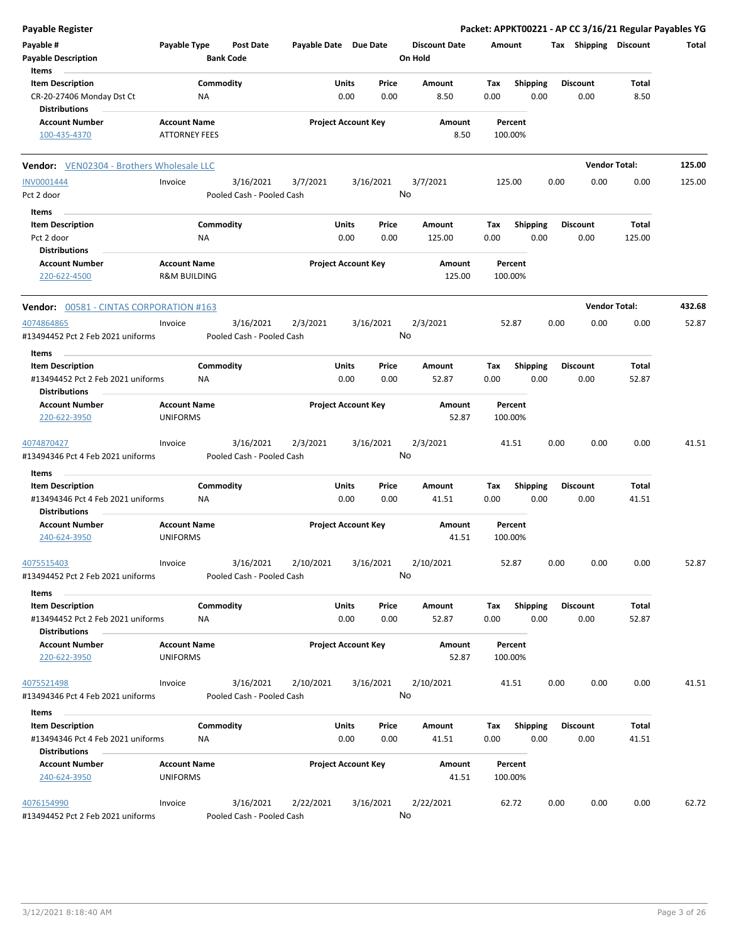| <b>Payable Register</b>                                      |                                                |                  |                                        |                       |               |                            |                                 |             |                    |      |                         | Packet: APPKT00221 - AP CC 3/16/21 Regular Payables YG |        |
|--------------------------------------------------------------|------------------------------------------------|------------------|----------------------------------------|-----------------------|---------------|----------------------------|---------------------------------|-------------|--------------------|------|-------------------------|--------------------------------------------------------|--------|
| Payable #<br><b>Payable Description</b>                      | Payable Type                                   | <b>Bank Code</b> | <b>Post Date</b>                       | Payable Date Due Date |               |                            | <b>Discount Date</b><br>On Hold | Amount      |                    |      | Tax Shipping Discount   |                                                        | Total  |
| Items                                                        |                                                |                  |                                        |                       |               |                            |                                 |             |                    |      |                         |                                                        |        |
| <b>Item Description</b>                                      |                                                | Commodity        |                                        |                       | Units         | Price                      | Amount                          | Tax         | Shipping           |      | <b>Discount</b>         | Total                                                  |        |
| CR-20-27406 Monday Dst Ct<br><b>Distributions</b>            |                                                | NA               |                                        |                       | 0.00          | 0.00                       | 8.50                            | 0.00        | 0.00               |      | 0.00                    | 8.50                                                   |        |
| <b>Account Number</b>                                        | <b>Account Name</b>                            |                  |                                        |                       |               | <b>Project Account Key</b> | Amount                          |             | Percent            |      |                         |                                                        |        |
| 100-435-4370                                                 | <b>ATTORNEY FEES</b>                           |                  |                                        |                       |               |                            | 8.50                            |             | 100.00%            |      |                         |                                                        |        |
| <b>Vendor:</b> VEN02304 - Brothers Wholesale LLC             |                                                |                  |                                        |                       |               |                            |                                 |             |                    |      |                         | <b>Vendor Total:</b>                                   | 125.00 |
| <b>INV0001444</b>                                            | Invoice                                        |                  | 3/16/2021                              | 3/7/2021              |               | 3/16/2021                  | 3/7/2021                        |             | 125.00             | 0.00 | 0.00                    | 0.00                                                   | 125.00 |
| Pct 2 door                                                   |                                                |                  | Pooled Cash - Pooled Cash              |                       |               | No                         |                                 |             |                    |      |                         |                                                        |        |
| Items                                                        |                                                |                  |                                        |                       |               |                            |                                 |             |                    |      |                         |                                                        |        |
| <b>Item Description</b>                                      |                                                | Commodity        |                                        |                       | Units         | Price                      | Amount                          | Tax         | <b>Shipping</b>    |      | <b>Discount</b>         | Total                                                  |        |
| Pct 2 door                                                   |                                                | ΝA               |                                        |                       | 0.00          | 0.00                       | 125.00                          | 0.00        | 0.00               |      | 0.00                    | 125.00                                                 |        |
| <b>Distributions</b>                                         |                                                |                  |                                        |                       |               |                            |                                 |             |                    |      |                         |                                                        |        |
| <b>Account Number</b><br>220-622-4500                        | <b>Account Name</b><br><b>R&amp;M BUILDING</b> |                  |                                        |                       |               | <b>Project Account Key</b> | Amount<br>125.00                |             | Percent<br>100.00% |      |                         |                                                        |        |
| <b>Vendor: 00581 - CINTAS CORPORATION #163</b>               |                                                |                  |                                        |                       |               |                            |                                 |             |                    |      |                         | <b>Vendor Total:</b>                                   | 432.68 |
| 4074864865                                                   | Invoice                                        |                  | 3/16/2021                              | 2/3/2021              |               | 3/16/2021                  | 2/3/2021                        |             | 52.87              | 0.00 | 0.00                    | 0.00                                                   | 52.87  |
| #13494452 Pct 2 Feb 2021 uniforms<br>Items                   |                                                |                  | Pooled Cash - Pooled Cash              |                       |               | No                         |                                 |             |                    |      |                         |                                                        |        |
| <b>Item Description</b>                                      |                                                | Commodity        |                                        |                       | Units         | Price                      | Amount                          | Tax         | <b>Shipping</b>    |      | <b>Discount</b>         | Total                                                  |        |
| #13494452 Pct 2 Feb 2021 uniforms                            |                                                | ΝA               |                                        |                       | 0.00          | 0.00                       | 52.87                           | 0.00        | 0.00               |      | 0.00                    | 52.87                                                  |        |
| <b>Distributions</b><br><b>Account Number</b>                | <b>Account Name</b>                            |                  |                                        |                       |               | <b>Project Account Key</b> | Amount                          |             | Percent            |      |                         |                                                        |        |
| 220-622-3950                                                 | <b>UNIFORMS</b>                                |                  |                                        |                       |               |                            | 52.87                           |             | 100.00%            |      |                         |                                                        |        |
| 4074870427                                                   | Invoice                                        |                  | 3/16/2021                              | 2/3/2021              |               | 3/16/2021                  | 2/3/2021                        |             | 41.51              | 0.00 | 0.00                    | 0.00                                                   | 41.51  |
| #13494346 Pct 4 Feb 2021 uniforms                            |                                                |                  | Pooled Cash - Pooled Cash              |                       |               | No                         |                                 |             |                    |      |                         |                                                        |        |
| Items                                                        |                                                |                  |                                        |                       |               |                            |                                 |             |                    |      |                         |                                                        |        |
| <b>Item Description</b>                                      |                                                | Commodity        |                                        |                       | Units         | Price                      | Amount                          | Tax         | <b>Shipping</b>    |      | <b>Discount</b>         | Total                                                  |        |
| #13494346 Pct 4 Feb 2021 uniforms<br><b>Distributions</b>    |                                                | NA               |                                        |                       | 0.00          | 0.00                       | 41.51                           | 0.00        | 0.00               |      | 0.00                    | 41.51                                                  |        |
| <b>Account Number</b><br>240-624-3950                        | <b>Account Name</b><br><b>UNIFORMS</b>         |                  |                                        |                       |               | <b>Project Account Key</b> | Amount<br>41.51                 |             | Percent<br>100.00% |      |                         |                                                        |        |
| 4075515403<br>#13494452 Pct 2 Feb 2021 uniforms              | Invoice                                        |                  | 3/16/2021<br>Pooled Cash - Pooled Cash | 2/10/2021             |               | 3/16/2021<br>No            | 2/10/2021                       |             | 52.87              | 0.00 | 0.00                    | 0.00                                                   | 52.87  |
|                                                              |                                                |                  |                                        |                       |               |                            |                                 |             |                    |      |                         |                                                        |        |
| Items                                                        |                                                |                  |                                        |                       |               |                            |                                 |             |                    |      |                         |                                                        |        |
| <b>Item Description</b><br>#13494452 Pct 2 Feb 2021 uniforms |                                                | Commodity<br>ΝA  |                                        |                       | Units<br>0.00 | Price<br>0.00              | Amount<br>52.87                 | Tax<br>0.00 | Shipping<br>0.00   |      | <b>Discount</b><br>0.00 | Total<br>52.87                                         |        |
| <b>Distributions</b><br><b>Account Number</b>                | <b>Account Name</b>                            |                  |                                        |                       |               | <b>Project Account Key</b> | Amount                          |             | Percent            |      |                         |                                                        |        |
| 220-622-3950                                                 | <b>UNIFORMS</b>                                |                  |                                        |                       |               |                            | 52.87                           |             | 100.00%            |      |                         |                                                        |        |
| 4075521498                                                   | Invoice                                        |                  | 3/16/2021                              | 2/10/2021             |               | 3/16/2021                  | 2/10/2021                       |             | 41.51              | 0.00 | 0.00                    | 0.00                                                   | 41.51  |
| #13494346 Pct 4 Feb 2021 uniforms                            |                                                |                  | Pooled Cash - Pooled Cash              |                       |               | No                         |                                 |             |                    |      |                         |                                                        |        |
| Items                                                        |                                                |                  |                                        |                       |               |                            |                                 |             |                    |      |                         |                                                        |        |
| <b>Item Description</b>                                      |                                                | Commodity        |                                        |                       | <b>Units</b>  | Price                      | Amount                          | Tax         | Shipping           |      | <b>Discount</b>         | Total                                                  |        |
| #13494346 Pct 4 Feb 2021 uniforms<br><b>Distributions</b>    |                                                | NA               |                                        |                       | 0.00          | 0.00                       | 41.51                           | 0.00        | 0.00               |      | 0.00                    | 41.51                                                  |        |
| <b>Account Number</b>                                        | <b>Account Name</b>                            |                  |                                        |                       |               | <b>Project Account Key</b> | Amount                          |             | Percent            |      |                         |                                                        |        |
| 240-624-3950                                                 | <b>UNIFORMS</b>                                |                  |                                        |                       |               |                            | 41.51                           |             | 100.00%            |      |                         |                                                        |        |
| 4076154990                                                   | Invoice                                        |                  | 3/16/2021                              | 2/22/2021             |               | 3/16/2021                  | 2/22/2021                       |             | 62.72              | 0.00 | 0.00                    | 0.00                                                   | 62.72  |
| #13494452 Pct 2 Feb 2021 uniforms                            |                                                |                  | Pooled Cash - Pooled Cash              |                       |               | No                         |                                 |             |                    |      |                         |                                                        |        |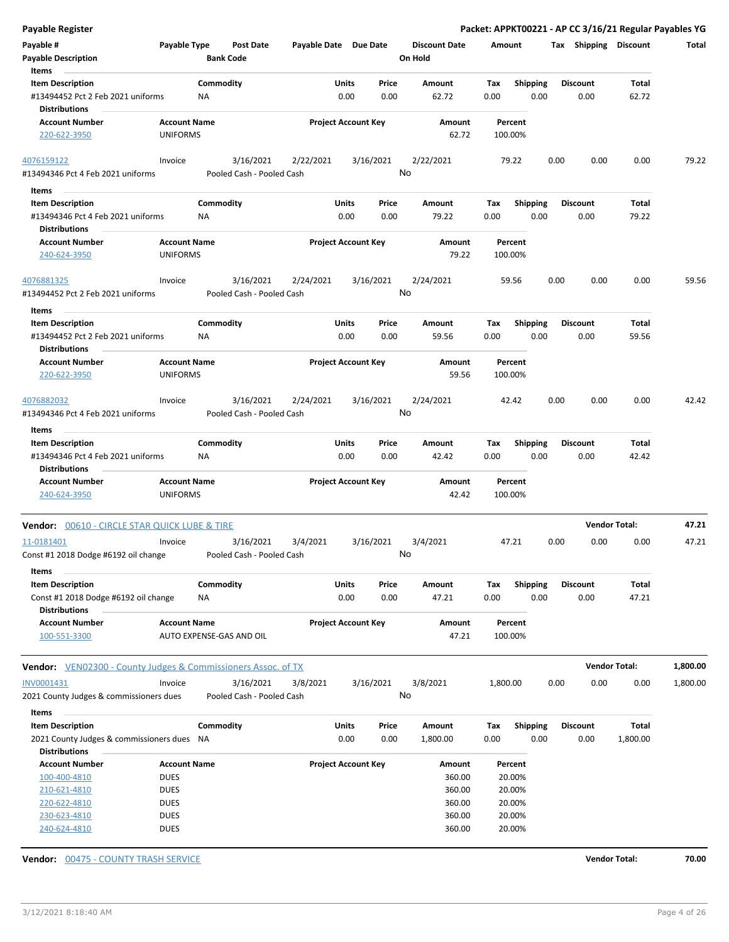| <b>Payable Register</b>                                                              |                                        |                                        |                       |                            |                 |                                 |                    |                         |      |                         | Packet: APPKT00221 - AP CC 3/16/21 Regular Payables YG |          |
|--------------------------------------------------------------------------------------|----------------------------------------|----------------------------------------|-----------------------|----------------------------|-----------------|---------------------------------|--------------------|-------------------------|------|-------------------------|--------------------------------------------------------|----------|
| Payable #<br><b>Payable Description</b>                                              | Payable Type                           | Post Date<br><b>Bank Code</b>          | Payable Date Due Date |                            |                 | <b>Discount Date</b><br>On Hold | Amount             |                         |      | Tax Shipping Discount   |                                                        | Total    |
| Items                                                                                |                                        |                                        |                       |                            |                 |                                 |                    |                         |      |                         |                                                        |          |
| <b>Item Description</b><br>#13494452 Pct 2 Feb 2021 uniforms<br><b>Distributions</b> |                                        | Commodity<br><b>NA</b>                 |                       | Units<br>0.00              | Price<br>0.00   | Amount<br>62.72                 | Tax<br>0.00        | <b>Shipping</b><br>0.00 |      | <b>Discount</b><br>0.00 | Total<br>62.72                                         |          |
| <b>Account Number</b><br>220-622-3950                                                | <b>Account Name</b><br><b>UNIFORMS</b> |                                        |                       | <b>Project Account Key</b> |                 | Amount<br>62.72                 | Percent<br>100.00% |                         |      |                         |                                                        |          |
| 4076159122                                                                           | Invoice                                | 3/16/2021                              |                       |                            | 3/16/2021       | 2/22/2021                       | 79.22              |                         | 0.00 | 0.00                    | 0.00                                                   | 79.22    |
| #13494346 Pct 4 Feb 2021 uniforms                                                    |                                        | Pooled Cash - Pooled Cash              | 2/22/2021             |                            | No              |                                 |                    |                         |      |                         |                                                        |          |
|                                                                                      |                                        |                                        |                       |                            |                 |                                 |                    |                         |      |                         |                                                        |          |
| Items<br><b>Item Description</b>                                                     |                                        | Commodity                              |                       | Units                      | Price           | Amount                          | Tax                | <b>Shipping</b>         |      | <b>Discount</b>         | Total                                                  |          |
| #13494346 Pct 4 Feb 2021 uniforms<br><b>Distributions</b>                            |                                        | ΝA                                     |                       | 0.00                       | 0.00            | 79.22                           | 0.00               | 0.00                    |      | 0.00                    | 79.22                                                  |          |
| <b>Account Number</b>                                                                | <b>Account Name</b>                    |                                        |                       | <b>Project Account Key</b> |                 | Amount                          | Percent            |                         |      |                         |                                                        |          |
| 240-624-3950                                                                         | <b>UNIFORMS</b>                        |                                        |                       |                            |                 | 79.22                           | 100.00%            |                         |      |                         |                                                        |          |
| 4076881325<br>#13494452 Pct 2 Feb 2021 uniforms                                      | Invoice                                | 3/16/2021<br>Pooled Cash - Pooled Cash | 2/24/2021             |                            | 3/16/2021<br>No | 2/24/2021                       | 59.56              |                         | 0.00 | 0.00                    | 0.00                                                   | 59.56    |
| Items                                                                                |                                        |                                        |                       |                            |                 |                                 |                    |                         |      |                         |                                                        |          |
| <b>Item Description</b><br>#13494452 Pct 2 Feb 2021 uniforms                         |                                        | Commodity<br><b>NA</b>                 |                       | Units<br>0.00              | Price<br>0.00   | Amount<br>59.56                 | Tax<br>0.00        | <b>Shipping</b><br>0.00 |      | <b>Discount</b><br>0.00 | Total<br>59.56                                         |          |
| <b>Distributions</b><br><b>Account Number</b>                                        | <b>Account Name</b>                    |                                        |                       | <b>Project Account Key</b> |                 | Amount                          | Percent            |                         |      |                         |                                                        |          |
| 220-622-3950                                                                         | <b>UNIFORMS</b>                        |                                        |                       |                            |                 | 59.56                           | 100.00%            |                         |      |                         |                                                        |          |
| 4076882032<br>#13494346 Pct 4 Feb 2021 uniforms                                      | Invoice                                | 3/16/2021<br>Pooled Cash - Pooled Cash | 2/24/2021             |                            | 3/16/2021<br>No | 2/24/2021                       | 42.42              |                         | 0.00 | 0.00                    | 0.00                                                   | 42.42    |
| Items                                                                                |                                        |                                        |                       |                            |                 |                                 |                    |                         |      |                         |                                                        |          |
| <b>Item Description</b>                                                              |                                        | Commodity                              |                       | <b>Units</b>               | Price           | Amount                          | Tax                | <b>Shipping</b>         |      | <b>Discount</b>         | Total                                                  |          |
| #13494346 Pct 4 Feb 2021 uniforms<br><b>Distributions</b>                            |                                        | <b>NA</b>                              |                       | 0.00                       | 0.00            | 42.42                           | 0.00               | 0.00                    |      | 0.00                    | 42.42                                                  |          |
| <b>Account Number</b><br>240-624-3950                                                | <b>Account Name</b><br><b>UNIFORMS</b> |                                        |                       | <b>Project Account Key</b> |                 | Amount<br>42.42                 | Percent<br>100.00% |                         |      |                         |                                                        |          |
| <b>Vendor: 00610 - CIRCLE STAR QUICK LUBE &amp; TIRE</b>                             |                                        |                                        |                       |                            |                 |                                 |                    |                         |      | <b>Vendor Total:</b>    |                                                        | 47.21    |
| 11-0181401                                                                           | Invoice                                | 3/16/2021                              | 3/4/2021              |                            | 3/16/2021       | 3/4/2021                        | 47.21              |                         | 0.00 | 0.00                    | 0.00                                                   | 47.21    |
| Const #1 2018 Dodge #6192 oil change<br>Items                                        |                                        | Pooled Cash - Pooled Cash              |                       |                            | No              |                                 |                    |                         |      |                         |                                                        |          |
| <b>Item Description</b>                                                              |                                        | Commodity                              |                       | Units                      | Price           | Amount                          | Тах                | Shipping                |      | <b>Discount</b>         | Total                                                  |          |
| Const #1 2018 Dodge #6192 oil change<br><b>Distributions</b>                         |                                        | ΝA                                     |                       | 0.00                       | 0.00            | 47.21                           | 0.00               | 0.00                    |      | 0.00                    | 47.21                                                  |          |
| <b>Account Number</b><br>100-551-3300                                                | <b>Account Name</b>                    | AUTO EXPENSE-GAS AND OIL               |                       | <b>Project Account Key</b> |                 | Amount<br>47.21                 | Percent<br>100.00% |                         |      |                         |                                                        |          |
| <b>Vendor:</b> VEN02300 - County Judges & Commissioners Assoc. of TX                 |                                        |                                        |                       |                            |                 |                                 |                    |                         |      | <b>Vendor Total:</b>    |                                                        | 1,800.00 |
| INV0001431                                                                           | Invoice                                | 3/16/2021                              | 3/8/2021              |                            | 3/16/2021       | 3/8/2021                        | 1,800.00           |                         | 0.00 | 0.00                    | 0.00                                                   | 1,800.00 |
| 2021 County Judges & commissioners dues<br>Items                                     |                                        | Pooled Cash - Pooled Cash              |                       |                            | No              |                                 |                    |                         |      |                         |                                                        |          |
| <b>Item Description</b>                                                              |                                        | Commodity                              |                       | Units                      | Price           | Amount                          | Tax                | <b>Shipping</b>         |      | <b>Discount</b>         | Total                                                  |          |
| 2021 County Judges & commissioners dues NA<br><b>Distributions</b>                   |                                        |                                        |                       | 0.00                       | 0.00            | 1,800.00                        | 0.00               | 0.00                    |      | 0.00                    | 1,800.00                                               |          |
| <b>Account Number</b>                                                                | <b>Account Name</b>                    |                                        |                       | <b>Project Account Key</b> |                 | Amount                          | Percent            |                         |      |                         |                                                        |          |
| 100-400-4810                                                                         | <b>DUES</b>                            |                                        |                       |                            |                 | 360.00                          | 20.00%             |                         |      |                         |                                                        |          |
| 210-621-4810                                                                         | <b>DUES</b>                            |                                        |                       |                            |                 | 360.00                          | 20.00%             |                         |      |                         |                                                        |          |
| 220-622-4810                                                                         | <b>DUES</b>                            |                                        |                       |                            |                 | 360.00                          | 20.00%             |                         |      |                         |                                                        |          |
| 230-623-4810                                                                         | <b>DUES</b>                            |                                        |                       |                            |                 | 360.00                          | 20.00%             |                         |      |                         |                                                        |          |
| 240-624-4810                                                                         | <b>DUES</b>                            |                                        |                       |                            |                 | 360.00                          | 20.00%             |                         |      |                         |                                                        |          |

**Vendor:**  $\underline{00475 - \text{COUNTY TRASH SERIES}}$  SERVICE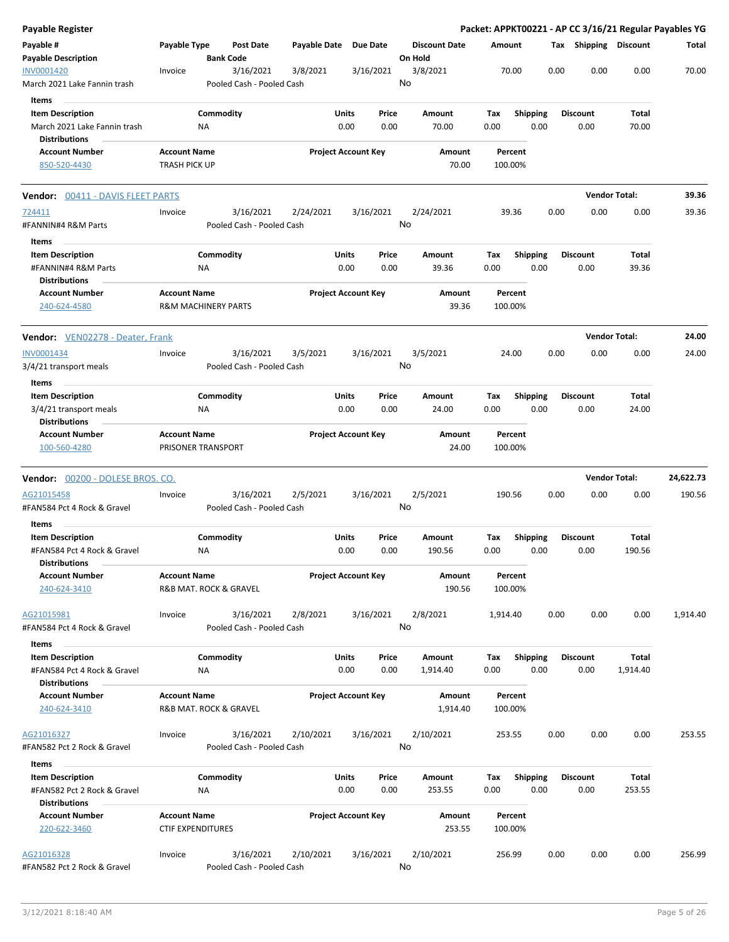| <b>Payable Register</b>                                                                   |                                                 |                                        |                       |                            |                                 | Packet: APPKT00221 - AP CC 3/16/21 Regular Payables YG |      |                         |                      |           |
|-------------------------------------------------------------------------------------------|-------------------------------------------------|----------------------------------------|-----------------------|----------------------------|---------------------------------|--------------------------------------------------------|------|-------------------------|----------------------|-----------|
| Payable #<br><b>Payable Description</b>                                                   | Payable Type                                    | Post Date<br><b>Bank Code</b>          | Payable Date Due Date |                            | <b>Discount Date</b><br>On Hold | Amount                                                 |      | Tax Shipping Discount   |                      | Total     |
| INV0001420<br>March 2021 Lake Fannin trash                                                | Invoice                                         | 3/16/2021<br>Pooled Cash - Pooled Cash | 3/8/2021              | 3/16/2021                  | 3/8/2021<br>No                  | 70.00                                                  | 0.00 | 0.00                    | 0.00                 | 70.00     |
| Items<br><b>Item Description</b><br>March 2021 Lake Fannin trash<br><b>Distributions</b>  |                                                 | Commodity<br>ΝA                        | Units                 | Price<br>0.00<br>0.00      | Amount<br>70.00                 | Tax<br><b>Shipping</b><br>0.00                         | 0.00 | <b>Discount</b><br>0.00 | Total<br>70.00       |           |
| <b>Account Number</b><br>850-520-4430                                                     | <b>Account Name</b><br><b>TRASH PICK UP</b>     |                                        |                       | <b>Project Account Key</b> | Amount<br>70.00                 | Percent<br>100.00%                                     |      |                         |                      |           |
| <b>Vendor: 00411 - DAVIS FLEET PARTS</b>                                                  |                                                 |                                        |                       |                            |                                 |                                                        |      |                         | <b>Vendor Total:</b> | 39.36     |
| 724411<br>#FANNIN#4 R&M Parts<br>Items                                                    | Invoice                                         | 3/16/2021<br>Pooled Cash - Pooled Cash | 2/24/2021             | 3/16/2021                  | 2/24/2021<br>No                 | 39.36                                                  | 0.00 | 0.00                    | 0.00                 | 39.36     |
| <b>Item Description</b><br>#FANNIN#4 R&M Parts<br><b>Distributions</b>                    |                                                 | Commodity<br>ΝA                        | Units                 | Price<br>0.00<br>0.00      | Amount<br>39.36                 | Tax<br><b>Shipping</b><br>0.00                         | 0.00 | <b>Discount</b><br>0.00 | Total<br>39.36       |           |
| <b>Account Number</b><br>240-624-4580                                                     | <b>Account Name</b>                             | <b>R&amp;M MACHINERY PARTS</b>         |                       | <b>Project Account Key</b> | Amount<br>39.36                 | Percent<br>100.00%                                     |      |                         |                      |           |
| Vendor: VEN02278 - Deater, Frank                                                          |                                                 |                                        |                       |                            |                                 |                                                        |      |                         | <b>Vendor Total:</b> | 24.00     |
| INV0001434<br>3/4/21 transport meals                                                      | Invoice                                         | 3/16/2021<br>Pooled Cash - Pooled Cash | 3/5/2021              | 3/16/2021                  | 3/5/2021<br>No                  | 24.00                                                  | 0.00 | 0.00                    | 0.00                 | 24.00     |
| <b>Items</b><br><b>Item Description</b><br>3/4/21 transport meals<br><b>Distributions</b> |                                                 | Commodity<br><b>NA</b>                 | Units                 | Price<br>0.00<br>0.00      | Amount<br>24.00                 | Tax<br><b>Shipping</b><br>0.00                         | 0.00 | <b>Discount</b><br>0.00 | Total<br>24.00       |           |
| <b>Account Number</b><br>100-560-4280                                                     | <b>Account Name</b>                             | PRISONER TRANSPORT                     |                       | <b>Project Account Key</b> | Amount<br>24.00                 | Percent<br>100.00%                                     |      |                         |                      |           |
| <b>Vendor:</b> 00200 - DOLESE BROS. CO.                                                   |                                                 |                                        |                       |                            |                                 |                                                        |      |                         | <b>Vendor Total:</b> | 24,622.73 |
| AG21015458<br>#FAN584 Pct 4 Rock & Gravel                                                 | Invoice                                         | 3/16/2021<br>Pooled Cash - Pooled Cash | 2/5/2021              | 3/16/2021                  | 2/5/2021<br>No                  | 190.56                                                 | 0.00 | 0.00                    | 0.00                 | 190.56    |
| Items<br><b>Item Description</b><br>#FAN584 Pct 4 Rock & Gravel<br><b>Distributions</b>   |                                                 | Commodity<br>ΝA                        | Units                 | Price<br>0.00<br>0.00      | <b>Amount</b><br>190.56         | <b>Shipping</b><br>Tax<br>0.00                         | 0.00 | <b>Discount</b><br>0.00 | Total<br>190.56      |           |
| <b>Account Number</b><br>240-624-3410                                                     | <b>Account Name</b>                             | R&B MAT. ROCK & GRAVEL                 |                       | <b>Project Account Key</b> | Amount<br>190.56                | Percent<br>100.00%                                     |      |                         |                      |           |
| AG21015981<br>#FAN584 Pct 4 Rock & Gravel                                                 | Invoice                                         | 3/16/2021<br>Pooled Cash - Pooled Cash | 2/8/2021              | 3/16/2021                  | 2/8/2021<br>No                  | 1,914.40                                               | 0.00 | 0.00                    | 0.00                 | 1,914.40  |
| Items<br><b>Item Description</b><br>#FAN584 Pct 4 Rock & Gravel                           |                                                 | Commodity<br>ΝA                        | Units                 | Price<br>0.00<br>0.00      | Amount<br>1,914.40              | <b>Shipping</b><br>Tax<br>0.00                         | 0.00 | <b>Discount</b><br>0.00 | Total<br>1,914.40    |           |
| <b>Distributions</b><br><b>Account Number</b><br>240-624-3410                             | <b>Account Name</b>                             | R&B MAT. ROCK & GRAVEL                 |                       | <b>Project Account Key</b> | Amount<br>1,914.40              | Percent<br>100.00%                                     |      |                         |                      |           |
| AG21016327<br>#FAN582 Pct 2 Rock & Gravel                                                 | Invoice                                         | 3/16/2021<br>Pooled Cash - Pooled Cash | 2/10/2021             | 3/16/2021                  | 2/10/2021<br>No                 | 253.55                                                 | 0.00 | 0.00                    | 0.00                 | 253.55    |
| Items<br><b>Item Description</b><br>#FAN582 Pct 2 Rock & Gravel                           |                                                 | Commodity<br>ΝA                        | Units                 | Price<br>0.00<br>0.00      | Amount<br>253.55                | Tax<br><b>Shipping</b><br>0.00                         | 0.00 | <b>Discount</b><br>0.00 | Total<br>253.55      |           |
| <b>Distributions</b><br><b>Account Number</b><br>220-622-3460                             | <b>Account Name</b><br><b>CTIF EXPENDITURES</b> |                                        |                       | <b>Project Account Key</b> | Amount<br>253.55                | Percent<br>100.00%                                     |      |                         |                      |           |
| AG21016328<br>#FAN582 Pct 2 Rock & Gravel                                                 | Invoice                                         | 3/16/2021<br>Pooled Cash - Pooled Cash | 2/10/2021             | 3/16/2021                  | 2/10/2021<br>No                 | 256.99                                                 | 0.00 | 0.00                    | 0.00                 | 256.99    |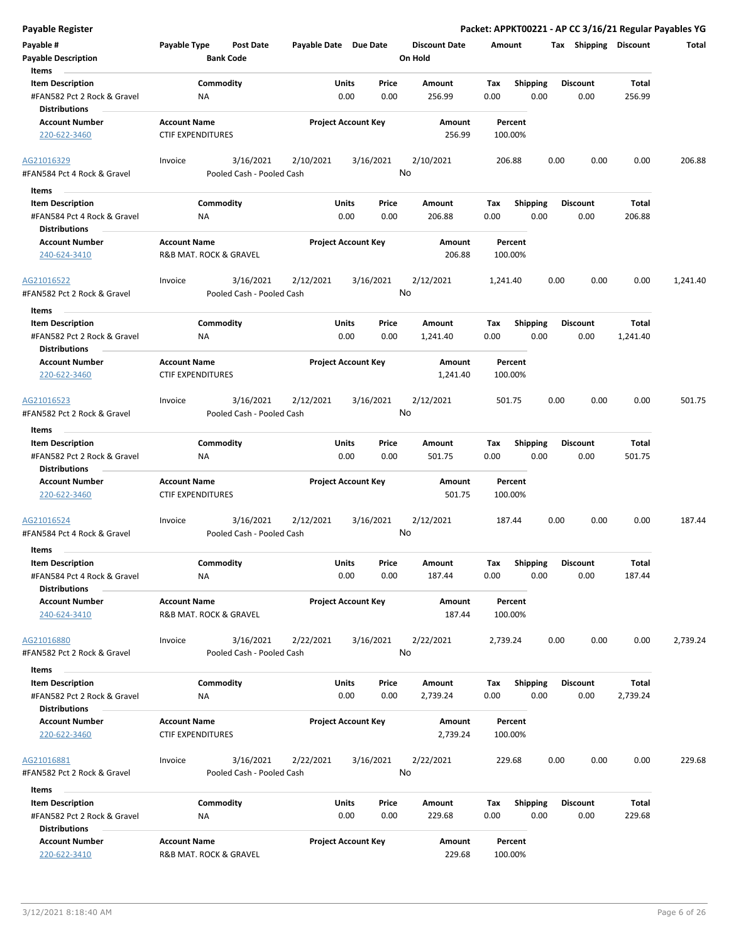|  | Payable Register |
|--|------------------|

Packet: APPKT00221 - AP CC 3/16/21 Regular Payables YG

| Payable #                                           | Payable Type                                    | <b>Post Date</b>          | Payable Date Due Date |                            | <b>Discount Date</b> | Amount   |                 | Тах  | <b>Shipping</b> | <b>Discount</b>   | Total    |
|-----------------------------------------------------|-------------------------------------------------|---------------------------|-----------------------|----------------------------|----------------------|----------|-----------------|------|-----------------|-------------------|----------|
| <b>Payable Description</b>                          |                                                 | <b>Bank Code</b>          |                       |                            | On Hold              |          |                 |      |                 |                   |          |
| Items                                               |                                                 |                           |                       |                            |                      |          |                 |      |                 |                   |          |
| <b>Item Description</b>                             |                                                 | Commodity                 |                       | Price<br>Units             | Amount               | Tax      | <b>Shipping</b> |      | <b>Discount</b> | Total             |          |
| #FAN582 Pct 2 Rock & Gravel<br><b>Distributions</b> | ΝA                                              |                           |                       | 0.00<br>0.00               | 256.99               | 0.00     | 0.00            |      | 0.00            | 256.99            |          |
| <b>Account Number</b>                               | <b>Account Name</b>                             |                           |                       | <b>Project Account Key</b> | Amount               | Percent  |                 |      |                 |                   |          |
| 220-622-3460                                        | <b>CTIF EXPENDITURES</b>                        |                           |                       |                            | 256.99               | 100.00%  |                 |      |                 |                   |          |
| AG21016329                                          | Invoice                                         | 3/16/2021                 | 2/10/2021             | 3/16/2021                  | 2/10/2021<br>No      | 206.88   |                 | 0.00 | 0.00            | 0.00              | 206.88   |
| #FAN584 Pct 4 Rock & Gravel                         |                                                 | Pooled Cash - Pooled Cash |                       |                            |                      |          |                 |      |                 |                   |          |
| Items                                               |                                                 |                           |                       |                            |                      |          |                 |      |                 |                   |          |
| <b>Item Description</b>                             |                                                 | Commodity                 |                       | Units<br>Price             | Amount               | Tax      | <b>Shipping</b> |      | <b>Discount</b> | Total             |          |
| #FAN584 Pct 4 Rock & Gravel                         | NA                                              |                           |                       | 0.00<br>0.00               | 206.88               | 0.00     | 0.00            |      | 0.00            | 206.88            |          |
| <b>Distributions</b>                                |                                                 |                           |                       |                            |                      |          |                 |      |                 |                   |          |
| <b>Account Number</b>                               | <b>Account Name</b>                             |                           |                       | <b>Project Account Key</b> | Amount               | Percent  |                 |      |                 |                   |          |
| 240-624-3410                                        | R&B MAT. ROCK & GRAVEL                          |                           |                       |                            | 206.88               | 100.00%  |                 |      |                 |                   |          |
| AG21016522                                          | Invoice                                         | 3/16/2021                 | 2/12/2021             | 3/16/2021                  | 2/12/2021            | 1,241.40 |                 | 0.00 | 0.00            | 0.00              | 1,241.40 |
| #FAN582 Pct 2 Rock & Gravel                         |                                                 | Pooled Cash - Pooled Cash |                       |                            | No                   |          |                 |      |                 |                   |          |
| Items                                               |                                                 |                           |                       |                            |                      |          |                 |      |                 |                   |          |
| <b>Item Description</b>                             |                                                 | Commodity                 |                       | Units<br>Price             | Amount               | Tax      | <b>Shipping</b> |      | <b>Discount</b> | Total             |          |
| #FAN582 Pct 2 Rock & Gravel                         | ΝA                                              |                           |                       | 0.00<br>0.00               | 1,241.40             | 0.00     | 0.00            |      | 0.00            | 1,241.40          |          |
| <b>Distributions</b>                                |                                                 |                           |                       |                            |                      |          |                 |      |                 |                   |          |
| <b>Account Number</b>                               | <b>Account Name</b>                             |                           |                       | <b>Project Account Key</b> | <b>Amount</b>        | Percent  |                 |      |                 |                   |          |
| 220-622-3460                                        | <b>CTIF EXPENDITURES</b>                        |                           |                       |                            | 1,241.40             | 100.00%  |                 |      |                 |                   |          |
| AG21016523                                          | Invoice                                         | 3/16/2021                 | 2/12/2021             | 3/16/2021                  | 2/12/2021            | 501.75   |                 | 0.00 | 0.00            | 0.00              | 501.75   |
| #FAN582 Pct 2 Rock & Gravel                         |                                                 | Pooled Cash - Pooled Cash |                       |                            | No                   |          |                 |      |                 |                   |          |
|                                                     |                                                 |                           |                       |                            |                      |          |                 |      |                 |                   |          |
| Items                                               |                                                 |                           |                       |                            |                      |          |                 |      |                 |                   |          |
| <b>Item Description</b>                             |                                                 | Commodity                 |                       | Units<br>Price             | Amount               | Tax      | <b>Shipping</b> |      | <b>Discount</b> | Total             |          |
| #FAN582 Pct 2 Rock & Gravel<br><b>Distributions</b> | <b>NA</b>                                       |                           |                       | 0.00<br>0.00               | 501.75               | 0.00     | 0.00            |      | 0.00            | 501.75            |          |
| <b>Account Number</b>                               | <b>Account Name</b>                             |                           |                       | <b>Project Account Key</b> | Amount               | Percent  |                 |      |                 |                   |          |
| 220-622-3460                                        | <b>CTIF EXPENDITURES</b>                        |                           |                       |                            | 501.75               | 100.00%  |                 |      |                 |                   |          |
| AG21016524                                          | Invoice                                         | 3/16/2021                 | 2/12/2021             | 3/16/2021                  | 2/12/2021            | 187.44   |                 | 0.00 | 0.00            | 0.00              | 187.44   |
| #FAN584 Pct 4 Rock & Gravel                         |                                                 | Pooled Cash - Pooled Cash |                       |                            | No                   |          |                 |      |                 |                   |          |
| Items                                               |                                                 |                           |                       |                            |                      |          |                 |      |                 |                   |          |
| <b>Item Description</b>                             |                                                 | Commodity                 |                       | Units<br>Price             | Amount               | Тах      | <b>Shipping</b> |      | <b>Discount</b> | Total             |          |
| #FAN584 Pct 4 Rock & Gravel                         | ΝA                                              |                           |                       | 0.00<br>0.00               | 187.44               | 0.00     | 0.00            |      | 0.00            | 187.44            |          |
| <b>Distributions</b>                                |                                                 |                           |                       |                            |                      |          |                 |      |                 |                   |          |
| <b>Account Number</b>                               | <b>Account Name</b>                             |                           |                       | <b>Project Account Key</b> | Amount               | Percent  |                 |      |                 |                   |          |
| 240-624-3410                                        | R&B MAT. ROCK & GRAVEL                          |                           |                       |                            | 187.44               | 100.00%  |                 |      |                 |                   |          |
| AG21016880                                          | Invoice                                         | 3/16/2021                 | 2/22/2021             | 3/16/2021                  | 2/22/2021            | 2,739.24 |                 | 0.00 | 0.00            | 0.00              | 2,739.24 |
| #FAN582 Pct 2 Rock & Gravel                         |                                                 | Pooled Cash - Pooled Cash |                       |                            | No                   |          |                 |      |                 |                   |          |
|                                                     |                                                 |                           |                       |                            |                      |          |                 |      |                 |                   |          |
| Items                                               |                                                 |                           |                       |                            |                      |          |                 |      |                 |                   |          |
| <b>Item Description</b>                             |                                                 | Commodity                 |                       | Units<br>Price             | Amount               | Tax      | <b>Shipping</b> |      | <b>Discount</b> | Total<br>2,739.24 |          |
| #FAN582 Pct 2 Rock & Gravel<br><b>Distributions</b> | ΝA                                              |                           |                       | 0.00<br>0.00               | 2,739.24             | 0.00     | 0.00            |      | 0.00            |                   |          |
|                                                     |                                                 |                           |                       |                            |                      | Percent  |                 |      |                 |                   |          |
| <b>Account Number</b><br>220-622-3460               | <b>Account Name</b><br><b>CTIF EXPENDITURES</b> |                           |                       | <b>Project Account Key</b> | Amount<br>2,739.24   | 100.00%  |                 |      |                 |                   |          |
|                                                     |                                                 |                           |                       |                            |                      |          |                 |      |                 |                   |          |
| AG21016881                                          | Invoice                                         | 3/16/2021                 | 2/22/2021             | 3/16/2021                  | 2/22/2021            | 229.68   |                 | 0.00 | 0.00            | 0.00              | 229.68   |
| #FAN582 Pct 2 Rock & Gravel                         |                                                 | Pooled Cash - Pooled Cash |                       |                            | No                   |          |                 |      |                 |                   |          |
|                                                     |                                                 |                           |                       |                            |                      |          |                 |      |                 |                   |          |
| Items                                               |                                                 |                           |                       |                            |                      |          |                 |      |                 |                   |          |
| <b>Item Description</b>                             |                                                 | Commodity                 |                       | Units<br>Price             | Amount               | Tax      | <b>Shipping</b> |      | <b>Discount</b> | Total             |          |
| #FAN582 Pct 2 Rock & Gravel                         | ΝA                                              |                           |                       | 0.00<br>0.00               | 229.68               | 0.00     | 0.00            |      | 0.00            | 229.68            |          |
| <b>Distributions</b>                                |                                                 |                           |                       |                            |                      |          |                 |      |                 |                   |          |
| <b>Account Number</b>                               | <b>Account Name</b>                             |                           |                       | <b>Project Account Key</b> | Amount               | Percent  |                 |      |                 |                   |          |
| 220-622-3410                                        | R&B MAT. ROCK & GRAVEL                          |                           |                       |                            | 229.68               | 100.00%  |                 |      |                 |                   |          |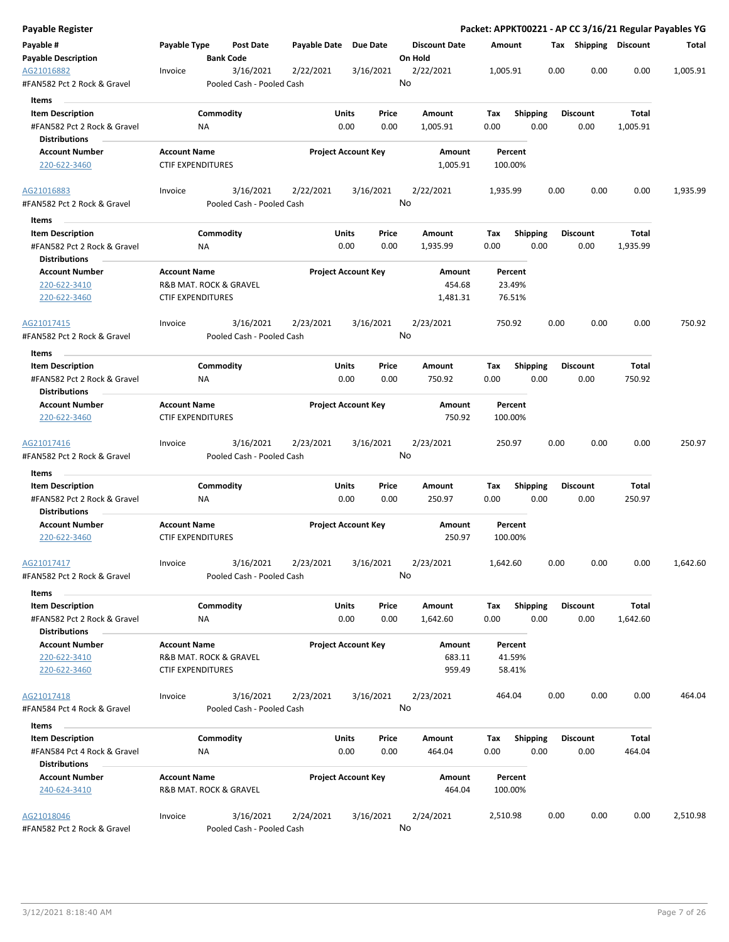| Payable Register                                                               |                                                 |                                        |                       |                            |                                 | Packet: APPKT00221 - AP CC 3/16/21 Regular Payables YG |      |                         |                   |          |
|--------------------------------------------------------------------------------|-------------------------------------------------|----------------------------------------|-----------------------|----------------------------|---------------------------------|--------------------------------------------------------|------|-------------------------|-------------------|----------|
| Payable #<br><b>Payable Description</b>                                        | Payable Type                                    | Post Date<br><b>Bank Code</b>          | Payable Date Due Date |                            | <b>Discount Date</b><br>On Hold | Amount                                                 |      | Tax Shipping Discount   |                   | Total    |
| AG21016882<br>#FAN582 Pct 2 Rock & Gravel                                      | Invoice                                         | 3/16/2021<br>Pooled Cash - Pooled Cash | 2/22/2021             | 3/16/2021                  | 2/22/2021<br>No                 | 1,005.91                                               | 0.00 | 0.00                    | 0.00              | 1,005.91 |
| <b>Items</b>                                                                   |                                                 |                                        |                       |                            |                                 |                                                        |      |                         |                   |          |
| <b>Item Description</b><br>#FAN582 Pct 2 Rock & Gravel<br><b>Distributions</b> | ΝA                                              | Commodity                              | Units                 | Price<br>0.00<br>0.00      | Amount<br>1,005.91              | <b>Shipping</b><br>Tax<br>0.00                         | 0.00 | <b>Discount</b><br>0.00 | Total<br>1,005.91 |          |
| <b>Account Number</b>                                                          | <b>Account Name</b>                             |                                        |                       | <b>Project Account Key</b> | Amount                          | Percent                                                |      |                         |                   |          |
| 220-622-3460                                                                   | <b>CTIF EXPENDITURES</b>                        |                                        |                       |                            | 1,005.91                        | 100.00%                                                |      |                         |                   |          |
| AG21016883<br>#FAN582 Pct 2 Rock & Gravel                                      | Invoice                                         | 3/16/2021<br>Pooled Cash - Pooled Cash | 2/22/2021             | 3/16/2021                  | 2/22/2021<br>No                 | 1,935.99                                               | 0.00 | 0.00                    | 0.00              | 1,935.99 |
| Items                                                                          |                                                 |                                        |                       |                            |                                 |                                                        |      |                         |                   |          |
| <b>Item Description</b><br>#FAN582 Pct 2 Rock & Gravel<br><b>Distributions</b> | NA                                              | Commodity                              | Units                 | Price<br>0.00<br>0.00      | Amount<br>1,935.99              | <b>Shipping</b><br>Tax<br>0.00                         | 0.00 | <b>Discount</b><br>0.00 | Total<br>1,935.99 |          |
| <b>Account Number</b>                                                          | <b>Account Name</b>                             |                                        |                       | <b>Project Account Key</b> | Amount                          | Percent                                                |      |                         |                   |          |
| 220-622-3410<br>220-622-3460                                                   | <b>CTIF EXPENDITURES</b>                        | R&B MAT. ROCK & GRAVEL                 |                       |                            | 454.68<br>1,481.31              | 23.49%<br>76.51%                                       |      |                         |                   |          |
| AG21017415<br>#FAN582 Pct 2 Rock & Gravel                                      | Invoice                                         | 3/16/2021<br>Pooled Cash - Pooled Cash | 2/23/2021             | 3/16/2021                  | 2/23/2021<br>No                 | 750.92                                                 | 0.00 | 0.00                    | 0.00              | 750.92   |
| Items                                                                          |                                                 |                                        |                       |                            |                                 |                                                        |      |                         |                   |          |
| <b>Item Description</b><br>#FAN582 Pct 2 Rock & Gravel<br><b>Distributions</b> | ΝA                                              | Commodity                              | Units                 | Price<br>0.00<br>0.00      | Amount<br>750.92                | <b>Shipping</b><br>Tax<br>0.00                         | 0.00 | <b>Discount</b><br>0.00 | Total<br>750.92   |          |
| <b>Account Number</b>                                                          | <b>Account Name</b>                             |                                        |                       | <b>Project Account Key</b> | Amount                          | Percent                                                |      |                         |                   |          |
| 220-622-3460                                                                   | <b>CTIF EXPENDITURES</b>                        |                                        |                       |                            | 750.92                          | 100.00%                                                |      |                         |                   |          |
| AG21017416<br>#FAN582 Pct 2 Rock & Gravel                                      | Invoice                                         | 3/16/2021<br>Pooled Cash - Pooled Cash | 2/23/2021             | 3/16/2021                  | 2/23/2021<br>No                 | 250.97                                                 | 0.00 | 0.00                    | 0.00              | 250.97   |
| Items                                                                          |                                                 |                                        |                       |                            |                                 |                                                        |      |                         |                   |          |
| <b>Item Description</b><br>#FAN582 Pct 2 Rock & Gravel<br><b>Distributions</b> | <b>NA</b>                                       | Commodity                              | Units                 | Price<br>0.00<br>0.00      | Amount<br>250.97                | Tax<br><b>Shipping</b><br>0.00                         | 0.00 | <b>Discount</b><br>0.00 | Total<br>250.97   |          |
| <b>Account Number</b><br>220-622-3460                                          | <b>Account Name</b><br><b>CTIF EXPENDITURES</b> |                                        |                       | <b>Project Account Key</b> | Amount<br>250.97                | Percent<br>100.00%                                     |      |                         |                   |          |
| AG21017417<br>#FAN582 Pct 2 Rock & Gravel                                      | Invoice                                         | 3/16/2021<br>Pooled Cash - Pooled Cash | 2/23/2021             | 3/16/2021                  | 2/23/2021<br>No                 | 1,642.60                                               | 0.00 | 0.00                    | 0.00              | 1,642.60 |
| Items                                                                          |                                                 |                                        |                       |                            |                                 |                                                        |      |                         |                   |          |
| <b>Item Description</b><br>#FAN582 Pct 2 Rock & Gravel<br><b>Distributions</b> | ΝA                                              | Commodity                              | Units                 | Price<br>0.00<br>0.00      | Amount<br>1,642.60              | Tax<br><b>Shipping</b><br>0.00                         | 0.00 | <b>Discount</b><br>0.00 | Total<br>1,642.60 |          |
| <b>Account Number</b>                                                          | <b>Account Name</b>                             |                                        |                       | <b>Project Account Key</b> | Amount                          | Percent                                                |      |                         |                   |          |
| 220-622-3410                                                                   |                                                 | R&B MAT. ROCK & GRAVEL                 |                       |                            | 683.11                          | 41.59%                                                 |      |                         |                   |          |
| 220-622-3460                                                                   | <b>CTIF EXPENDITURES</b>                        |                                        |                       |                            | 959.49                          | 58.41%                                                 |      |                         |                   |          |
| AG21017418<br>#FAN584 Pct 4 Rock & Gravel                                      | Invoice                                         | 3/16/2021<br>Pooled Cash - Pooled Cash | 2/23/2021             | 3/16/2021                  | 2/23/2021<br>No                 | 464.04                                                 | 0.00 | 0.00                    | 0.00              | 464.04   |
| Items                                                                          |                                                 |                                        |                       |                            |                                 |                                                        |      |                         |                   |          |
| <b>Item Description</b><br>#FAN584 Pct 4 Rock & Gravel                         | ΝA                                              | Commodity                              | Units                 | Price<br>0.00<br>0.00      | Amount<br>464.04                | <b>Shipping</b><br>Тах<br>0.00                         | 0.00 | <b>Discount</b><br>0.00 | Total<br>464.04   |          |
| <b>Distributions</b>                                                           |                                                 |                                        |                       |                            |                                 |                                                        |      |                         |                   |          |
| <b>Account Number</b><br>240-624-3410                                          | <b>Account Name</b>                             | R&B MAT. ROCK & GRAVEL                 |                       | <b>Project Account Key</b> | Amount<br>464.04                | Percent<br>100.00%                                     |      |                         |                   |          |
| AG21018046<br>#FAN582 Pct 2 Rock & Gravel                                      | Invoice                                         | 3/16/2021<br>Pooled Cash - Pooled Cash | 2/24/2021             | 3/16/2021                  | 2/24/2021<br>No                 | 2,510.98                                               | 0.00 | 0.00                    | 0.00              | 2,510.98 |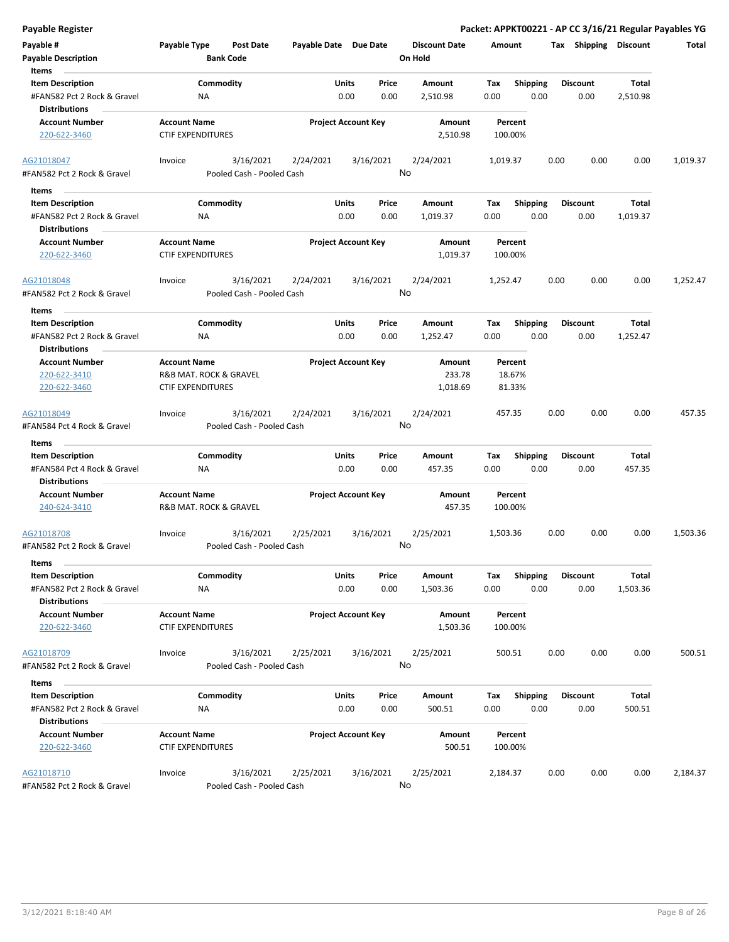|  |  | Payable Register |
|--|--|------------------|
|  |  |                  |

| Payable #<br><b>Payable Description</b><br>Items                               | Payable Type                                       | Post Date<br><b>Bank Code</b>          | Payable Date Due Date |                                       | <b>Discount Date</b><br>On Hold | Amount             |                         | Tax Shipping Discount   |                   | Total    |
|--------------------------------------------------------------------------------|----------------------------------------------------|----------------------------------------|-----------------------|---------------------------------------|---------------------------------|--------------------|-------------------------|-------------------------|-------------------|----------|
| <b>Item Description</b><br>#FAN582 Pct 2 Rock & Gravel<br><b>Distributions</b> | ΝA                                                 | Commodity                              |                       | Units<br>Price<br>0.00<br>0.00        | Amount<br>2,510.98              | Tax<br>0.00        | Shipping<br>0.00        | <b>Discount</b><br>0.00 | Total<br>2,510.98 |          |
| <b>Account Number</b><br>220-622-3460                                          | <b>Account Name</b><br><b>CTIF EXPENDITURES</b>    |                                        |                       | <b>Project Account Key</b>            | Amount<br>2,510.98              | Percent<br>100.00% |                         |                         |                   |          |
| AG21018047<br>#FAN582 Pct 2 Rock & Gravel                                      | Invoice                                            | 3/16/2021<br>Pooled Cash - Pooled Cash | 2/24/2021             | 3/16/2021                             | 2/24/2021<br>No                 | 1,019.37           |                         | 0.00<br>0.00            | 0.00              | 1,019.37 |
| Items                                                                          |                                                    |                                        |                       |                                       |                                 |                    |                         |                         |                   |          |
| <b>Item Description</b><br>#FAN582 Pct 2 Rock & Gravel<br><b>Distributions</b> | ΝA                                                 | Commodity                              |                       | Units<br>Price<br>0.00<br>0.00        | Amount<br>1,019.37              | Тах<br>0.00        | <b>Shipping</b><br>0.00 | <b>Discount</b><br>0.00 | Total<br>1,019.37 |          |
| <b>Account Number</b><br>220-622-3460                                          | <b>Account Name</b><br><b>CTIF EXPENDITURES</b>    |                                        |                       | <b>Project Account Key</b>            | Amount<br>1,019.37              | Percent<br>100.00% |                         |                         |                   |          |
| AG21018048<br>#FAN582 Pct 2 Rock & Gravel                                      | Invoice                                            | 3/16/2021<br>Pooled Cash - Pooled Cash | 2/24/2021             | 3/16/2021                             | 2/24/2021<br>No                 | 1,252.47           |                         | 0.00<br>0.00            | 0.00              | 1,252.47 |
| Items                                                                          |                                                    |                                        |                       |                                       |                                 |                    |                         |                         |                   |          |
| <b>Item Description</b><br>#FAN582 Pct 2 Rock & Gravel                         | ΝA                                                 | Commodity                              |                       | Units<br>Price<br>0.00<br>0.00        | Amount<br>1,252.47              | Tax<br>0.00        | <b>Shipping</b><br>0.00 | <b>Discount</b><br>0.00 | Total<br>1,252.47 |          |
| <b>Distributions</b>                                                           |                                                    |                                        |                       |                                       |                                 |                    |                         |                         |                   |          |
| <b>Account Number</b>                                                          | <b>Account Name</b>                                |                                        |                       | <b>Project Account Key</b>            | Amount                          | Percent            |                         |                         |                   |          |
| 220-622-3410<br>220-622-3460                                                   | R&B MAT. ROCK & GRAVEL<br><b>CTIF EXPENDITURES</b> |                                        |                       |                                       | 233.78<br>1,018.69              | 18.67%<br>81.33%   |                         |                         |                   |          |
| AG21018049<br>#FAN584 Pct 4 Rock & Gravel                                      | Invoice                                            | 3/16/2021<br>Pooled Cash - Pooled Cash | 2/24/2021             | 3/16/2021                             | 2/24/2021<br>No                 | 457.35             |                         | 0.00<br>0.00            | 0.00              | 457.35   |
| Items                                                                          |                                                    |                                        |                       |                                       |                                 |                    |                         |                         |                   |          |
| <b>Item Description</b><br>#FAN584 Pct 4 Rock & Gravel<br><b>Distributions</b> | ΝA                                                 | Commodity                              |                       | Units<br>Price<br>0.00<br>0.00        | Amount<br>457.35                | Tax<br>0.00        | <b>Shipping</b><br>0.00 | <b>Discount</b><br>0.00 | Total<br>457.35   |          |
| <b>Account Number</b><br>240-624-3410                                          | <b>Account Name</b><br>R&B MAT. ROCK & GRAVEL      |                                        |                       | <b>Project Account Key</b>            | Amount<br>457.35                | Percent<br>100.00% |                         |                         |                   |          |
| AG21018708<br>#FAN582 Pct 2 Rock & Gravel                                      | Invoice                                            | 3/16/2021<br>Pooled Cash - Pooled Cash | 2/25/2021             | 3/16/2021                             | 2/25/2021<br>No                 | 1,503.36           |                         | 0.00<br>0.00            | 0.00              | 1,503.36 |
| Items                                                                          |                                                    |                                        |                       |                                       |                                 |                    |                         |                         |                   |          |
| <b>Item Description</b><br>#FAN582 Pct 2 Rock & Gravel                         | NA                                                 | Commodity                              |                       | <b>Units</b><br>Price<br>0.00<br>0.00 | Amount<br>1,503.36              | Tax<br>0.00        | Shipping<br>0.00        | <b>Discount</b><br>0.00 | Total<br>1,503.36 |          |
| <b>Distributions</b>                                                           |                                                    |                                        |                       |                                       |                                 |                    |                         |                         |                   |          |
| <b>Account Number</b><br>220-622-3460                                          | <b>Account Name</b><br><b>CTIF EXPENDITURES</b>    |                                        |                       | <b>Project Account Key</b>            | Amount<br>1,503.36              | Percent<br>100.00% |                         |                         |                   |          |
| AG21018709<br>#FAN582 Pct 2 Rock & Gravel                                      | Invoice                                            | 3/16/2021<br>Pooled Cash - Pooled Cash | 2/25/2021             | 3/16/2021                             | 2/25/2021<br>No                 | 500.51             |                         | 0.00<br>0.00            | 0.00              | 500.51   |
| Items                                                                          |                                                    |                                        |                       |                                       |                                 |                    |                         |                         |                   |          |
| <b>Item Description</b><br>#FAN582 Pct 2 Rock & Gravel                         | ΝA                                                 | Commodity                              |                       | Units<br>Price<br>0.00<br>0.00        | Amount<br>500.51                | Тах<br>0.00        | Shipping<br>0.00        | <b>Discount</b><br>0.00 | Total<br>500.51   |          |
| <b>Distributions</b>                                                           |                                                    |                                        |                       |                                       |                                 |                    |                         |                         |                   |          |
| <b>Account Number</b><br>220-622-3460                                          | <b>Account Name</b><br><b>CTIF EXPENDITURES</b>    |                                        |                       | <b>Project Account Key</b>            | Amount<br>500.51                | Percent<br>100.00% |                         |                         |                   |          |
| AG21018710<br>#FAN582 Pct 2 Rock & Gravel                                      | Invoice                                            | 3/16/2021<br>Pooled Cash - Pooled Cash | 2/25/2021             | 3/16/2021                             | 2/25/2021<br>No                 | 2,184.37           |                         | 0.00<br>0.00            | 0.00              | 2,184.37 |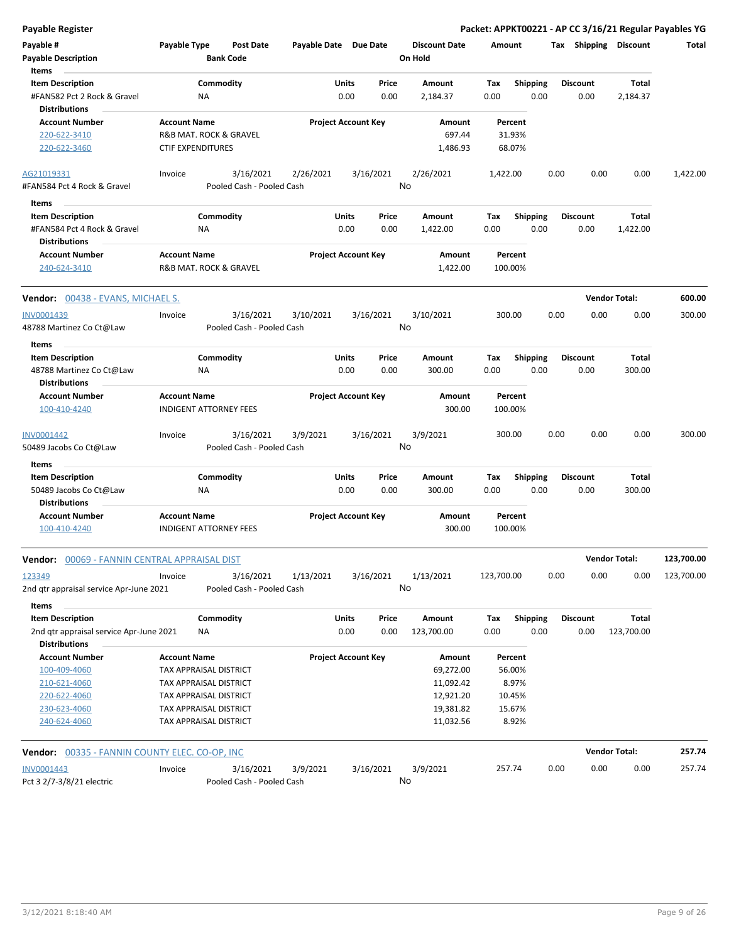| Payable #<br><b>Payable Description</b><br>Items                | Payable Type                  |                 | Post Date<br><b>Bank Code</b> | Payable Date Due Date |               |                            | <b>Discount Date</b><br>On Hold | Amount      |                         |      |                         | Tax Shipping Discount | Total      |
|-----------------------------------------------------------------|-------------------------------|-----------------|-------------------------------|-----------------------|---------------|----------------------------|---------------------------------|-------------|-------------------------|------|-------------------------|-----------------------|------------|
| <b>Item Description</b><br>#FAN582 Pct 2 Rock & Gravel          |                               | Commodity<br>ΝA |                               |                       | Units<br>0.00 | Price<br>0.00              | Amount<br>2,184.37              | Tax<br>0.00 | <b>Shipping</b><br>0.00 |      | <b>Discount</b><br>0.00 | Total<br>2,184.37     |            |
| <b>Distributions</b><br><b>Account Number</b>                   | <b>Account Name</b>           |                 |                               |                       |               | <b>Project Account Key</b> | Amount                          |             | Percent                 |      |                         |                       |            |
| 220-622-3410                                                    |                               |                 | R&B MAT. ROCK & GRAVEL        |                       |               |                            | 697.44                          |             | 31.93%                  |      |                         |                       |            |
| 220-622-3460                                                    | <b>CTIF EXPENDITURES</b>      |                 |                               |                       |               |                            | 1,486.93                        |             | 68.07%                  |      |                         |                       |            |
| AG21019331                                                      | Invoice                       |                 | 3/16/2021                     | 2/26/2021             |               | 3/16/2021                  | 2/26/2021                       | 1,422.00    |                         | 0.00 | 0.00                    | 0.00                  | 1,422.00   |
| #FAN584 Pct 4 Rock & Gravel                                     |                               |                 | Pooled Cash - Pooled Cash     |                       |               |                            | No                              |             |                         |      |                         |                       |            |
| Items                                                           |                               |                 |                               |                       |               |                            |                                 |             |                         |      |                         |                       |            |
| <b>Item Description</b>                                         |                               | Commodity       |                               |                       | Units         | Price                      | Amount                          | Tax         | <b>Shipping</b>         |      | <b>Discount</b>         | Total                 |            |
| #FAN584 Pct 4 Rock & Gravel<br><b>Distributions</b>             |                               | ΝA              |                               |                       | 0.00          | 0.00                       | 1,422.00                        | 0.00        | 0.00                    |      | 0.00                    | 1,422.00              |            |
| <b>Account Number</b>                                           | <b>Account Name</b>           |                 |                               |                       |               | <b>Project Account Key</b> | Amount                          |             | Percent                 |      |                         |                       |            |
| 240-624-3410                                                    |                               |                 | R&B MAT. ROCK & GRAVEL        |                       |               |                            | 1,422.00                        |             | 100.00%                 |      |                         |                       |            |
| Vendor: 00438 - EVANS, MICHAEL S.                               |                               |                 |                               |                       |               |                            |                                 |             |                         |      |                         | <b>Vendor Total:</b>  | 600.00     |
| INV0001439                                                      | Invoice                       |                 | 3/16/2021                     | 3/10/2021             |               | 3/16/2021                  | 3/10/2021                       |             | 300.00                  | 0.00 | 0.00                    | 0.00                  | 300.00     |
| 48788 Martinez Co Ct@Law                                        |                               |                 | Pooled Cash - Pooled Cash     |                       |               |                            | No                              |             |                         |      |                         |                       |            |
| Items                                                           |                               |                 |                               |                       |               |                            |                                 |             |                         |      |                         |                       |            |
| <b>Item Description</b>                                         |                               | Commodity       |                               |                       | Units         | Price                      | Amount                          | Tax         | <b>Shipping</b>         |      | <b>Discount</b>         | Total                 |            |
| 48788 Martinez Co Ct@Law<br><b>Distributions</b>                |                               | ΝA              |                               |                       | 0.00          | 0.00                       | 300.00                          | 0.00        | 0.00                    |      | 0.00                    | 300.00                |            |
| <b>Account Number</b>                                           | <b>Account Name</b>           |                 |                               |                       |               | <b>Project Account Key</b> | Amount                          |             | Percent                 |      |                         |                       |            |
| 100-410-4240                                                    |                               |                 | INDIGENT ATTORNEY FEES        |                       |               |                            | 300.00                          |             | 100.00%                 |      |                         |                       |            |
| INV0001442                                                      | Invoice                       |                 | 3/16/2021                     | 3/9/2021              |               | 3/16/2021                  | 3/9/2021                        |             | 300.00                  | 0.00 | 0.00                    | 0.00                  | 300.00     |
| 50489 Jacobs Co Ct@Law                                          |                               |                 | Pooled Cash - Pooled Cash     |                       |               |                            | No                              |             |                         |      |                         |                       |            |
| Items                                                           |                               |                 |                               |                       |               |                            |                                 |             |                         |      |                         |                       |            |
| <b>Item Description</b>                                         |                               | Commodity       |                               |                       | Units         | Price                      | Amount                          | Tax         | <b>Shipping</b>         |      | <b>Discount</b>         | Total                 |            |
| 50489 Jacobs Co Ct@Law<br><b>Distributions</b>                  |                               | ΝA              |                               |                       | 0.00          | 0.00                       | 300.00                          | 0.00        | 0.00                    |      | 0.00                    | 300.00                |            |
| <b>Account Number</b><br>100-410-4240                           | <b>Account Name</b>           |                 | <b>INDIGENT ATTORNEY FEES</b> |                       |               | <b>Project Account Key</b> | Amount<br>300.00                |             | Percent<br>100.00%      |      |                         |                       |            |
|                                                                 |                               |                 |                               |                       |               |                            |                                 |             |                         |      |                         |                       |            |
| <b>Vendor:</b> 00069 - FANNIN CENTRAL APPRAISAL DIST            |                               |                 |                               |                       |               |                            |                                 |             |                         |      |                         | <b>Vendor Total:</b>  | 123,700.00 |
| 123349                                                          | Invoice                       |                 | 3/16/2021                     | 1/13/2021             |               | 3/16/2021                  | 1/13/2021                       | 123,700.00  |                         | 0.00 | 0.00                    | 0.00                  | 123,700.00 |
| 2nd gtr appraisal service Apr-June 2021                         |                               |                 | Pooled Cash - Pooled Cash     |                       |               |                            | No                              |             |                         |      |                         |                       |            |
| Items                                                           |                               |                 |                               |                       |               |                            |                                 |             |                         |      |                         |                       |            |
| <b>Item Description</b>                                         |                               | Commodity       |                               |                       | Units         | Price                      | Amount                          | Tax         | <b>Shipping</b>         |      | <b>Discount</b>         | <b>Total</b>          |            |
| 2nd qtr appraisal service Apr-June 2021<br><b>Distributions</b> |                               | ΝA              |                               |                       | 0.00          | 0.00                       | 123,700.00                      | 0.00        | 0.00                    |      | 0.00                    | 123,700.00            |            |
| <b>Account Number</b>                                           | <b>Account Name</b>           |                 |                               |                       |               | <b>Project Account Key</b> | Amount                          |             | Percent                 |      |                         |                       |            |
| 100-409-4060                                                    | TAX APPRAISAL DISTRICT        |                 |                               |                       |               |                            | 69,272.00                       |             | 56.00%                  |      |                         |                       |            |
| 210-621-4060                                                    | TAX APPRAISAL DISTRICT        |                 |                               |                       |               |                            | 11,092.42                       |             | 8.97%                   |      |                         |                       |            |
| 220-622-4060                                                    | TAX APPRAISAL DISTRICT        |                 |                               |                       |               |                            | 12,921.20                       |             | 10.45%                  |      |                         |                       |            |
| 230-623-4060                                                    | TAX APPRAISAL DISTRICT        |                 |                               |                       |               |                            | 19,381.82                       |             | 15.67%                  |      |                         |                       |            |
| 240-624-4060                                                    | <b>TAX APPRAISAL DISTRICT</b> |                 |                               |                       |               |                            | 11,032.56                       |             | 8.92%                   |      |                         |                       |            |
| <b>Vendor:</b> 00335 - FANNIN COUNTY ELEC. CO-OP, INC           |                               |                 |                               |                       |               |                            |                                 |             |                         |      |                         | <b>Vendor Total:</b>  | 257.74     |
| INV0001443                                                      | Invoice                       |                 | 3/16/2021                     | 3/9/2021              |               | 3/16/2021                  | 3/9/2021                        |             | 257.74                  | 0.00 | 0.00                    | 0.00                  | 257.74     |
| Pct 3 2/7-3/8/21 electric                                       |                               |                 | Pooled Cash - Pooled Cash     |                       |               |                            | No                              |             |                         |      |                         |                       |            |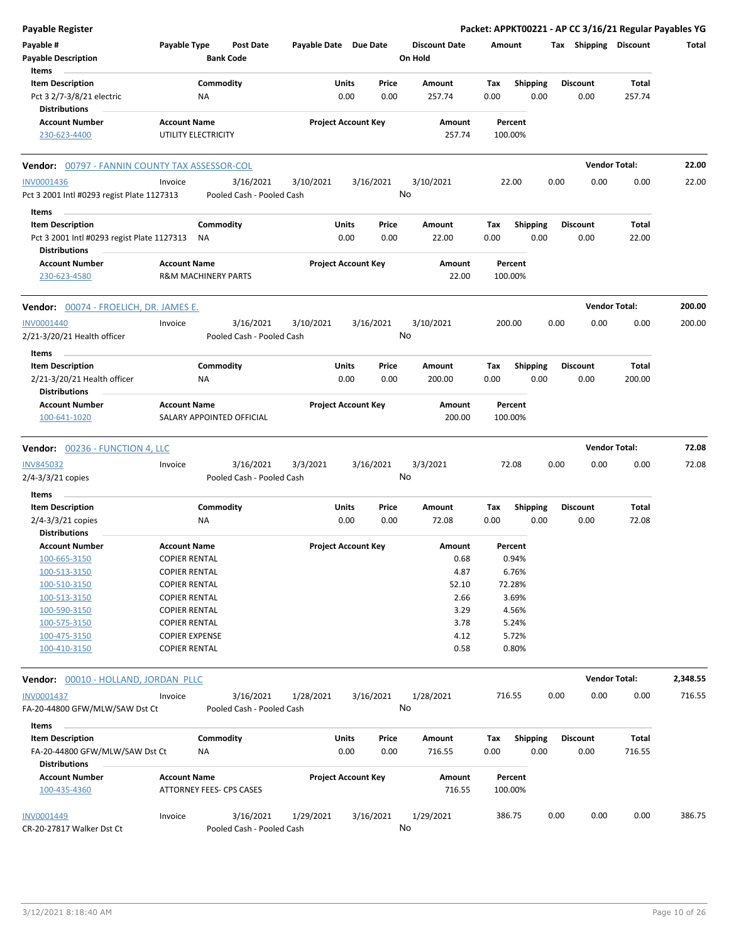| <b>Payable Register</b>                                               |                                               |                                        |                       |                            |               |                                 |             |                         |      |                         | Packet: APPKT00221 - AP CC 3/16/21 Regular Payables YG |          |
|-----------------------------------------------------------------------|-----------------------------------------------|----------------------------------------|-----------------------|----------------------------|---------------|---------------------------------|-------------|-------------------------|------|-------------------------|--------------------------------------------------------|----------|
| Payable #<br><b>Payable Description</b>                               | Payable Type                                  | <b>Post Date</b><br><b>Bank Code</b>   | Payable Date Due Date |                            |               | <b>Discount Date</b><br>On Hold | Amount      |                         |      | Tax Shipping Discount   |                                                        | Total    |
| Items                                                                 |                                               |                                        |                       |                            |               |                                 |             |                         |      |                         |                                                        |          |
| <b>Item Description</b>                                               |                                               | Commodity                              |                       | Units                      | Price         | Amount                          | Tax         | Shipping                |      | <b>Discount</b>         | Total                                                  |          |
| Pct 3 2/7-3/8/21 electric                                             | NA                                            |                                        |                       | 0.00                       | 0.00          | 257.74                          | 0.00        | 0.00                    |      | 0.00                    | 257.74                                                 |          |
| <b>Distributions</b>                                                  |                                               |                                        |                       |                            |               |                                 |             |                         |      |                         |                                                        |          |
| <b>Account Number</b>                                                 | <b>Account Name</b>                           |                                        |                       | <b>Project Account Key</b> |               | Amount                          |             | Percent                 |      |                         |                                                        |          |
| 230-623-4400                                                          | UTILITY ELECTRICITY                           |                                        |                       |                            |               | 257.74                          | 100.00%     |                         |      |                         |                                                        |          |
| <b>Vendor: 00797 - FANNIN COUNTY TAX ASSESSOR-COL</b>                 |                                               |                                        |                       |                            |               |                                 |             |                         |      |                         | <b>Vendor Total:</b>                                   | 22.00    |
| <b>INV0001436</b>                                                     | Invoice                                       | 3/16/2021                              | 3/10/2021             |                            | 3/16/2021     | 3/10/2021                       |             | 22.00                   | 0.00 | 0.00                    | 0.00                                                   | 22.00    |
| Pct 3 2001 Intl #0293 regist Plate 1127313                            |                                               | Pooled Cash - Pooled Cash              |                       |                            |               | No                              |             |                         |      |                         |                                                        |          |
| Items                                                                 |                                               |                                        |                       |                            |               |                                 |             |                         |      |                         |                                                        |          |
| <b>Item Description</b><br>Pct 3 2001 Intl #0293 regist Plate 1127313 | ΝA                                            | Commodity                              |                       | Units<br>0.00              | Price<br>0.00 | Amount<br>22.00                 | Тах<br>0.00 | <b>Shipping</b><br>0.00 |      | <b>Discount</b><br>0.00 | Total<br>22.00                                         |          |
| <b>Distributions</b>                                                  |                                               |                                        |                       |                            |               | Amount                          |             |                         |      |                         |                                                        |          |
| <b>Account Number</b><br>230-623-4580                                 | <b>Account Name</b>                           | <b>R&amp;M MACHINERY PARTS</b>         |                       | <b>Project Account Key</b> |               | 22.00                           | 100.00%     | Percent                 |      |                         |                                                        |          |
| <b>Vendor:</b> 00074 - FROELICH, DR. JAMES E.                         |                                               |                                        |                       |                            |               |                                 |             |                         |      |                         | <b>Vendor Total:</b>                                   | 200.00   |
| <b>INV0001440</b><br>2/21-3/20/21 Health officer                      | Invoice                                       | 3/16/2021<br>Pooled Cash - Pooled Cash | 3/10/2021             |                            | 3/16/2021     | 3/10/2021<br>No                 | 200.00      |                         | 0.00 | 0.00                    | 0.00                                                   | 200.00   |
| Items                                                                 |                                               |                                        |                       |                            |               |                                 |             |                         |      |                         |                                                        |          |
| <b>Item Description</b>                                               |                                               | Commodity                              |                       | Units                      | Price         | Amount                          | Tax         | Shipping                |      | <b>Discount</b>         | Total                                                  |          |
| 2/21-3/20/21 Health officer<br><b>Distributions</b>                   | ΝA                                            |                                        |                       | 0.00                       | 0.00          | 200.00                          | 0.00        | 0.00                    |      | 0.00                    | 200.00                                                 |          |
| <b>Account Number</b>                                                 | <b>Account Name</b>                           |                                        |                       | <b>Project Account Key</b> |               | Amount                          |             | Percent                 |      |                         |                                                        |          |
| 100-641-1020                                                          |                                               | SALARY APPOINTED OFFICIAL              |                       |                            |               | 200.00                          | 100.00%     |                         |      |                         |                                                        |          |
| Vendor: 00236 - FUNCTION 4, LLC                                       |                                               |                                        |                       |                            |               |                                 |             |                         |      |                         | <b>Vendor Total:</b>                                   | 72.08    |
| <b>INV845032</b>                                                      | Invoice                                       | 3/16/2021                              | 3/3/2021              |                            | 3/16/2021     | 3/3/2021                        |             | 72.08                   | 0.00 | 0.00                    | 0.00                                                   | 72.08    |
| $2/4 - 3/3/21$ copies<br>Items                                        |                                               | Pooled Cash - Pooled Cash              |                       |                            |               | No                              |             |                         |      |                         |                                                        |          |
| <b>Item Description</b>                                               |                                               | Commodity                              |                       | Units                      | Price         | Amount                          | Tax         | Shipping                |      | <b>Discount</b>         | Total                                                  |          |
| $2/4 - 3/3/21$ copies                                                 | ΝA                                            |                                        |                       | 0.00                       | 0.00          | 72.08                           | 0.00        | 0.00                    |      | 0.00                    | 72.08                                                  |          |
| <b>Distributions</b>                                                  |                                               |                                        |                       |                            |               |                                 |             |                         |      |                         |                                                        |          |
| <b>Account Number</b>                                                 | <b>Account Name</b>                           |                                        |                       | <b>Project Account Key</b> |               | Amount                          |             | Percent                 |      |                         |                                                        |          |
| 100-665-3150                                                          | <b>COPIER RENTAL</b>                          |                                        |                       |                            |               | 0.68                            |             | 0.94%                   |      |                         |                                                        |          |
| 100-513-3150                                                          | <b>COPIER RENTAL</b>                          |                                        |                       |                            |               | 4.87                            |             | 6.76%                   |      |                         |                                                        |          |
| 100-510-3150                                                          | <b>COPIER RENTAL</b>                          |                                        |                       |                            |               | 52.10                           |             | 72.28%                  |      |                         |                                                        |          |
|                                                                       |                                               |                                        |                       |                            |               |                                 |             |                         |      |                         |                                                        |          |
| 100-513-3150                                                          | <b>COPIER RENTAL</b>                          |                                        |                       |                            |               | 2.66                            |             | 3.69%                   |      |                         |                                                        |          |
| 100-590-3150                                                          | <b>COPIER RENTAL</b>                          |                                        |                       |                            |               | 3.29                            |             | 4.56%                   |      |                         |                                                        |          |
| 100-575-3150                                                          | <b>COPIER RENTAL</b>                          |                                        |                       |                            |               | 3.78                            |             | 5.24%                   |      |                         |                                                        |          |
| 100-475-3150<br>100-410-3150                                          | <b>COPIER EXPENSE</b><br><b>COPIER RENTAL</b> |                                        |                       |                            |               | 4.12<br>0.58                    |             | 5.72%<br>0.80%          |      |                         |                                                        |          |
| Vendor: 00010 - HOLLAND, JORDAN PLLC                                  |                                               |                                        |                       |                            |               |                                 |             |                         |      |                         | <b>Vendor Total:</b>                                   | 2,348.55 |
| INV0001437                                                            | Invoice                                       | 3/16/2021                              | 1/28/2021             |                            | 3/16/2021     | 1/28/2021                       | 716.55      |                         | 0.00 | 0.00                    | 0.00                                                   | 716.55   |
| FA-20-44800 GFW/MLW/SAW Dst Ct                                        |                                               | Pooled Cash - Pooled Cash              |                       |                            |               | No                              |             |                         |      |                         |                                                        |          |
| Items                                                                 |                                               |                                        |                       |                            |               |                                 |             |                         |      |                         |                                                        |          |
| <b>Item Description</b><br>FA-20-44800 GFW/MLW/SAW Dst Ct             | ΝA                                            | Commodity                              |                       | Units<br>0.00              | Price<br>0.00 | Amount<br>716.55                | Tax<br>0.00 | <b>Shipping</b><br>0.00 |      | <b>Discount</b><br>0.00 | Total<br>716.55                                        |          |
| <b>Distributions</b>                                                  |                                               |                                        |                       |                            |               |                                 |             |                         |      |                         |                                                        |          |
| <b>Account Number</b><br>100-435-4360                                 | <b>Account Name</b>                           | ATTORNEY FEES- CPS CASES               |                       | <b>Project Account Key</b> |               | Amount<br>716.55                | 100.00%     | Percent                 |      |                         |                                                        |          |
| INV0001449<br>CR-20-27817 Walker Dst Ct                               | Invoice                                       | 3/16/2021<br>Pooled Cash - Pooled Cash | 1/29/2021             |                            | 3/16/2021     | 1/29/2021<br>No                 | 386.75      |                         | 0.00 | 0.00                    | 0.00                                                   | 386.75   |
|                                                                       |                                               |                                        |                       |                            |               |                                 |             |                         |      |                         |                                                        |          |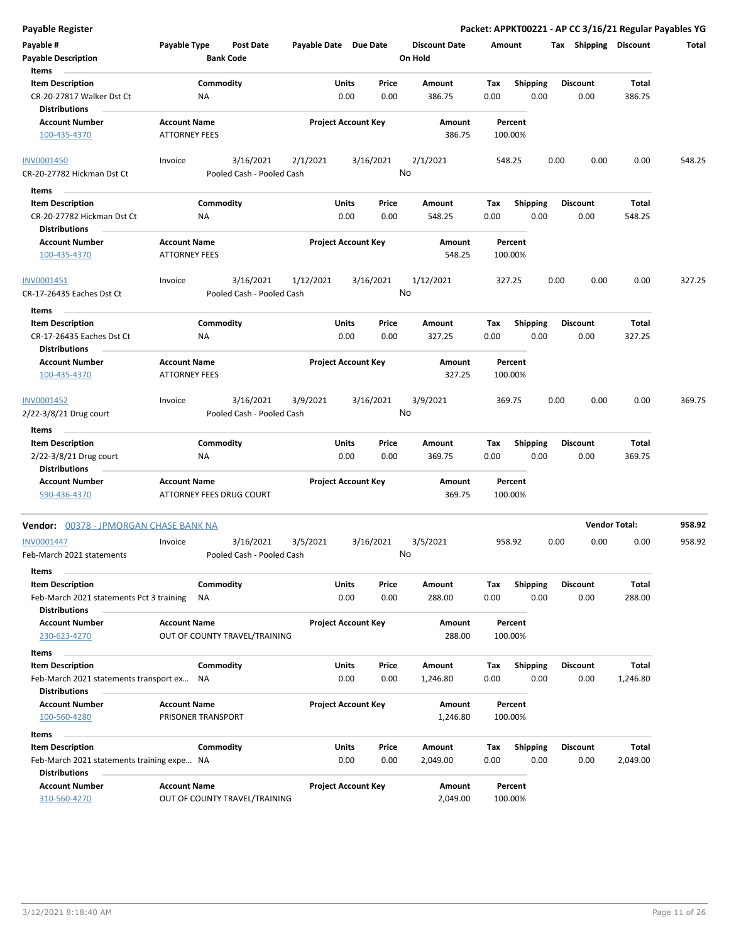| Payable #<br><b>Payable Description</b><br>Items                             | Payable Type                                |                 | <b>Post Date</b><br><b>Bank Code</b>   | Payable Date Due Date |               |                            | <b>Discount Date</b><br>On Hold | Amount      |                         |      | Tax Shipping Discount   |                        | Total  |
|------------------------------------------------------------------------------|---------------------------------------------|-----------------|----------------------------------------|-----------------------|---------------|----------------------------|---------------------------------|-------------|-------------------------|------|-------------------------|------------------------|--------|
| <b>Item Description</b><br>CR-20-27817 Walker Dst Ct<br><b>Distributions</b> |                                             | Commodity<br>ΝA |                                        |                       | Units<br>0.00 | Price<br>0.00              | Amount<br>386.75                | Tax<br>0.00 | <b>Shipping</b><br>0.00 |      | Discount<br>0.00        | <b>Total</b><br>386.75 |        |
| <b>Account Number</b><br>100-435-4370                                        | <b>Account Name</b><br><b>ATTORNEY FEES</b> |                 |                                        |                       |               | <b>Project Account Key</b> | Amount<br>386.75                |             | Percent<br>100.00%      |      |                         |                        |        |
| INV0001450<br>CR-20-27782 Hickman Dst Ct                                     | Invoice                                     |                 | 3/16/2021<br>Pooled Cash - Pooled Cash | 2/1/2021              |               | 3/16/2021                  | 2/1/2021<br>No                  |             | 548.25                  | 0.00 | 0.00                    | 0.00                   | 548.25 |
| Items                                                                        |                                             |                 |                                        |                       |               |                            |                                 |             |                         |      |                         |                        |        |
| <b>Item Description</b>                                                      |                                             | Commodity       |                                        |                       | Units         | Price                      | Amount                          | Tax         | <b>Shipping</b>         |      | <b>Discount</b>         | Total                  |        |
| CR-20-27782 Hickman Dst Ct<br><b>Distributions</b>                           |                                             | ΝA              |                                        |                       | 0.00          | 0.00                       | 548.25                          | 0.00        | 0.00                    |      | 0.00                    | 548.25                 |        |
| <b>Account Number</b><br>100-435-4370                                        | <b>Account Name</b><br><b>ATTORNEY FEES</b> |                 |                                        |                       |               | <b>Project Account Key</b> | Amount<br>548.25                |             | Percent<br>100.00%      |      |                         |                        |        |
| INV0001451<br>CR-17-26435 Eaches Dst Ct                                      | Invoice                                     |                 | 3/16/2021<br>Pooled Cash - Pooled Cash | 1/12/2021             |               | 3/16/2021                  | 1/12/2021<br>No                 |             | 327.25                  | 0.00 | 0.00                    | 0.00                   | 327.25 |
| Items                                                                        |                                             |                 |                                        |                       |               |                            |                                 |             |                         |      |                         |                        |        |
| <b>Item Description</b><br>CR-17-26435 Eaches Dst Ct                         |                                             | Commodity<br>ΝA |                                        |                       | Units<br>0.00 | Price<br>0.00              | Amount<br>327.25                | Tax<br>0.00 | <b>Shipping</b><br>0.00 |      | <b>Discount</b><br>0.00 | Total<br>327.25        |        |
| <b>Distributions</b>                                                         |                                             |                 |                                        |                       |               |                            |                                 |             |                         |      |                         |                        |        |
| <b>Account Number</b><br>100-435-4370                                        | <b>Account Name</b><br><b>ATTORNEY FEES</b> |                 |                                        |                       |               | <b>Project Account Key</b> | Amount<br>327.25                |             | Percent<br>100.00%      |      |                         |                        |        |
| INV0001452                                                                   | Invoice                                     |                 | 3/16/2021                              | 3/9/2021              |               | 3/16/2021                  | 3/9/2021                        |             | 369.75                  | 0.00 | 0.00                    | 0.00                   | 369.75 |
| 2/22-3/8/21 Drug court                                                       |                                             |                 | Pooled Cash - Pooled Cash              |                       |               |                            | No                              |             |                         |      |                         |                        |        |
| Items<br><b>Item Description</b>                                             |                                             | Commodity       |                                        |                       | Units         | Price                      | Amount                          | Tax         | <b>Shipping</b>         |      | <b>Discount</b>         | <b>Total</b>           |        |
| 2/22-3/8/21 Drug court                                                       |                                             | ΝA              |                                        |                       | 0.00          | 0.00                       | 369.75                          | 0.00        | 0.00                    |      | 0.00                    | 369.75                 |        |
| <b>Distributions</b>                                                         |                                             |                 |                                        |                       |               |                            |                                 |             |                         |      |                         |                        |        |
| <b>Account Number</b><br>590-436-4370                                        | <b>Account Name</b>                         |                 | ATTORNEY FEES DRUG COURT               |                       |               | <b>Project Account Key</b> | Amount<br>369.75                |             | Percent<br>100.00%      |      |                         |                        |        |
| Vendor: 00378 - JPMORGAN CHASE BANK NA                                       |                                             |                 |                                        |                       |               |                            |                                 |             |                         |      | <b>Vendor Total:</b>    |                        | 958.92 |
| INV0001447<br>Feb-March 2021 statements                                      | Invoice                                     |                 | 3/16/2021<br>Pooled Cash - Pooled Cash | 3/5/2021              |               | 3/16/2021                  | 3/5/2021<br>No                  |             | 958.92                  | 0.00 | 0.00                    | 0.00                   | 958.92 |
| Items                                                                        |                                             |                 |                                        |                       |               |                            |                                 |             |                         |      |                         |                        |        |
| <b>Item Description</b><br>Feb-March 2021 statements Pct 3 training          |                                             | Commodity<br>ΝA |                                        |                       | Units<br>0.00 | Price<br>0.00              | Amount<br>288.00                | Тах<br>0.00 | <b>Shipping</b><br>0.00 |      | Discount<br>0.00        | Total<br>288.00        |        |
| Distributions<br><b>Account Number</b>                                       | <b>Account Name</b>                         |                 |                                        |                       |               | <b>Project Account Key</b> | Amount                          |             | Percent                 |      |                         |                        |        |
| 230-623-4270                                                                 |                                             |                 | OUT OF COUNTY TRAVEL/TRAINING          |                       |               |                            | 288.00                          |             | 100.00%                 |      |                         |                        |        |
| Items                                                                        |                                             |                 |                                        |                       |               |                            |                                 |             |                         |      |                         |                        |        |
| <b>Item Description</b>                                                      |                                             | Commodity       |                                        |                       | Units         | Price                      | Amount                          | Tax         | <b>Shipping</b>         |      | <b>Discount</b>         | Total                  |        |
| Feb-March 2021 statements transport ex<br><b>Distributions</b>               |                                             | NA              |                                        |                       | 0.00          | 0.00                       | 1,246.80                        | 0.00        | 0.00                    |      | 0.00                    | 1,246.80               |        |
| <b>Account Number</b>                                                        | <b>Account Name</b>                         |                 |                                        |                       |               | <b>Project Account Key</b> | Amount                          |             | Percent                 |      |                         |                        |        |
| 100-560-4280                                                                 | PRISONER TRANSPORT                          |                 |                                        |                       |               |                            | 1,246.80                        |             | 100.00%                 |      |                         |                        |        |
| Items                                                                        |                                             |                 |                                        |                       |               |                            |                                 |             |                         |      |                         |                        |        |
| <b>Item Description</b>                                                      |                                             | Commodity       |                                        |                       | Units         | Price                      | Amount                          | Tax         | <b>Shipping</b>         |      | Discount                | Total                  |        |
| Feb-March 2021 statements training expe NA<br><b>Distributions</b>           |                                             |                 |                                        |                       | 0.00          | 0.00                       | 2,049.00                        | 0.00        | 0.00                    |      | 0.00                    | 2,049.00               |        |
| <b>Account Number</b><br>310-560-4270                                        | <b>Account Name</b>                         |                 | OUT OF COUNTY TRAVEL/TRAINING          |                       |               | <b>Project Account Key</b> | Amount<br>2,049.00              |             | Percent<br>100.00%      |      |                         |                        |        |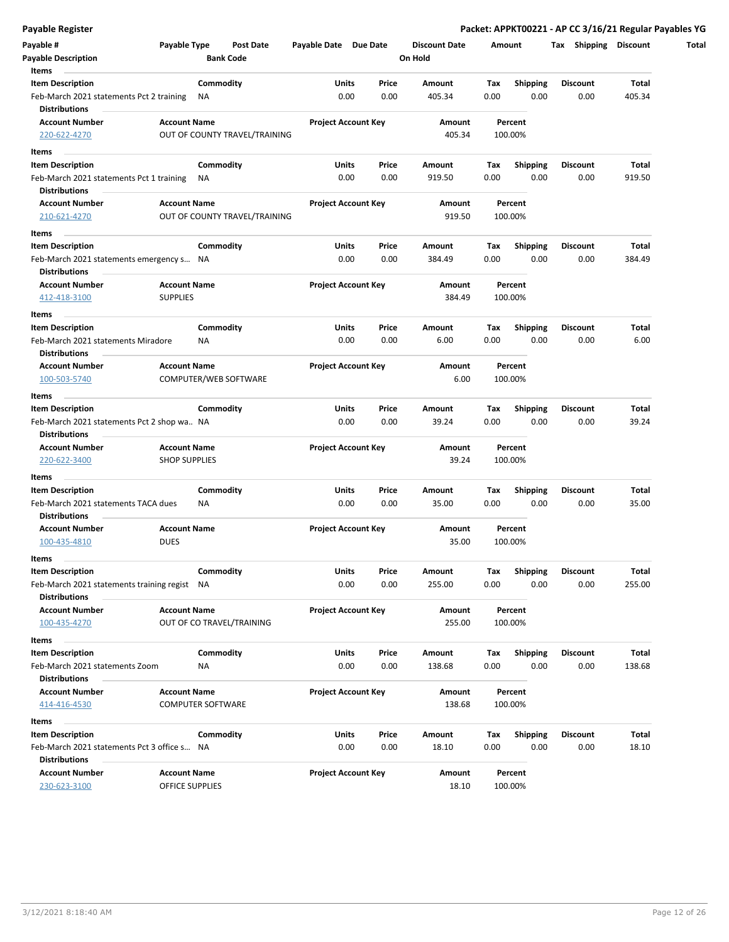| Payable #                                    | Payable Type             |                  | <b>Post Date</b>              | Payable Date Due Date      |                            |       | <b>Discount Date</b> |      | Amount          | Shipping<br>Tax | <b>Discount</b> |
|----------------------------------------------|--------------------------|------------------|-------------------------------|----------------------------|----------------------------|-------|----------------------|------|-----------------|-----------------|-----------------|
| <b>Payable Description</b>                   |                          | <b>Bank Code</b> |                               |                            |                            |       | On Hold              |      |                 |                 |                 |
| Items                                        |                          |                  |                               |                            |                            |       |                      |      |                 |                 |                 |
| <b>Item Description</b>                      |                          | Commodity        |                               |                            | Units                      | Price | Amount               | Tax  | <b>Shipping</b> | <b>Discount</b> | <b>Total</b>    |
| Feb-March 2021 statements Pct 2 training     |                          | ΝA               |                               |                            | 0.00                       | 0.00  | 405.34               | 0.00 | 0.00            | 0.00            | 405.34          |
| <b>Distributions</b>                         |                          |                  |                               |                            |                            |       |                      |      |                 |                 |                 |
| <b>Account Number</b>                        | <b>Account Name</b>      |                  |                               | <b>Project Account Key</b> |                            |       | <b>Amount</b>        |      | Percent         |                 |                 |
| 220-622-4270                                 |                          |                  | OUT OF COUNTY TRAVEL/TRAINING |                            |                            |       | 405.34               |      | 100.00%         |                 |                 |
| Items                                        |                          |                  |                               |                            |                            |       |                      |      |                 |                 |                 |
| <b>Item Description</b>                      |                          | Commodity        |                               |                            | Units                      | Price | Amount               | Тах  | <b>Shipping</b> | <b>Discount</b> | Total           |
| Feb-March 2021 statements Pct 1 training     |                          | NA               |                               |                            | 0.00                       | 0.00  | 919.50               | 0.00 | 0.00            | 0.00            | 919.50          |
| <b>Distributions</b>                         |                          |                  |                               |                            |                            |       |                      |      |                 |                 |                 |
| <b>Account Number</b>                        | <b>Account Name</b>      |                  |                               | <b>Project Account Key</b> |                            |       | Amount               |      | Percent         |                 |                 |
| 210-621-4270                                 |                          |                  | OUT OF COUNTY TRAVEL/TRAINING |                            |                            |       | 919.50               |      | 100.00%         |                 |                 |
| Items                                        |                          |                  |                               |                            |                            |       |                      |      |                 |                 |                 |
| <b>Item Description</b>                      |                          | Commodity        |                               |                            | Units                      | Price | Amount               | Tax  | <b>Shipping</b> | <b>Discount</b> | Total           |
| Feb-March 2021 statements emergency s NA     |                          |                  |                               |                            | 0.00                       | 0.00  | 384.49               | 0.00 | 0.00            | 0.00            | 384.49          |
| <b>Distributions</b>                         |                          |                  |                               |                            |                            |       |                      |      |                 |                 |                 |
| <b>Account Number</b>                        | <b>Account Name</b>      |                  |                               | <b>Project Account Key</b> |                            |       | <b>Amount</b>        |      | Percent         |                 |                 |
| 412-418-3100                                 | <b>SUPPLIES</b>          |                  |                               |                            |                            |       | 384.49               |      | 100.00%         |                 |                 |
| Items                                        |                          |                  |                               |                            |                            |       |                      |      |                 |                 |                 |
| <b>Item Description</b>                      |                          | Commodity        |                               |                            | Units                      | Price | Amount               | Tax  | <b>Shipping</b> | <b>Discount</b> | Total           |
| Feb-March 2021 statements Miradore           |                          | ΝA               |                               |                            | 0.00                       | 0.00  | 6.00                 | 0.00 | 0.00            | 0.00            | 6.00            |
| <b>Distributions</b>                         |                          |                  |                               |                            |                            |       |                      |      |                 |                 |                 |
| <b>Account Number</b>                        | <b>Account Name</b>      |                  |                               |                            | <b>Project Account Key</b> |       | Amount               |      | Percent         |                 |                 |
| 100-503-5740                                 |                          |                  | COMPUTER/WEB SOFTWARE         |                            |                            |       | 6.00                 |      | 100.00%         |                 |                 |
| Items                                        |                          |                  |                               |                            |                            |       |                      |      |                 |                 |                 |
| <b>Item Description</b>                      |                          | Commodity        |                               |                            | Units                      | Price | Amount               | Тах  | <b>Shipping</b> | <b>Discount</b> | Total           |
| Feb-March 2021 statements Pct 2 shop wa NA   |                          |                  |                               |                            | 0.00                       | 0.00  | 39.24                | 0.00 | 0.00            | 0.00            | 39.24           |
| <b>Distributions</b>                         |                          |                  |                               |                            |                            |       |                      |      |                 |                 |                 |
| <b>Account Number</b>                        | <b>Account Name</b>      |                  |                               | <b>Project Account Key</b> |                            |       | Amount               |      | Percent         |                 |                 |
| 220-622-3400                                 | <b>SHOP SUPPLIES</b>     |                  |                               |                            |                            |       | 39.24                |      | 100.00%         |                 |                 |
| Items                                        |                          |                  |                               |                            |                            |       |                      |      |                 |                 |                 |
| <b>Item Description</b>                      |                          | Commodity        |                               |                            | Units                      | Price | Amount               | Tax  | <b>Shipping</b> | <b>Discount</b> | Total           |
| Feb-March 2021 statements TACA dues          |                          | NA               |                               |                            | 0.00                       | 0.00  | 35.00                | 0.00 | 0.00            | 0.00            | 35.00           |
| <b>Distributions</b>                         |                          |                  |                               |                            |                            |       |                      |      |                 |                 |                 |
| <b>Account Number</b>                        | <b>Account Name</b>      |                  |                               | <b>Project Account Key</b> |                            |       | Amount               |      | Percent         |                 |                 |
| 100-435-4810                                 | <b>DUES</b>              |                  |                               |                            |                            |       | 35.00                |      | 100.00%         |                 |                 |
| Items                                        |                          |                  |                               |                            |                            |       |                      |      |                 |                 |                 |
| <b>Item Description</b>                      |                          | Commodity        |                               |                            | Units                      | Price | Amount               | Tax  | Shipping        | <b>Discount</b> | Total           |
| Feb-March 2021 statements training regist NA |                          |                  |                               |                            | 0.00                       | 0.00  | 255.00               | 0.00 | 0.00            | 0.00            | 255.00          |
| <b>Distributions</b>                         |                          |                  |                               |                            |                            |       |                      |      |                 |                 |                 |
| <b>Account Number</b>                        | <b>Account Name</b>      |                  |                               |                            | <b>Project Account Key</b> |       | Amount               |      | Percent         |                 |                 |
| 100-435-4270                                 |                          |                  | OUT OF CO TRAVEL/TRAINING     |                            |                            |       | 255.00               |      | 100.00%         |                 |                 |
| Items                                        |                          |                  |                               |                            |                            |       |                      |      |                 |                 |                 |
| <b>Item Description</b>                      |                          | Commodity        |                               |                            | Units                      | Price | Amount               | Tax  | <b>Shipping</b> | <b>Discount</b> | Total           |
| Feb-March 2021 statements Zoom               |                          | ΝA               |                               |                            | 0.00                       | 0.00  | 138.68               | 0.00 | 0.00            | 0.00            | 138.68          |
| <b>Distributions</b>                         |                          |                  |                               |                            |                            |       |                      |      |                 |                 |                 |
| <b>Account Number</b>                        | <b>Account Name</b>      |                  |                               | <b>Project Account Key</b> |                            |       | Amount               |      | Percent         |                 |                 |
| 414-416-4530                                 | <b>COMPUTER SOFTWARE</b> |                  |                               |                            |                            |       | 138.68               |      | 100.00%         |                 |                 |
|                                              |                          |                  |                               |                            |                            |       |                      |      |                 |                 |                 |
| Items                                        |                          |                  |                               |                            |                            |       |                      |      |                 |                 |                 |
| <b>Item Description</b>                      |                          | Commodity        |                               |                            | Units                      | Price | Amount               | Tax  | <b>Shipping</b> | <b>Discount</b> | Total           |
| Feb-March 2021 statements Pct 3 office s NA  |                          |                  |                               |                            | 0.00                       | 0.00  | 18.10                | 0.00 | 0.00            | 0.00            | 18.10           |
| <b>Distributions</b>                         | <b>Account Name</b>      |                  |                               |                            | <b>Project Account Key</b> |       |                      |      |                 |                 |                 |
| <b>Account Number</b>                        | <b>OFFICE SUPPLIES</b>   |                  |                               |                            |                            |       | Amount               |      | Percent         |                 |                 |
| 230-623-3100                                 |                          |                  |                               |                            |                            |       | 18.10                |      | 100.00%         |                 |                 |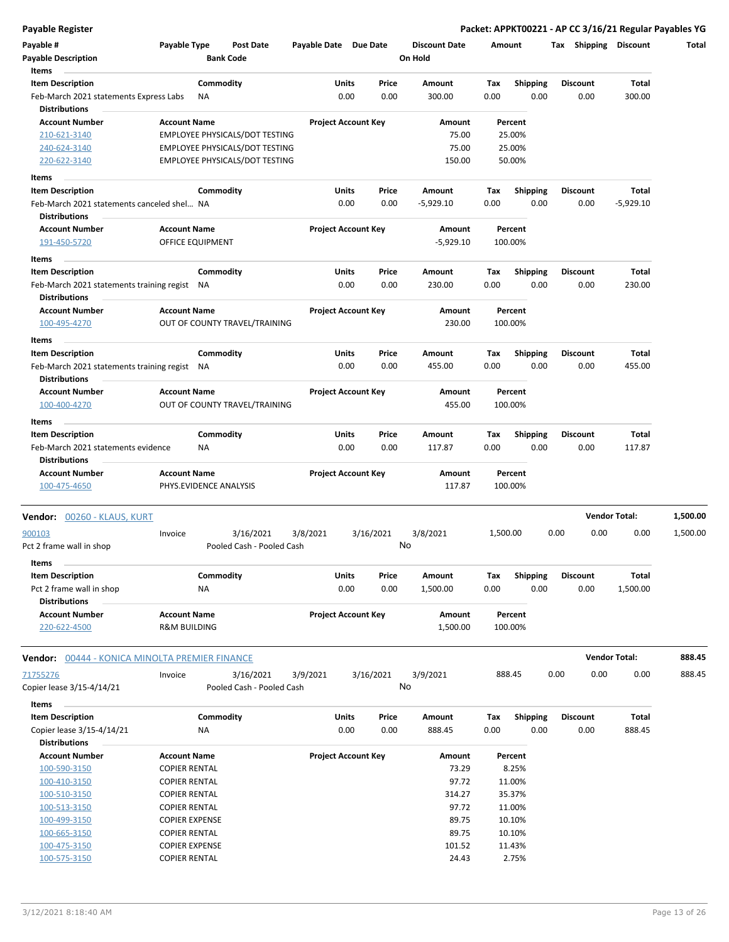| Payable #                                                            | Payable Type                            |           | <b>Post Date</b>               | Payable Date Due Date |                            |           | <b>Discount Date</b>  |          | Amount             |      | Tax Shipping    | <b>Discount</b>      | Total    |
|----------------------------------------------------------------------|-----------------------------------------|-----------|--------------------------------|-----------------------|----------------------------|-----------|-----------------------|----------|--------------------|------|-----------------|----------------------|----------|
| <b>Payable Description</b><br>Items                                  |                                         |           | <b>Bank Code</b>               |                       |                            |           | On Hold               |          |                    |      |                 |                      |          |
| <b>Item Description</b>                                              |                                         | Commodity |                                |                       | Units                      | Price     | Amount                | Tax      | <b>Shipping</b>    |      | <b>Discount</b> | Total                |          |
| Feb-March 2021 statements Express Labs                               |                                         | NA        |                                |                       | 0.00                       | 0.00      | 300.00                | 0.00     | 0.00               |      | 0.00            | 300.00               |          |
| <b>Distributions</b>                                                 |                                         |           |                                |                       | <b>Project Account Key</b> |           |                       |          |                    |      |                 |                      |          |
| <b>Account Number</b><br>210-621-3140                                | <b>Account Name</b>                     |           | EMPLOYEE PHYSICALS/DOT TESTING |                       |                            |           | Amount<br>75.00       |          | Percent<br>25.00%  |      |                 |                      |          |
| 240-624-3140                                                         |                                         |           | EMPLOYEE PHYSICALS/DOT TESTING |                       |                            |           | 75.00                 |          | 25.00%             |      |                 |                      |          |
| 220-622-3140                                                         |                                         |           | EMPLOYEE PHYSICALS/DOT TESTING |                       |                            |           | 150.00                |          | 50.00%             |      |                 |                      |          |
|                                                                      |                                         |           |                                |                       |                            |           |                       |          |                    |      |                 |                      |          |
| Items                                                                |                                         |           |                                |                       |                            |           |                       |          |                    |      |                 |                      |          |
| <b>Item Description</b>                                              |                                         | Commodity |                                |                       | Units                      | Price     | Amount                | Tax      | <b>Shipping</b>    |      | <b>Discount</b> | Total                |          |
| Feb-March 2021 statements canceled shel NA<br><b>Distributions</b>   |                                         |           |                                |                       | 0.00                       | 0.00      | $-5,929.10$           | 0.00     | 0.00               |      | 0.00            | $-5,929.10$          |          |
| <b>Account Number</b><br>191-450-5720                                | <b>Account Name</b><br>OFFICE EQUIPMENT |           |                                |                       | <b>Project Account Key</b> |           | Amount<br>$-5,929.10$ |          | Percent<br>100.00% |      |                 |                      |          |
| Items                                                                |                                         |           |                                |                       |                            |           |                       |          |                    |      |                 |                      |          |
| <b>Item Description</b>                                              |                                         | Commodity |                                |                       | Units                      | Price     | Amount                | Tax      | <b>Shipping</b>    |      | <b>Discount</b> | Total                |          |
| Feb-March 2021 statements training regist NA<br><b>Distributions</b> |                                         |           |                                |                       | 0.00                       | 0.00      | 230.00                | 0.00     | 0.00               |      | 0.00            | 230.00               |          |
| <b>Account Number</b>                                                | <b>Account Name</b>                     |           |                                |                       | <b>Project Account Key</b> |           | Amount                |          | Percent            |      |                 |                      |          |
| 100-495-4270                                                         |                                         |           | OUT OF COUNTY TRAVEL/TRAINING  |                       |                            |           | 230.00                |          | 100.00%            |      |                 |                      |          |
| Items                                                                |                                         |           |                                |                       |                            |           |                       |          |                    |      |                 |                      |          |
| <b>Item Description</b>                                              |                                         | Commodity |                                |                       | Units                      | Price     | Amount                | Tax      | <b>Shipping</b>    |      | Discount        | Total                |          |
| Feb-March 2021 statements training regist NA                         |                                         |           |                                |                       | 0.00                       | 0.00      | 455.00                | 0.00     | 0.00               |      | 0.00            | 455.00               |          |
| <b>Distributions</b>                                                 |                                         |           |                                |                       |                            |           |                       |          |                    |      |                 |                      |          |
| <b>Account Number</b>                                                | <b>Account Name</b>                     |           |                                |                       | <b>Project Account Key</b> |           | Amount                |          | Percent            |      |                 |                      |          |
| 100-400-4270                                                         |                                         |           | OUT OF COUNTY TRAVEL/TRAINING  |                       |                            |           | 455.00                |          | 100.00%            |      |                 |                      |          |
| Items                                                                |                                         |           |                                |                       |                            |           |                       |          |                    |      |                 |                      |          |
| <b>Item Description</b>                                              |                                         | Commodity |                                |                       | Units                      | Price     | Amount                | Тах      | <b>Shipping</b>    |      | <b>Discount</b> | Total                |          |
| Feb-March 2021 statements evidence                                   |                                         | NA        |                                |                       | 0.00                       | 0.00      | 117.87                | 0.00     | 0.00               |      | 0.00            | 117.87               |          |
| <b>Distributions</b>                                                 |                                         |           |                                |                       |                            |           |                       |          |                    |      |                 |                      |          |
| <b>Account Number</b>                                                | <b>Account Name</b>                     |           |                                |                       | <b>Project Account Key</b> |           | Amount                |          | Percent            |      |                 |                      |          |
| 100-475-4650                                                         |                                         |           | PHYS.EVIDENCE ANALYSIS         |                       |                            |           | 117.87                |          | 100.00%            |      |                 |                      |          |
| Vendor: 00260 - KLAUS, KURT                                          |                                         |           |                                |                       |                            |           |                       |          |                    |      |                 | <b>Vendor Total:</b> | 1,500.00 |
| 900103                                                               | Invoice                                 |           | 3/16/2021                      | 3/8/2021              |                            | 3/16/2021 | 3/8/2021              | 1,500.00 |                    | 0.00 | 0.00            | 0.00                 | 1,500.00 |
| Pct 2 frame wall in shop                                             |                                         |           | Pooled Cash - Pooled Cash      |                       |                            |           | No                    |          |                    |      |                 |                      |          |
| Items                                                                |                                         |           |                                |                       |                            |           |                       |          |                    |      |                 |                      |          |
| <b>Item Description</b>                                              |                                         | Commodity |                                |                       | Units                      | Price     | Amount                | Tax      | Shipping           |      | Discount        | Total                |          |
| Pct 2 frame wall in shop<br><b>Distributions</b>                     |                                         | NA        |                                |                       | 0.00                       | 0.00      | 1,500.00              | 0.00     | 0.00               |      | 0.00            | 1,500.00             |          |
| <b>Account Number</b>                                                | <b>Account Name</b>                     |           |                                |                       | <b>Project Account Key</b> |           | Amount                |          | Percent            |      |                 |                      |          |
| 220-622-4500                                                         | R&M BUILDING                            |           |                                |                       |                            |           | 1,500.00              |          | 100.00%            |      |                 |                      |          |
| Vendor: 00444 - KONICA MINOLTA PREMIER FINANCE                       |                                         |           |                                |                       |                            |           |                       |          |                    |      |                 | <b>Vendor Total:</b> | 888.45   |
| 71755276                                                             | Invoice                                 |           | 3/16/2021                      | 3/9/2021              |                            | 3/16/2021 | 3/9/2021              |          | 888.45             | 0.00 | 0.00            | 0.00                 | 888.45   |
| Copier lease 3/15-4/14/21                                            |                                         |           | Pooled Cash - Pooled Cash      |                       |                            |           | No                    |          |                    |      |                 |                      |          |
| Items                                                                |                                         |           |                                |                       |                            |           |                       |          |                    |      |                 |                      |          |
| <b>Item Description</b>                                              |                                         | Commodity |                                |                       | Units                      | Price     | Amount                | Tax      | Shipping           |      | Discount        | Total                |          |
| Copier lease 3/15-4/14/21                                            |                                         | NA        |                                |                       | 0.00                       | 0.00      | 888.45                | 0.00     | 0.00               |      | 0.00            | 888.45               |          |
| <b>Distributions</b>                                                 |                                         |           |                                |                       |                            |           |                       |          |                    |      |                 |                      |          |
| <b>Account Number</b>                                                | <b>Account Name</b>                     |           |                                |                       | <b>Project Account Key</b> |           | Amount                |          | Percent            |      |                 |                      |          |
| 100-590-3150                                                         | <b>COPIER RENTAL</b>                    |           |                                |                       |                            |           | 73.29                 |          | 8.25%              |      |                 |                      |          |
| 100-410-3150                                                         | <b>COPIER RENTAL</b>                    |           |                                |                       |                            |           | 97.72                 |          | 11.00%             |      |                 |                      |          |
| 100-510-3150                                                         | <b>COPIER RENTAL</b>                    |           |                                |                       |                            |           | 314.27                |          | 35.37%             |      |                 |                      |          |
| 100-513-3150                                                         | <b>COPIER RENTAL</b>                    |           |                                |                       |                            |           | 97.72                 |          | 11.00%             |      |                 |                      |          |
| 100-499-3150                                                         | <b>COPIER EXPENSE</b>                   |           |                                |                       |                            |           | 89.75                 |          | 10.10%             |      |                 |                      |          |
| 100-665-3150                                                         | <b>COPIER RENTAL</b>                    |           |                                |                       |                            |           | 89.75                 |          | 10.10%             |      |                 |                      |          |
| 100-475-3150                                                         | <b>COPIER EXPENSE</b>                   |           |                                |                       |                            |           | 101.52                |          | 11.43%             |      |                 |                      |          |
| 100-575-3150                                                         | <b>COPIER RENTAL</b>                    |           |                                |                       |                            |           | 24.43                 |          | 2.75%              |      |                 |                      |          |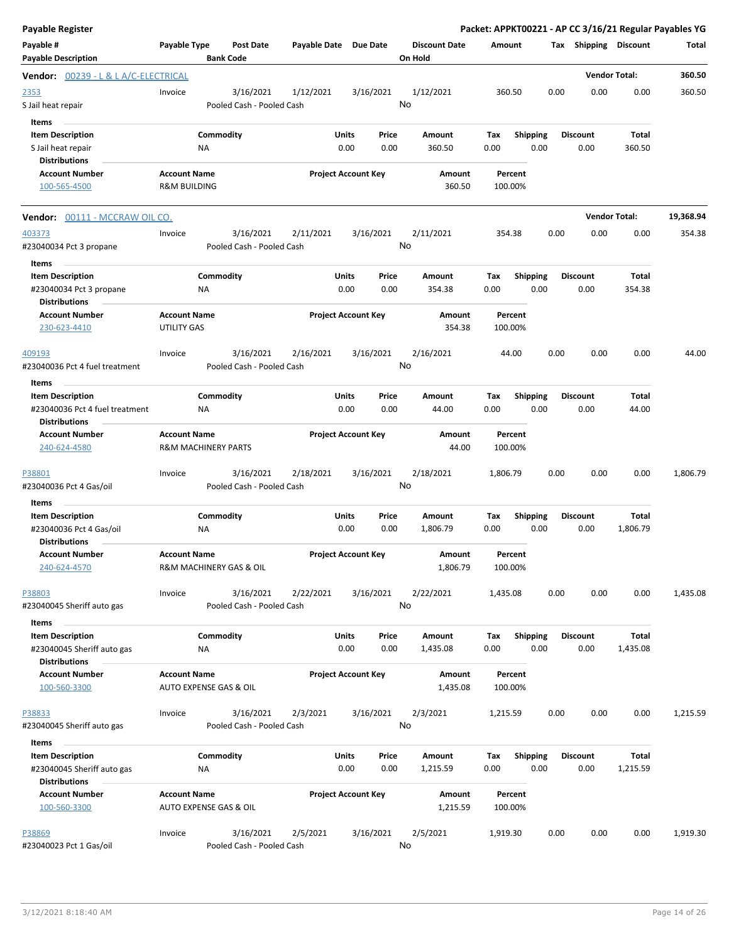| <b>Payable Register</b>                                                                |                                                |                                        |                       |                            |               |                                 |             |                    |                         |      |                         |                      | Packet: APPKT00221 - AP CC 3/16/21 Regular Payables YG |
|----------------------------------------------------------------------------------------|------------------------------------------------|----------------------------------------|-----------------------|----------------------------|---------------|---------------------------------|-------------|--------------------|-------------------------|------|-------------------------|----------------------|--------------------------------------------------------|
| Payable #<br><b>Payable Description</b>                                                | Payable Type                                   | <b>Post Date</b><br><b>Bank Code</b>   | Payable Date Due Date |                            |               | <b>Discount Date</b><br>On Hold |             | Amount             |                         |      | Tax Shipping Discount   |                      | Total                                                  |
| Vendor: 00239 - L & L A/C-ELECTRICAL                                                   |                                                |                                        |                       |                            |               |                                 |             |                    |                         |      |                         | <b>Vendor Total:</b> | 360.50                                                 |
| 2353<br>S Jail heat repair<br>Items                                                    | Invoice                                        | 3/16/2021<br>Pooled Cash - Pooled Cash | 1/12/2021             |                            | 3/16/2021     | 1/12/2021<br>No                 |             | 360.50             |                         | 0.00 | 0.00                    | 0.00                 | 360.50                                                 |
| <b>Item Description</b><br>S Jail heat repair<br><b>Distributions</b>                  |                                                | Commodity<br>ΝA                        |                       | Units<br>0.00              | Price<br>0.00 | Amount<br>360.50                | Tax<br>0.00 |                    | <b>Shipping</b><br>0.00 |      | <b>Discount</b><br>0.00 | Total<br>360.50      |                                                        |
| <b>Account Number</b><br>100-565-4500                                                  | <b>Account Name</b><br><b>R&amp;M BUILDING</b> |                                        |                       | <b>Project Account Key</b> |               | Amount<br>360.50                |             | Percent<br>100.00% |                         |      |                         |                      |                                                        |
| Vendor: 00111 - MCCRAW OIL CO.                                                         |                                                |                                        |                       |                            |               |                                 |             |                    |                         |      |                         | <b>Vendor Total:</b> | 19,368.94                                              |
| 403373<br>#23040034 Pct 3 propane<br>Items                                             | Invoice                                        | 3/16/2021<br>Pooled Cash - Pooled Cash | 2/11/2021             |                            | 3/16/2021     | 2/11/2021<br>No                 |             | 354.38             |                         | 0.00 | 0.00                    | 0.00                 | 354.38                                                 |
| <b>Item Description</b><br>#23040034 Pct 3 propane<br><b>Distributions</b>             |                                                | Commodity<br><b>NA</b>                 |                       | Units<br>0.00              | Price<br>0.00 | Amount<br>354.38                | Tax<br>0.00 |                    | <b>Shipping</b><br>0.00 |      | <b>Discount</b><br>0.00 | Total<br>354.38      |                                                        |
| <b>Account Number</b><br>230-623-4410                                                  | <b>Account Name</b><br>UTILITY GAS             |                                        |                       | <b>Project Account Key</b> |               | Amount<br>354.38                |             | Percent<br>100.00% |                         |      |                         |                      |                                                        |
| 409193<br>#23040036 Pct 4 fuel treatment                                               | Invoice                                        | 3/16/2021<br>Pooled Cash - Pooled Cash | 2/16/2021             |                            | 3/16/2021     | 2/16/2021<br>No                 |             | 44.00              |                         | 0.00 | 0.00                    | 0.00                 | 44.00                                                  |
| Items                                                                                  |                                                |                                        |                       |                            |               |                                 |             |                    |                         |      |                         |                      |                                                        |
| <b>Item Description</b><br>#23040036 Pct 4 fuel treatment<br><b>Distributions</b>      |                                                | Commodity<br>ΝA                        |                       | Units<br>0.00              | Price<br>0.00 | Amount<br>44.00                 | Tax<br>0.00 |                    | <b>Shipping</b><br>0.00 |      | <b>Discount</b><br>0.00 | Total<br>44.00       |                                                        |
| <b>Account Number</b><br>240-624-4580                                                  | <b>Account Name</b>                            | <b>R&amp;M MACHINERY PARTS</b>         |                       | <b>Project Account Key</b> |               | Amount<br>44.00                 |             | Percent<br>100.00% |                         |      |                         |                      |                                                        |
| P38801<br>#23040036 Pct 4 Gas/oil                                                      | Invoice                                        | 3/16/2021<br>Pooled Cash - Pooled Cash | 2/18/2021             |                            | 3/16/2021     | 2/18/2021<br>No                 |             | 1,806.79           |                         | 0.00 | 0.00                    | 0.00                 | 1,806.79                                               |
| Items<br><b>Item Description</b>                                                       |                                                | Commodity                              |                       | Units                      | Price         | Amount                          | Tax         |                    | <b>Shipping</b>         |      | <b>Discount</b>         | Total                |                                                        |
| #23040036 Pct 4 Gas/oil<br><b>Distributions</b>                                        |                                                | ΝA                                     |                       | 0.00                       | 0.00          | 1,806.79                        | 0.00        |                    | 0.00                    |      | 0.00                    | 1,806.79             |                                                        |
| <b>Account Number</b><br>240-624-4570                                                  | <b>Account Name</b>                            | R&M MACHINERY GAS & OIL                |                       | <b>Project Account Key</b> |               | Amount<br>1,806.79              |             | Percent<br>100.00% |                         |      |                         |                      |                                                        |
| P38803<br>#23040045 Sheriff auto gas                                                   | Invoice                                        | 3/16/2021<br>Pooled Cash - Pooled Cash | 2/22/2021             |                            | 3/16/2021     | 2/22/2021<br>No                 |             | 1,435.08           |                         | 0.00 | 0.00                    | 0.00                 | 1,435.08                                               |
| Items<br><b>Item Description</b><br>#23040045 Sheriff auto gas<br><b>Distributions</b> |                                                | Commodity<br><b>NA</b>                 |                       | Units<br>0.00              | Price<br>0.00 | Amount<br>1,435.08              | Tax<br>0.00 |                    | <b>Shipping</b><br>0.00 |      | <b>Discount</b><br>0.00 | Total<br>1,435.08    |                                                        |
| <b>Account Number</b><br>100-560-3300                                                  | <b>Account Name</b>                            | AUTO EXPENSE GAS & OIL                 |                       | <b>Project Account Key</b> |               | Amount<br>1,435.08              |             | Percent<br>100.00% |                         |      |                         |                      |                                                        |
| P38833<br>#23040045 Sheriff auto gas                                                   | Invoice                                        | 3/16/2021<br>Pooled Cash - Pooled Cash | 2/3/2021              |                            | 3/16/2021     | 2/3/2021<br>No                  |             | 1,215.59           |                         | 0.00 | 0.00                    | 0.00                 | 1,215.59                                               |
| Items<br><b>Item Description</b><br>#23040045 Sheriff auto gas<br><b>Distributions</b> |                                                | Commodity<br>ΝA                        |                       | Units<br>0.00              | Price<br>0.00 | Amount<br>1,215.59              | Tax<br>0.00 |                    | <b>Shipping</b><br>0.00 |      | <b>Discount</b><br>0.00 | Total<br>1,215.59    |                                                        |
| <b>Account Number</b><br>100-560-3300                                                  | <b>Account Name</b>                            | AUTO EXPENSE GAS & OIL                 |                       | <b>Project Account Key</b> |               | Amount<br>1,215.59              |             | Percent<br>100.00% |                         |      |                         |                      |                                                        |
| P38869<br>#23040023 Pct 1 Gas/oil                                                      | Invoice                                        | 3/16/2021<br>Pooled Cash - Pooled Cash | 2/5/2021              |                            | 3/16/2021     | 2/5/2021<br>No                  |             | 1,919.30           |                         | 0.00 | 0.00                    | 0.00                 | 1,919.30                                               |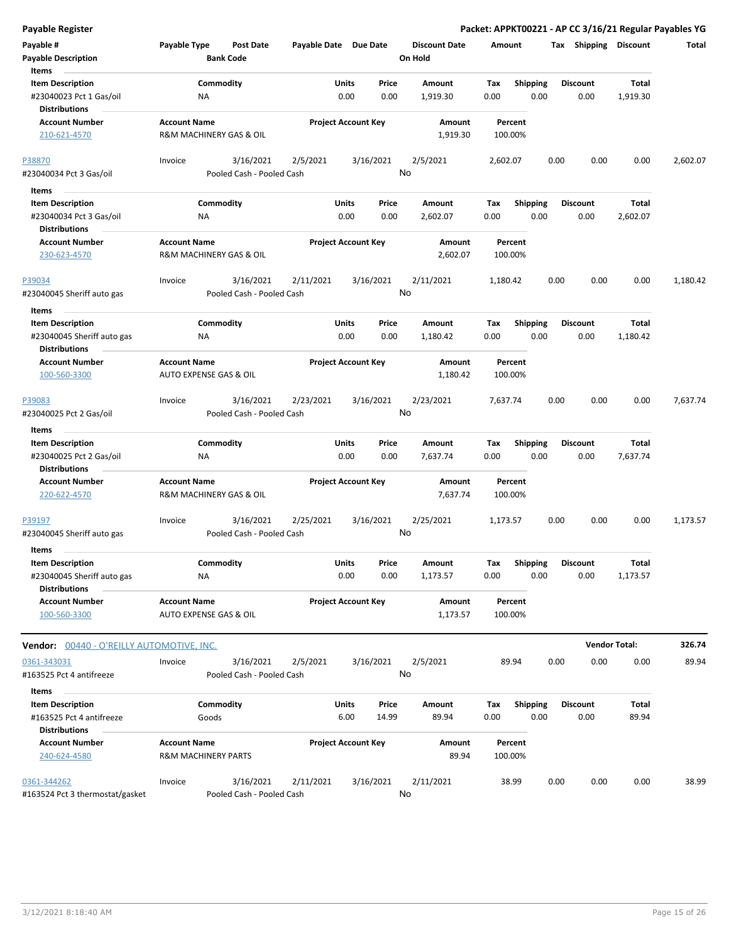|  | <b>Payable Register</b> |
|--|-------------------------|

**Payable Register Packet: APPKT00221 - AP CC 3/16/21 Regular Payables YG**

| Payable #                                          | Payable Type                   | <b>Post Date</b>          | Payable Date Due Date |                            |       | <b>Discount Date</b> | <b>Amount</b> |                 | Tax  | Shipping        | <b>Discount</b>      | Total    |
|----------------------------------------------------|--------------------------------|---------------------------|-----------------------|----------------------------|-------|----------------------|---------------|-----------------|------|-----------------|----------------------|----------|
| <b>Payable Description</b><br>Items                |                                | <b>Bank Code</b>          |                       |                            |       | On Hold              |               |                 |      |                 |                      |          |
| <b>Item Description</b>                            |                                | Commodity                 |                       | Units                      | Price | Amount               | Tax           | Shipping        |      | Discount        | <b>Total</b>         |          |
| #23040023 Pct 1 Gas/oil                            | NA                             |                           |                       | 0.00                       | 0.00  | 1,919.30             | 0.00          | 0.00            |      | 0.00            | 1,919.30             |          |
| <b>Distributions</b>                               |                                |                           |                       |                            |       |                      |               |                 |      |                 |                      |          |
| <b>Account Number</b>                              | <b>Account Name</b>            |                           |                       | <b>Project Account Key</b> |       | Amount               | Percent       |                 |      |                 |                      |          |
| 210-621-4570                                       | R&M MACHINERY GAS & OIL        |                           |                       |                            |       | 1,919.30             | 100.00%       |                 |      |                 |                      |          |
| P38870                                             | Invoice                        | 3/16/2021                 | 2/5/2021              | 3/16/2021                  |       | 2/5/2021             | 2,602.07      |                 | 0.00 | 0.00            | 0.00                 | 2,602.07 |
| #23040034 Pct 3 Gas/oil                            |                                | Pooled Cash - Pooled Cash |                       |                            |       | No                   |               |                 |      |                 |                      |          |
| Items                                              |                                |                           |                       |                            |       |                      |               |                 |      |                 |                      |          |
| <b>Item Description</b>                            |                                | Commodity                 |                       | Units                      | Price | Amount               | Tax           | Shipping        |      | Discount        | <b>Total</b>         |          |
| #23040034 Pct 3 Gas/oil                            | NA                             |                           |                       | 0.00                       | 0.00  | 2,602.07             | 0.00          | 0.00            |      | 0.00            | 2,602.07             |          |
| <b>Distributions</b>                               |                                |                           |                       |                            |       |                      |               |                 |      |                 |                      |          |
| <b>Account Number</b>                              | <b>Account Name</b>            |                           |                       | <b>Project Account Key</b> |       | Amount               | Percent       |                 |      |                 |                      |          |
| 230-623-4570                                       | R&M MACHINERY GAS & OIL        |                           |                       |                            |       | 2,602.07             | 100.00%       |                 |      |                 |                      |          |
| <u>P39034</u>                                      | Invoice                        | 3/16/2021                 | 2/11/2021             | 3/16/2021                  |       | 2/11/2021            | 1,180.42      |                 | 0.00 | 0.00            | 0.00                 | 1,180.42 |
| #23040045 Sheriff auto gas                         |                                | Pooled Cash - Pooled Cash |                       |                            |       | No                   |               |                 |      |                 |                      |          |
| Items                                              |                                |                           |                       |                            |       |                      |               |                 |      |                 |                      |          |
| <b>Item Description</b>                            |                                | Commodity                 |                       | Units                      | Price | Amount               | Tax           | <b>Shipping</b> |      | <b>Discount</b> | Total                |          |
| #23040045 Sheriff auto gas<br><b>Distributions</b> | ΝA                             |                           |                       | 0.00                       | 0.00  | 1,180.42             | 0.00          | 0.00            |      | 0.00            | 1,180.42             |          |
| <b>Account Number</b>                              | <b>Account Name</b>            |                           |                       | <b>Project Account Key</b> |       | Amount               | Percent       |                 |      |                 |                      |          |
| 100-560-3300                                       | AUTO EXPENSE GAS & OIL         |                           |                       |                            |       | 1,180.42             | 100.00%       |                 |      |                 |                      |          |
| P39083                                             | Invoice                        | 3/16/2021                 | 2/23/2021             | 3/16/2021                  |       | 2/23/2021            | 7,637.74      |                 | 0.00 | 0.00            | 0.00                 | 7,637.74 |
| #23040025 Pct 2 Gas/oil                            |                                | Pooled Cash - Pooled Cash |                       |                            |       | No                   |               |                 |      |                 |                      |          |
| Items                                              |                                |                           |                       |                            |       |                      |               |                 |      |                 |                      |          |
| <b>Item Description</b>                            |                                | Commodity                 |                       | Units                      | Price | Amount               | Tax           | <b>Shipping</b> |      | <b>Discount</b> | <b>Total</b>         |          |
| #23040025 Pct 2 Gas/oil                            | <b>NA</b>                      |                           |                       | 0.00                       | 0.00  | 7,637.74             | 0.00          | 0.00            |      | 0.00            | 7,637.74             |          |
| <b>Distributions</b>                               |                                |                           |                       |                            |       |                      |               |                 |      |                 |                      |          |
| <b>Account Number</b>                              | <b>Account Name</b>            |                           |                       | <b>Project Account Key</b> |       | Amount               | Percent       |                 |      |                 |                      |          |
| 220-622-4570                                       | R&M MACHINERY GAS & OIL        |                           |                       |                            |       | 7,637.74             | 100.00%       |                 |      |                 |                      |          |
| P39197                                             | Invoice                        | 3/16/2021                 | 2/25/2021             | 3/16/2021                  |       | 2/25/2021            | 1,173.57      |                 | 0.00 | 0.00            | 0.00                 | 1,173.57 |
| #23040045 Sheriff auto gas                         |                                | Pooled Cash - Pooled Cash |                       |                            |       | No                   |               |                 |      |                 |                      |          |
| Items<br><b>Item Description</b>                   |                                | Commodity                 |                       | Units                      | Price | Amount               | Tax           | <b>Shipping</b> |      | <b>Discount</b> | Total                |          |
| #23040045 Sheriff auto gas                         | ΝA                             |                           |                       | 0.00                       | 0.00  | 1,173.57             | 0.00          | 0.00            |      | 0.00            | 1,173.57             |          |
| <b>Distributions</b>                               |                                |                           |                       |                            |       |                      |               |                 |      |                 |                      |          |
| <b>Account Number</b>                              | <b>Account Name</b>            |                           |                       | <b>Project Account Key</b> |       | Amount               | Percent       |                 |      |                 |                      |          |
| 100-560-3300                                       | AUTO EXPENSE GAS & OIL         |                           |                       |                            |       | 1,173.57             | 100.00%       |                 |      |                 |                      |          |
| <b>Vendor:</b> 00440 - O'REILLY AUTOMOTIVE, INC.   |                                |                           |                       |                            |       |                      |               |                 |      |                 | <b>Vendor Total:</b> | 326.74   |
|                                                    | Invoice                        | 3/16/2021                 |                       |                            |       | 2/5/2021             |               |                 |      |                 |                      |          |
| 0361-343031<br>#163525 Pct 4 antifreeze            |                                | Pooled Cash - Pooled Cash | 2/5/2021              | 3/16/2021                  |       | No                   | 89.94         |                 | 0.00 | 0.00            | 0.00                 | 89.94    |
| Items                                              |                                |                           |                       |                            |       |                      |               |                 |      |                 |                      |          |
| <b>Item Description</b>                            |                                | Commodity                 |                       | Units                      | Price | Amount               | Tax           | <b>Shipping</b> |      | <b>Discount</b> | <b>Total</b>         |          |
| #163525 Pct 4 antifreeze                           | Goods                          |                           |                       | 6.00                       | 14.99 | 89.94                | 0.00          | 0.00            |      | 0.00            | 89.94                |          |
| <b>Distributions</b>                               |                                |                           |                       |                            |       |                      |               |                 |      |                 |                      |          |
| <b>Account Number</b>                              | <b>Account Name</b>            |                           |                       | <b>Project Account Key</b> |       | Amount               | Percent       |                 |      |                 |                      |          |
| 240-624-4580                                       | <b>R&amp;M MACHINERY PARTS</b> |                           |                       |                            |       | 89.94                | 100.00%       |                 |      |                 |                      |          |
| 0361-344262                                        | Invoice                        | 3/16/2021                 | 2/11/2021             | 3/16/2021                  |       | 2/11/2021            | 38.99         |                 | 0.00 | 0.00            | 0.00                 | 38.99    |
| #163524 Pct 3 thermostat/gasket                    |                                | Pooled Cash - Pooled Cash |                       |                            |       | No                   |               |                 |      |                 |                      |          |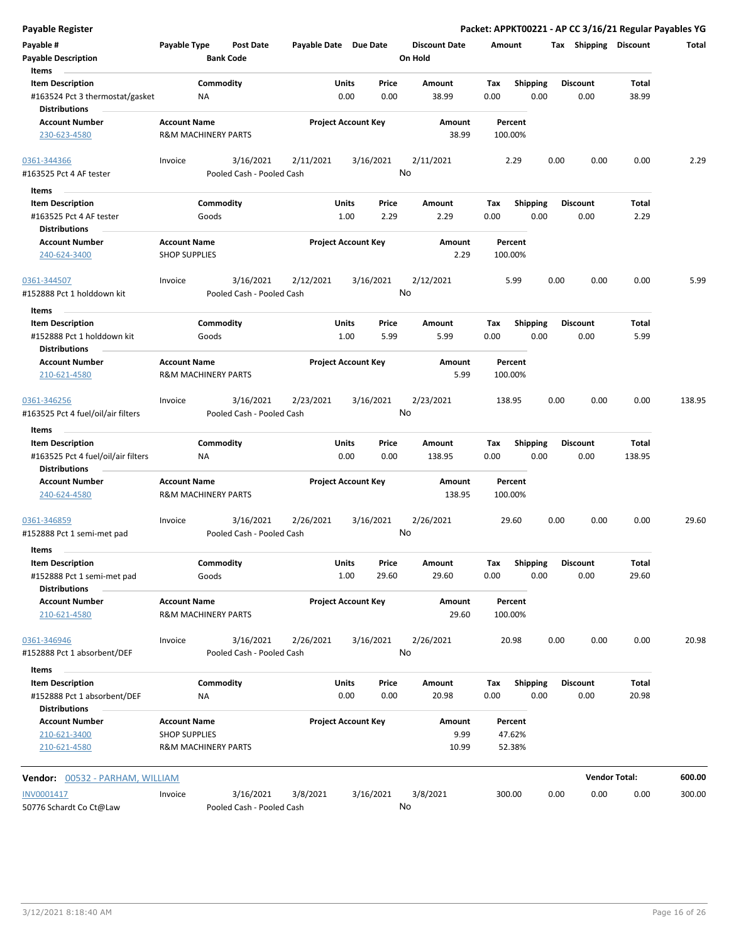| Payable #<br><b>Payable Description</b><br>Items                                              | Payable Type                                | <b>Post Date</b><br><b>Bank Code</b>   | Payable Date Due Date      |                      |                 | <b>Discount Date</b><br>On Hold | Amount                      |                         |      | Tax Shipping            | <b>Discount</b> | Total  |
|-----------------------------------------------------------------------------------------------|---------------------------------------------|----------------------------------------|----------------------------|----------------------|-----------------|---------------------------------|-----------------------------|-------------------------|------|-------------------------|-----------------|--------|
| <b>Item Description</b><br>#163524 Pct 3 thermostat/gasket<br><b>Distributions</b>            |                                             | Commodity<br>ΝA                        |                            | Units<br>0.00        | Price<br>0.00   | Amount<br>38.99                 | Tax<br>0.00                 | <b>Shipping</b><br>0.00 |      | <b>Discount</b><br>0.00 | Total<br>38.99  |        |
| <b>Account Number</b><br>230-623-4580                                                         | <b>Account Name</b>                         | <b>R&amp;M MACHINERY PARTS</b>         | <b>Project Account Key</b> |                      |                 | Amount<br>38.99                 | Percent<br>100.00%          |                         |      |                         |                 |        |
| 0361-344366                                                                                   | Invoice                                     | 3/16/2021                              | 2/11/2021                  |                      | 3/16/2021       | 2/11/2021                       | 2.29                        |                         | 0.00 | 0.00                    | 0.00            | 2.29   |
| #163525 Pct 4 AF tester                                                                       |                                             | Pooled Cash - Pooled Cash              |                            |                      |                 | No                              |                             |                         |      |                         |                 |        |
| Items                                                                                         |                                             |                                        |                            |                      |                 |                                 |                             |                         |      |                         |                 |        |
| <b>Item Description</b>                                                                       |                                             | Commodity                              |                            | Units                | Price           | Amount                          | Tax                         | <b>Shipping</b>         |      | <b>Discount</b>         | Total           |        |
| #163525 Pct 4 AF tester                                                                       |                                             | Goods                                  |                            | 1.00                 | 2.29            | 2.29                            | 0.00                        | 0.00                    |      | 0.00                    | 2.29            |        |
| <b>Distributions</b>                                                                          |                                             |                                        |                            |                      |                 |                                 |                             |                         |      |                         |                 |        |
| <b>Account Number</b><br>240-624-3400                                                         | <b>Account Name</b><br><b>SHOP SUPPLIES</b> |                                        | <b>Project Account Key</b> |                      |                 | Amount<br>2.29                  | Percent<br>100.00%          |                         |      |                         |                 |        |
| 0361-344507<br>#152888 Pct 1 holddown kit                                                     | Invoice                                     | 3/16/2021<br>Pooled Cash - Pooled Cash | 2/12/2021                  |                      | 3/16/2021       | 2/12/2021<br>No                 | 5.99                        |                         | 0.00 | 0.00                    | 0.00            | 5.99   |
| Items                                                                                         |                                             |                                        |                            |                      |                 |                                 |                             |                         |      |                         |                 |        |
| <b>Item Description</b>                                                                       |                                             | Commodity                              |                            | Units                | Price           | Amount                          | Tax                         | <b>Shipping</b>         |      | <b>Discount</b>         | Total           |        |
| #152888 Pct 1 holddown kit<br><b>Distributions</b>                                            |                                             | Goods                                  |                            | 1.00                 | 5.99            | 5.99                            | 0.00                        | 0.00                    |      | 0.00                    | 5.99            |        |
| <b>Account Number</b><br>210-621-4580                                                         | <b>Account Name</b>                         | <b>R&amp;M MACHINERY PARTS</b>         | <b>Project Account Key</b> |                      |                 | <b>Amount</b><br>5.99           | Percent<br>100.00%          |                         |      |                         |                 |        |
| 0361-346256<br>#163525 Pct 4 fuel/oil/air filters                                             | Invoice                                     | 3/16/2021<br>Pooled Cash - Pooled Cash | 2/23/2021                  |                      | 3/16/2021<br>No | 2/23/2021                       | 138.95                      |                         | 0.00 | 0.00                    | 0.00            | 138.95 |
| Items                                                                                         |                                             |                                        |                            |                      |                 |                                 |                             |                         |      |                         |                 |        |
| <b>Item Description</b><br>#163525 Pct 4 fuel/oil/air filters<br><b>Distributions</b>         |                                             | Commodity<br><b>NA</b>                 |                            | Units<br>0.00        | Price<br>0.00   | Amount<br>138.95                | Tax<br>0.00                 | <b>Shipping</b><br>0.00 |      | <b>Discount</b><br>0.00 | Total<br>138.95 |        |
| <b>Account Number</b><br>240-624-4580                                                         | <b>Account Name</b>                         | <b>R&amp;M MACHINERY PARTS</b>         | <b>Project Account Key</b> |                      |                 | Amount<br>138.95                | Percent<br>100.00%          |                         |      |                         |                 |        |
| 0361-346859<br>#152888 Pct 1 semi-met pad                                                     | Invoice                                     | 3/16/2021<br>Pooled Cash - Pooled Cash | 2/26/2021                  |                      | 3/16/2021<br>No | 2/26/2021                       | 29.60                       |                         | 0.00 | 0.00                    | 0.00            | 29.60  |
| <b>Items</b><br><b>Item Description</b><br>#152888 Pct 1 semi-met pad<br><b>Distributions</b> |                                             | Commodity<br>Goods                     |                            | Units<br>1.00        | Price<br>29.60  | Amount<br>29.60                 | Тах<br>0.00                 | <b>Shipping</b><br>0.00 |      | <b>Discount</b><br>0.00 | Total<br>29.60  |        |
| <b>Account Number</b><br>210-621-4580                                                         | <b>Account Name</b>                         | <b>R&amp;M MACHINERY PARTS</b>         | <b>Project Account Key</b> |                      |                 | Amount<br>29.60                 | Percent<br>100.00%          |                         |      |                         |                 |        |
| 0361-346946<br>#152888 Pct 1 absorbent/DEF                                                    | Invoice                                     | 3/16/2021<br>Pooled Cash - Pooled Cash | 2/26/2021                  |                      | 3/16/2021<br>No | 2/26/2021                       | 20.98                       |                         | 0.00 | 0.00                    | 0.00            | 20.98  |
| Items                                                                                         |                                             |                                        |                            |                      |                 |                                 |                             |                         |      | <b>Discount</b>         |                 |        |
| <b>Item Description</b><br>#152888 Pct 1 absorbent/DEF<br><b>Distributions</b>                |                                             | Commodity<br>NA                        |                            | <b>Units</b><br>0.00 | Price<br>0.00   | Amount<br>20.98                 | Tax<br>0.00                 | <b>Shipping</b><br>0.00 |      | 0.00                    | Total<br>20.98  |        |
| <b>Account Number</b><br>210-621-3400<br>210-621-4580                                         | <b>Account Name</b><br><b>SHOP SUPPLIES</b> | R&M MACHINERY PARTS                    | <b>Project Account Key</b> |                      |                 | Amount<br>9.99<br>10.99         | Percent<br>47.62%<br>52.38% |                         |      |                         |                 |        |
| Vendor: 00532 - PARHAM, WILLIAM                                                               |                                             |                                        |                            |                      |                 |                                 |                             |                         |      | <b>Vendor Total:</b>    |                 | 600.00 |
| INV0001417<br>50776 Schardt Co Ct@Law                                                         | Invoice                                     | 3/16/2021<br>Pooled Cash - Pooled Cash | 3/8/2021                   |                      | 3/16/2021       | 3/8/2021<br>No                  | 300.00                      |                         | 0.00 | 0.00                    | 0.00            | 300.00 |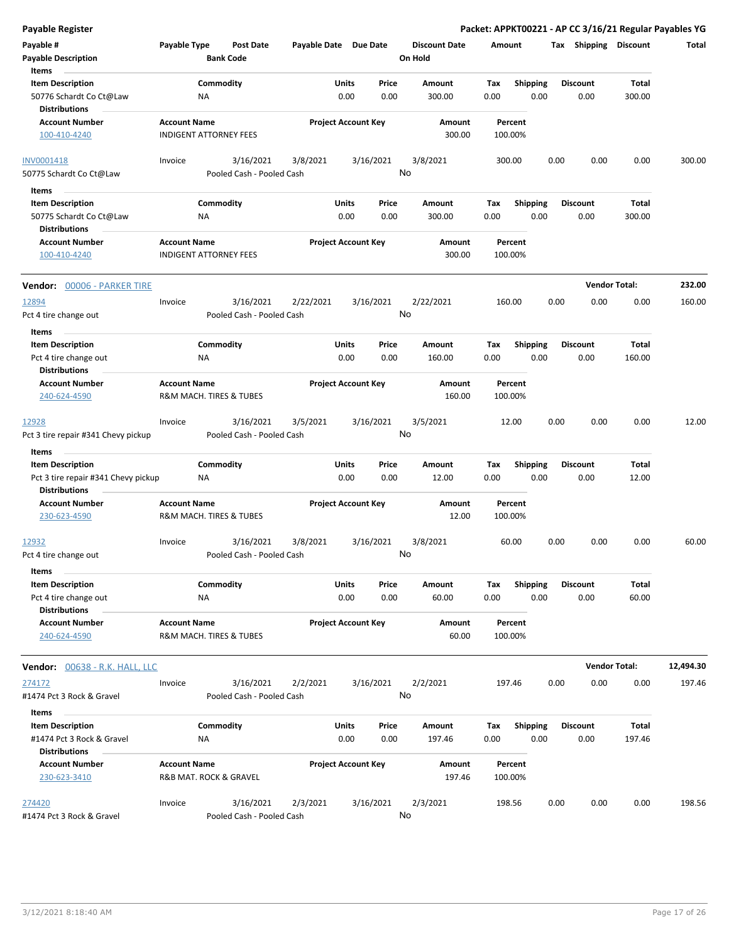| <b>Payable Register</b>                                               |                     |                                        |                       |                            |                 |                                 |             |                         |      |                         |                      | Packet: APPKT00221 - AP CC 3/16/21 Regular Payables YG |
|-----------------------------------------------------------------------|---------------------|----------------------------------------|-----------------------|----------------------------|-----------------|---------------------------------|-------------|-------------------------|------|-------------------------|----------------------|--------------------------------------------------------|
| Payable #<br><b>Payable Description</b>                               | Payable Type        | <b>Post Date</b><br><b>Bank Code</b>   | Payable Date Due Date |                            |                 | <b>Discount Date</b><br>On Hold | Amount      |                         |      | Tax Shipping Discount   |                      | Total                                                  |
| Items                                                                 |                     |                                        |                       |                            |                 |                                 |             |                         |      |                         |                      |                                                        |
| <b>Item Description</b>                                               |                     | Commodity                              |                       | Units                      | Price           | Amount                          | Tax         | <b>Shipping</b>         |      | <b>Discount</b>         | Total                |                                                        |
| 50776 Schardt Co Ct@Law<br><b>Distributions</b>                       |                     | ΝA                                     |                       | 0.00                       | 0.00            | 300.00                          | 0.00        | 0.00                    |      | 0.00                    | 300.00               |                                                        |
| <b>Account Number</b>                                                 | <b>Account Name</b> |                                        |                       | <b>Project Account Key</b> |                 | Amount                          |             | Percent                 |      |                         |                      |                                                        |
| 100-410-4240                                                          |                     | <b>INDIGENT ATTORNEY FEES</b>          |                       |                            |                 | 300.00                          |             | 100.00%                 |      |                         |                      |                                                        |
| <b>INV0001418</b>                                                     | Invoice             | 3/16/2021                              | 3/8/2021              |                            | 3/16/2021       | 3/8/2021                        |             | 300.00                  | 0.00 | 0.00                    | 0.00                 | 300.00                                                 |
| 50775 Schardt Co Ct@Law                                               |                     | Pooled Cash - Pooled Cash              |                       |                            | No              |                                 |             |                         |      |                         |                      |                                                        |
| Items                                                                 |                     |                                        |                       |                            |                 |                                 |             |                         |      |                         |                      |                                                        |
| <b>Item Description</b>                                               |                     | Commodity                              |                       | Units                      | Price           | Amount                          | Tax         | <b>Shipping</b>         |      | <b>Discount</b>         | Total                |                                                        |
| 50775 Schardt Co Ct@Law                                               |                     | ΝA                                     |                       | 0.00                       | 0.00            | 300.00                          | 0.00        | 0.00                    |      | 0.00                    | 300.00               |                                                        |
| <b>Distributions</b>                                                  |                     |                                        |                       |                            |                 |                                 |             |                         |      |                         |                      |                                                        |
| <b>Account Number</b><br>100-410-4240                                 | <b>Account Name</b> | <b>INDIGENT ATTORNEY FEES</b>          |                       | <b>Project Account Key</b> |                 | Amount<br>300.00                |             | Percent<br>100.00%      |      |                         |                      |                                                        |
| Vendor: 00006 - PARKER TIRE                                           |                     |                                        |                       |                            |                 |                                 |             |                         |      |                         | <b>Vendor Total:</b> | 232.00                                                 |
| 12894<br>Pct 4 tire change out                                        | Invoice             | 3/16/2021<br>Pooled Cash - Pooled Cash | 2/22/2021             |                            | 3/16/2021<br>No | 2/22/2021                       |             | 160.00                  | 0.00 | 0.00                    | 0.00                 | 160.00                                                 |
| Items                                                                 |                     |                                        |                       |                            |                 |                                 |             |                         |      |                         |                      |                                                        |
| <b>Item Description</b>                                               |                     | Commodity                              |                       | Units                      | Price           | Amount                          | Tax         | <b>Shipping</b>         |      | <b>Discount</b>         | Total                |                                                        |
| Pct 4 tire change out<br><b>Distributions</b>                         |                     | ΝA                                     |                       | 0.00                       | 0.00            | 160.00                          | 0.00        | 0.00                    |      | 0.00                    | 160.00               |                                                        |
| <b>Account Number</b><br>240-624-4590                                 | <b>Account Name</b> | R&M MACH. TIRES & TUBES                |                       | <b>Project Account Key</b> |                 | Amount<br>160.00                |             | Percent<br>100.00%      |      |                         |                      |                                                        |
| 12928<br>Pct 3 tire repair #341 Chevy pickup                          | Invoice             | 3/16/2021<br>Pooled Cash - Pooled Cash | 3/5/2021              |                            | 3/16/2021<br>No | 3/5/2021                        |             | 12.00                   | 0.00 | 0.00                    | 0.00                 | 12.00                                                  |
| Items                                                                 |                     |                                        |                       |                            |                 |                                 |             |                         |      |                         |                      |                                                        |
| <b>Item Description</b>                                               |                     | Commodity                              |                       | Units                      | Price           | Amount                          | Tax         | <b>Shipping</b>         |      | <b>Discount</b>         | Total                |                                                        |
| Pct 3 tire repair #341 Chevy pickup<br><b>Distributions</b>           |                     | NA                                     |                       | 0.00                       | 0.00            | 12.00                           | 0.00        | 0.00                    |      | 0.00                    | 12.00                |                                                        |
| <b>Account Number</b>                                                 | <b>Account Name</b> |                                        |                       | <b>Project Account Key</b> |                 | Amount                          |             | Percent                 |      |                         |                      |                                                        |
| 230-623-4590                                                          |                     | R&M MACH. TIRES & TUBES                |                       |                            |                 | 12.00                           |             | 100.00%                 |      |                         |                      |                                                        |
| 12932<br>Pct 4 tire change out                                        | Invoice             | 3/16/2021<br>Pooled Cash - Pooled Cash | 3/8/2021              |                            | 3/16/2021<br>No | 3/8/2021                        |             | 60.00                   | 0.00 | 0.00                    | 0.00                 | 60.00                                                  |
|                                                                       |                     |                                        |                       |                            |                 |                                 |             |                         |      |                         |                      |                                                        |
| Items<br><b>Item Description</b>                                      |                     | Commodity                              |                       |                            |                 |                                 |             |                         |      |                         |                      |                                                        |
| Pct 4 tire change out                                                 |                     | ΝA                                     |                       | Units<br>0.00              | Price<br>0.00   | Amount<br>60.00                 | Tax<br>0.00 | <b>Shipping</b><br>0.00 |      | <b>Discount</b><br>0.00 | Total<br>60.00       |                                                        |
| <b>Distributions</b><br><b>Account Number</b><br>240-624-4590         | <b>Account Name</b> | R&M MACH. TIRES & TUBES                |                       | <b>Project Account Key</b> |                 | Amount<br>60.00                 |             | Percent<br>100.00%      |      |                         |                      |                                                        |
| <b>Vendor:</b> 00638 - R.K. HALL, LLC                                 |                     |                                        |                       |                            |                 |                                 |             |                         |      |                         | <b>Vendor Total:</b> | 12,494.30                                              |
| 274172                                                                | Invoice             | 3/16/2021                              | 2/2/2021              |                            | 3/16/2021       | 2/2/2021                        |             | 197.46                  | 0.00 | 0.00                    | 0.00                 | 197.46                                                 |
| #1474 Pct 3 Rock & Gravel                                             |                     | Pooled Cash - Pooled Cash              |                       |                            | No              |                                 |             |                         |      |                         |                      |                                                        |
| Items                                                                 |                     |                                        |                       |                            |                 |                                 |             |                         |      |                         |                      |                                                        |
| <b>Item Description</b><br>#1474 Pct 3 Rock & Gravel<br>Distributions |                     | Commodity<br>NA                        |                       | Units<br>0.00              | Price<br>0.00   | Amount<br>197.46                | Tax<br>0.00 | <b>Shipping</b><br>0.00 |      | <b>Discount</b><br>0.00 | Total<br>197.46      |                                                        |
| <b>Account Number</b>                                                 | <b>Account Name</b> |                                        |                       | <b>Project Account Key</b> |                 | Amount                          |             | Percent                 |      |                         |                      |                                                        |
| 230-623-3410                                                          |                     | R&B MAT. ROCK & GRAVEL                 |                       |                            |                 | 197.46                          |             | 100.00%                 |      |                         |                      |                                                        |
| 274420<br>#1474 Pct 3 Rock & Gravel                                   | Invoice             | 3/16/2021<br>Pooled Cash - Pooled Cash | 2/3/2021              |                            | 3/16/2021<br>No | 2/3/2021                        |             | 198.56                  | 0.00 | 0.00                    | 0.00                 | 198.56                                                 |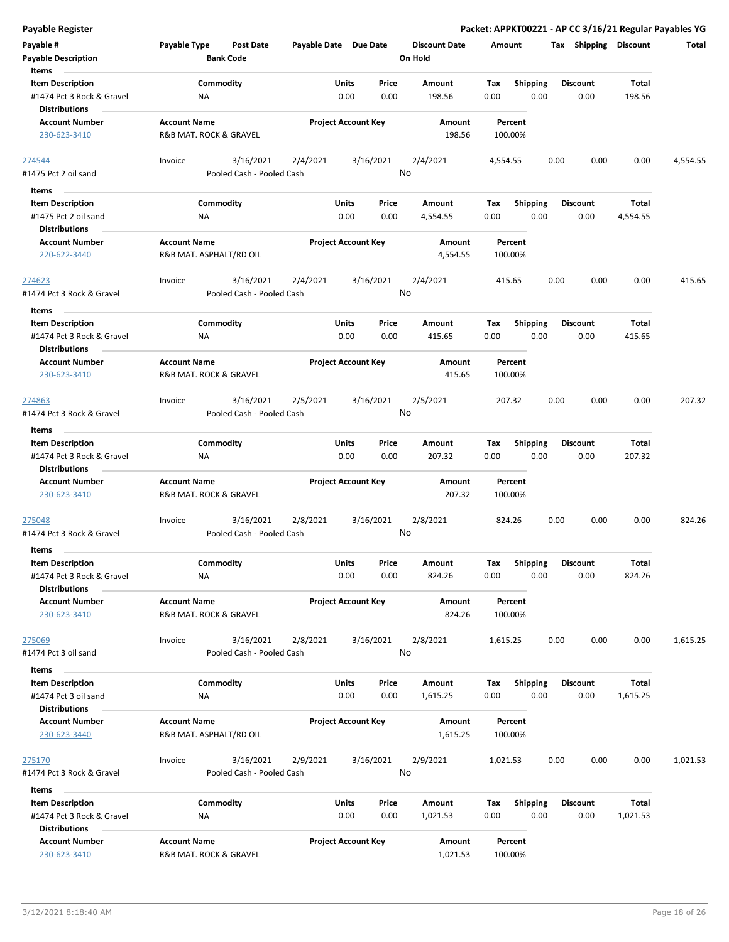| Payable #                                         | Payable Type        | <b>Post Date</b>          |          | Payable Date Due Date      |       | <b>Discount Date</b> | Amount             |                 | Tax  | <b>Shipping</b> | <b>Discount</b> | <b>Total</b> |
|---------------------------------------------------|---------------------|---------------------------|----------|----------------------------|-------|----------------------|--------------------|-----------------|------|-----------------|-----------------|--------------|
| <b>Payable Description</b>                        |                     | <b>Bank Code</b>          |          |                            |       | On Hold              |                    |                 |      |                 |                 |              |
| Items                                             |                     |                           |          |                            |       |                      |                    |                 |      |                 |                 |              |
| <b>Item Description</b>                           |                     | Commodity                 |          | Units                      | Price | Amount               | Tax                | <b>Shipping</b> |      | <b>Discount</b> | Total           |              |
| #1474 Pct 3 Rock & Gravel<br><b>Distributions</b> | ΝA                  |                           |          | 0.00                       | 0.00  | 198.56               | 0.00               | 0.00            |      | 0.00            | 198.56          |              |
| <b>Account Number</b>                             | <b>Account Name</b> |                           |          | <b>Project Account Key</b> |       | Amount               | Percent            |                 |      |                 |                 |              |
| 230-623-3410                                      |                     | R&B MAT. ROCK & GRAVEL    |          |                            |       | 198.56               | 100.00%            |                 |      |                 |                 |              |
| 274544                                            | Invoice             | 3/16/2021                 | 2/4/2021 | 3/16/2021                  |       | 2/4/2021             | 4,554.55           |                 | 0.00 | 0.00            | 0.00            | 4,554.55     |
| #1475 Pct 2 oil sand                              |                     | Pooled Cash - Pooled Cash |          |                            | No    |                      |                    |                 |      |                 |                 |              |
| Items                                             |                     |                           |          |                            |       |                      |                    |                 |      |                 |                 |              |
| <b>Item Description</b>                           |                     | Commodity                 |          | Units                      | Price | Amount               | Tax                | <b>Shipping</b> |      | <b>Discount</b> | Total           |              |
| #1475 Pct 2 oil sand                              | NA                  |                           |          | 0.00                       | 0.00  | 4,554.55             | 0.00               | 0.00            |      | 0.00            | 4,554.55        |              |
| <b>Distributions</b>                              |                     |                           |          |                            |       |                      |                    |                 |      |                 |                 |              |
| <b>Account Number</b>                             | <b>Account Name</b> |                           |          | <b>Project Account Key</b> |       | Amount               | Percent            |                 |      |                 |                 |              |
| 220-622-3440                                      |                     | R&B MAT. ASPHALT/RD OIL   |          |                            |       | 4,554.55             | 100.00%            |                 |      |                 |                 |              |
| 274623                                            | Invoice             | 3/16/2021                 | 2/4/2021 | 3/16/2021                  |       | 2/4/2021             | 415.65             |                 | 0.00 | 0.00            | 0.00            | 415.65       |
| #1474 Pct 3 Rock & Gravel                         |                     | Pooled Cash - Pooled Cash |          |                            | No    |                      |                    |                 |      |                 |                 |              |
| Items                                             |                     |                           |          |                            |       |                      |                    |                 |      |                 |                 |              |
| <b>Item Description</b>                           |                     | Commodity                 |          | <b>Units</b>               | Price | Amount               | Tax                | <b>Shipping</b> |      | <b>Discount</b> | Total           |              |
| #1474 Pct 3 Rock & Gravel<br><b>Distributions</b> | ΝA                  |                           |          | 0.00                       | 0.00  | 415.65               | 0.00               | 0.00            |      | 0.00            | 415.65          |              |
| <b>Account Number</b>                             | <b>Account Name</b> |                           |          | <b>Project Account Key</b> |       | Amount               | Percent            |                 |      |                 |                 |              |
| 230-623-3410                                      |                     | R&B MAT. ROCK & GRAVEL    |          |                            |       | 415.65               | 100.00%            |                 |      |                 |                 |              |
| 274863                                            | Invoice             | 3/16/2021                 | 2/5/2021 | 3/16/2021                  |       | 2/5/2021             | 207.32             |                 | 0.00 | 0.00            | 0.00            | 207.32       |
| #1474 Pct 3 Rock & Gravel                         |                     | Pooled Cash - Pooled Cash |          |                            | No    |                      |                    |                 |      |                 |                 |              |
| Items                                             |                     |                           |          |                            |       |                      |                    |                 |      |                 |                 |              |
| <b>Item Description</b>                           |                     | Commodity                 |          | Units                      | Price | Amount               | Tax                | Shipping        |      | <b>Discount</b> | Total           |              |
| #1474 Pct 3 Rock & Gravel<br><b>Distributions</b> | <b>NA</b>           |                           |          | 0.00                       | 0.00  | 207.32               | 0.00               | 0.00            |      | 0.00            | 207.32          |              |
| <b>Account Number</b>                             | <b>Account Name</b> |                           |          | <b>Project Account Key</b> |       | Amount               | Percent            |                 |      |                 |                 |              |
| 230-623-3410                                      |                     | R&B MAT. ROCK & GRAVEL    |          |                            |       | 207.32               | 100.00%            |                 |      |                 |                 |              |
| 275048                                            | Invoice             | 3/16/2021                 | 2/8/2021 | 3/16/2021                  |       | 2/8/2021             | 824.26             |                 | 0.00 | 0.00            | 0.00            | 824.26       |
| #1474 Pct 3 Rock & Gravel                         |                     | Pooled Cash - Pooled Cash |          |                            | No    |                      |                    |                 |      |                 |                 |              |
| Items                                             |                     |                           |          |                            |       |                      |                    |                 |      |                 |                 |              |
| <b>Item Description</b>                           |                     | Commodity                 |          | <b>Units</b>               | Price | Amount               | Тах                | Shipping        |      | <b>Discount</b> | Total           |              |
| #1474 Pct 3 Rock & Gravel                         | ΝA                  |                           |          | 0.00                       | 0.00  | 824.26               | 0.00               | 0.00            |      | 0.00            | 824.26          |              |
| <b>Distributions</b>                              |                     |                           |          |                            |       |                      |                    |                 |      |                 |                 |              |
| <b>Account Number</b><br>230-623-3410             | <b>Account Name</b> | R&B MAT. ROCK & GRAVEL    |          | <b>Project Account Key</b> |       | Amount<br>824.26     | Percent<br>100.00% |                 |      |                 |                 |              |
| 275069                                            | Invoice             | 3/16/2021                 | 2/8/2021 | 3/16/2021                  |       | 2/8/2021             | 1,615.25           |                 | 0.00 | 0.00            | 0.00            | 1,615.25     |
| #1474 Pct 3 oil sand                              |                     | Pooled Cash - Pooled Cash |          |                            | No    |                      |                    |                 |      |                 |                 |              |
| Items                                             |                     |                           |          |                            |       |                      |                    |                 |      |                 |                 |              |
| <b>Item Description</b>                           |                     | Commodity                 |          | Units                      | Price | Amount               | Tax                | <b>Shipping</b> |      | <b>Discount</b> | Total           |              |
| #1474 Pct 3 oil sand                              | NA                  |                           |          | 0.00                       | 0.00  | 1,615.25             | 0.00               | 0.00            |      | 0.00            | 1,615.25        |              |
| <b>Distributions</b>                              |                     |                           |          |                            |       |                      |                    |                 |      |                 |                 |              |
| <b>Account Number</b>                             | <b>Account Name</b> |                           |          | <b>Project Account Key</b> |       | Amount               | Percent            |                 |      |                 |                 |              |
| 230-623-3440                                      |                     | R&B MAT. ASPHALT/RD OIL   |          |                            |       | 1,615.25             | 100.00%            |                 |      |                 |                 |              |
| 275170                                            | Invoice             | 3/16/2021                 | 2/9/2021 | 3/16/2021                  |       | 2/9/2021             | 1,021.53           |                 | 0.00 | 0.00            | 0.00            | 1,021.53     |
| #1474 Pct 3 Rock & Gravel                         |                     | Pooled Cash - Pooled Cash |          |                            | No    |                      |                    |                 |      |                 |                 |              |
| Items                                             |                     |                           |          |                            |       |                      |                    |                 |      |                 |                 |              |
| <b>Item Description</b>                           |                     | Commodity                 |          | Units                      | Price | Amount               | Tax                | <b>Shipping</b> |      | <b>Discount</b> | Total           |              |
| #1474 Pct 3 Rock & Gravel                         | NA                  |                           |          | 0.00                       | 0.00  | 1,021.53             | 0.00               | 0.00            |      | 0.00            | 1,021.53        |              |
| <b>Distributions</b>                              |                     |                           |          |                            |       |                      |                    |                 |      |                 |                 |              |
| <b>Account Number</b>                             | <b>Account Name</b> |                           |          | <b>Project Account Key</b> |       | Amount               | Percent            |                 |      |                 |                 |              |
| 230-623-3410                                      |                     | R&B MAT. ROCK & GRAVEL    |          |                            |       | 1,021.53             | 100.00%            |                 |      |                 |                 |              |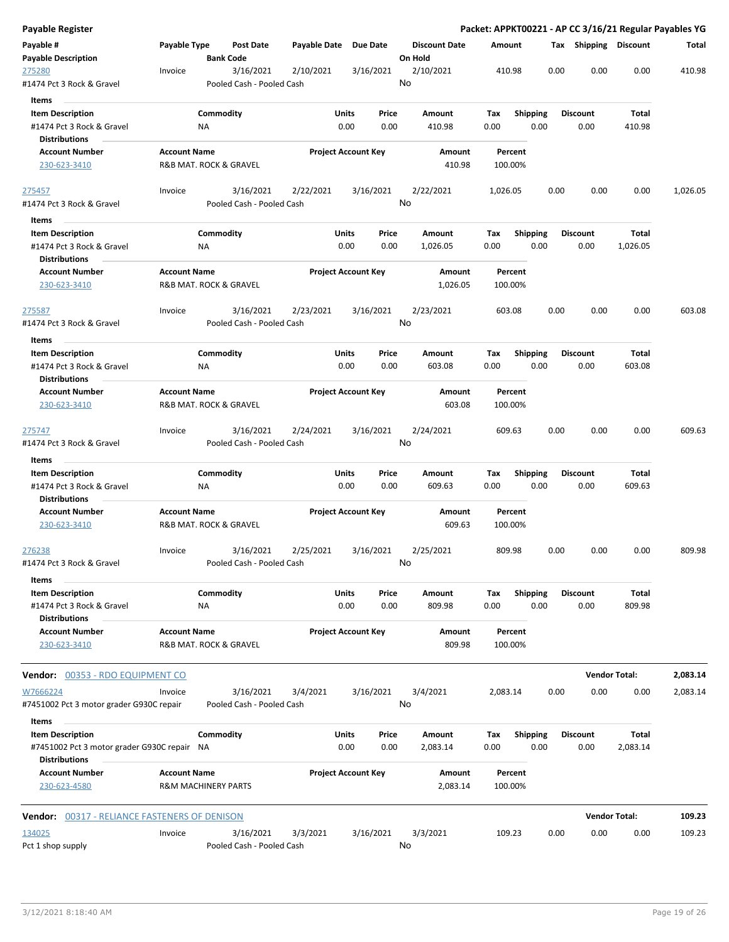| <b>Payable Register</b>                                                                        |                     |                                        |                       |                                       |                                 | Packet: APPKT00221 - AP CC 3/16/21 Regular Payables YG |      |                         |                      |          |
|------------------------------------------------------------------------------------------------|---------------------|----------------------------------------|-----------------------|---------------------------------------|---------------------------------|--------------------------------------------------------|------|-------------------------|----------------------|----------|
| Payable #<br><b>Payable Description</b>                                                        | Payable Type        | <b>Post Date</b><br><b>Bank Code</b>   | Payable Date Due Date |                                       | <b>Discount Date</b><br>On Hold | Amount                                                 |      | Tax Shipping Discount   |                      | Total    |
| 275280                                                                                         | Invoice             | 3/16/2021                              | 2/10/2021             | 3/16/2021                             | 2/10/2021                       | 410.98                                                 | 0.00 | 0.00                    | 0.00                 | 410.98   |
| #1474 Pct 3 Rock & Gravel                                                                      |                     | Pooled Cash - Pooled Cash              |                       |                                       | No                              |                                                        |      |                         |                      |          |
| Items<br><b>Item Description</b><br>#1474 Pct 3 Rock & Gravel                                  |                     | Commodity<br>NA                        |                       | Units<br>Price<br>0.00<br>0.00        | Amount<br>410.98                | Tax<br><b>Shipping</b><br>0.00<br>0.00                 |      | <b>Discount</b><br>0.00 | Total<br>410.98      |          |
| <b>Distributions</b><br><b>Account Number</b><br>230-623-3410                                  | <b>Account Name</b> | R&B MAT. ROCK & GRAVEL                 |                       | <b>Project Account Key</b>            | Amount<br>410.98                | Percent<br>100.00%                                     |      |                         |                      |          |
| 275457                                                                                         | Invoice             | 3/16/2021                              | 2/22/2021             | 3/16/2021                             | 2/22/2021                       | 1,026.05                                               | 0.00 | 0.00                    | 0.00                 | 1,026.05 |
| #1474 Pct 3 Rock & Gravel                                                                      |                     | Pooled Cash - Pooled Cash              |                       |                                       | No                              |                                                        |      |                         |                      |          |
| Items<br><b>Item Description</b><br>#1474 Pct 3 Rock & Gravel<br><b>Distributions</b>          |                     | Commodity<br>NA                        |                       | <b>Units</b><br>Price<br>0.00<br>0.00 | Amount<br>1,026.05              | <b>Shipping</b><br>Tax<br>0.00<br>0.00                 |      | <b>Discount</b><br>0.00 | Total<br>1,026.05    |          |
| <b>Account Number</b><br>230-623-3410                                                          | <b>Account Name</b> | R&B MAT. ROCK & GRAVEL                 |                       | <b>Project Account Key</b>            | Amount<br>1,026.05              | Percent<br>100.00%                                     |      |                         |                      |          |
| 275587<br>#1474 Pct 3 Rock & Gravel                                                            | Invoice             | 3/16/2021<br>Pooled Cash - Pooled Cash | 2/23/2021             | 3/16/2021                             | 2/23/2021<br>No                 | 603.08                                                 | 0.00 | 0.00                    | 0.00                 | 603.08   |
| Items                                                                                          |                     |                                        |                       |                                       |                                 |                                                        |      |                         |                      |          |
| <b>Item Description</b><br>#1474 Pct 3 Rock & Gravel                                           |                     | Commodity<br>ΝA                        |                       | <b>Units</b><br>Price<br>0.00<br>0.00 | Amount<br>603.08                | <b>Shipping</b><br>Tax<br>0.00<br>0.00                 |      | <b>Discount</b><br>0.00 | Total<br>603.08      |          |
| <b>Distributions</b><br><b>Account Number</b><br>230-623-3410                                  | <b>Account Name</b> | R&B MAT. ROCK & GRAVEL                 |                       | <b>Project Account Key</b>            | Amount<br>603.08                | Percent<br>100.00%                                     |      |                         |                      |          |
| 275747<br>#1474 Pct 3 Rock & Gravel                                                            | Invoice             | 3/16/2021<br>Pooled Cash - Pooled Cash | 2/24/2021             | 3/16/2021                             | 2/24/2021<br>No                 | 609.63                                                 | 0.00 | 0.00                    | 0.00                 | 609.63   |
| Items                                                                                          |                     |                                        |                       |                                       |                                 |                                                        |      |                         |                      |          |
| <b>Item Description</b><br>#1474 Pct 3 Rock & Gravel<br><b>Distributions</b>                   |                     | Commodity<br>NA                        |                       | <b>Units</b><br>Price<br>0.00<br>0.00 | Amount<br>609.63                | Tax<br><b>Shipping</b><br>0.00<br>0.00                 |      | <b>Discount</b><br>0.00 | Total<br>609.63      |          |
| <b>Account Number</b><br>230-623-3410                                                          | <b>Account Name</b> | R&B MAT. ROCK & GRAVEL                 |                       | <b>Project Account Key</b>            | Amount<br>609.63                | Percent<br>100.00%                                     |      |                         |                      |          |
| 276238<br>#1474 Pct 3 Rock & Gravel                                                            | Invoice             | 3/16/2021<br>Pooled Cash - Pooled Cash | 2/25/2021             | 3/16/2021                             | 2/25/2021<br>No                 | 809.98                                                 | 0.00 | 0.00                    | 0.00                 | 809.98   |
| Items                                                                                          |                     |                                        |                       |                                       |                                 |                                                        |      |                         |                      |          |
| <b>Item Description</b><br>#1474 Pct 3 Rock & Gravel<br><b>Distributions</b>                   |                     | Commodity<br>NA                        |                       | Units<br>Price<br>0.00<br>0.00        | Amount<br>809.98                | Tax<br><b>Shipping</b><br>0.00<br>0.00                 |      | <b>Discount</b><br>0.00 | Total<br>809.98      |          |
| <b>Account Number</b><br>230-623-3410                                                          | <b>Account Name</b> | R&B MAT. ROCK & GRAVEL                 |                       | <b>Project Account Key</b>            | Amount<br>809.98                | Percent<br>100.00%                                     |      |                         |                      |          |
| Vendor: 00353 - RDO EQUIPMENT CO                                                               |                     |                                        |                       |                                       |                                 |                                                        |      |                         | <b>Vendor Total:</b> | 2,083.14 |
| W7666224<br>#7451002 Pct 3 motor grader G930C repair                                           | Invoice             | 3/16/2021<br>Pooled Cash - Pooled Cash | 3/4/2021              | 3/16/2021                             | 3/4/2021<br>No                  | 2,083.14                                               | 0.00 | 0.00                    | 0.00                 | 2,083.14 |
| Items                                                                                          |                     |                                        |                       |                                       |                                 |                                                        |      |                         |                      |          |
| <b>Item Description</b><br>#7451002 Pct 3 motor grader G930C repair NA<br><b>Distributions</b> |                     | Commodity                              |                       | Units<br>Price<br>0.00<br>0.00        | Amount<br>2,083.14              | Tax<br><b>Shipping</b><br>0.00<br>0.00                 |      | <b>Discount</b><br>0.00 | Total<br>2,083.14    |          |
| <b>Account Number</b><br>230-623-4580                                                          | <b>Account Name</b> | <b>R&amp;M MACHINERY PARTS</b>         |                       | <b>Project Account Key</b>            | Amount<br>2,083.14              | Percent<br>100.00%                                     |      |                         |                      |          |
| <b>Vendor:</b> 00317 - RELIANCE FASTENERS OF DENISON                                           |                     |                                        |                       |                                       |                                 |                                                        |      |                         | <b>Vendor Total:</b> | 109.23   |
|                                                                                                |                     |                                        |                       |                                       |                                 |                                                        |      |                         |                      |          |
| 134025<br>Pct 1 shop supply                                                                    | Invoice             | 3/16/2021<br>Pooled Cash - Pooled Cash | 3/3/2021              | 3/16/2021                             | 3/3/2021<br>No                  | 109.23                                                 | 0.00 | 0.00                    | 0.00                 | 109.23   |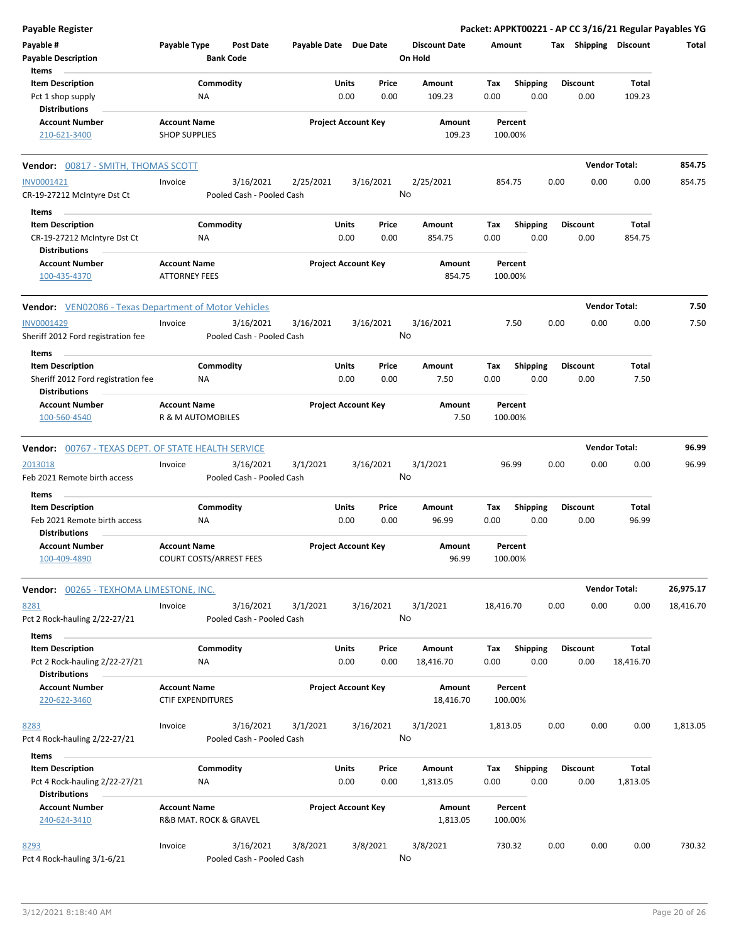| <b>Payable Register</b>                                                          |                                                 |                                        |                       |                                       |                                 |             |                         |      |                         |                       | Packet: APPKT00221 - AP CC 3/16/21 Regular Payables YG |
|----------------------------------------------------------------------------------|-------------------------------------------------|----------------------------------------|-----------------------|---------------------------------------|---------------------------------|-------------|-------------------------|------|-------------------------|-----------------------|--------------------------------------------------------|
| Payable #<br><b>Payable Description</b>                                          | Payable Type                                    | <b>Post Date</b><br><b>Bank Code</b>   | Payable Date Due Date |                                       | <b>Discount Date</b><br>On Hold |             | Amount                  |      |                         | Tax Shipping Discount | Total                                                  |
| Items                                                                            |                                                 |                                        |                       |                                       |                                 |             |                         |      |                         |                       |                                                        |
| <b>Item Description</b>                                                          |                                                 | Commodity                              |                       | Price<br>Units                        | Amount                          | Tax         | <b>Shipping</b>         |      | <b>Discount</b>         | Total                 |                                                        |
| Pct 1 shop supply                                                                | NA                                              |                                        |                       | 0.00<br>0.00                          | 109.23                          | 0.00        | 0.00                    |      | 0.00                    | 109.23                |                                                        |
| <b>Distributions</b><br><b>Account Number</b>                                    | <b>Account Name</b>                             |                                        |                       | <b>Project Account Key</b>            | Amount                          |             | Percent                 |      |                         |                       |                                                        |
| 210-621-3400                                                                     | <b>SHOP SUPPLIES</b>                            |                                        |                       |                                       | 109.23                          |             | 100.00%                 |      |                         |                       |                                                        |
| Vendor: 00817 - SMITH, THOMAS SCOTT                                              |                                                 |                                        |                       |                                       |                                 |             |                         |      |                         | <b>Vendor Total:</b>  | 854.75                                                 |
| INV0001421<br>CR-19-27212 McIntyre Dst Ct                                        | Invoice                                         | 3/16/2021<br>Pooled Cash - Pooled Cash | 2/25/2021             | 3/16/2021                             | 2/25/2021<br>No                 |             | 854.75                  | 0.00 | 0.00                    | 0.00                  | 854.75                                                 |
| Items                                                                            |                                                 |                                        |                       |                                       |                                 |             |                         |      |                         |                       |                                                        |
| <b>Item Description</b>                                                          | Commodity                                       |                                        |                       | Units<br>Price                        | Amount                          | Tax         | <b>Shipping</b>         |      | <b>Discount</b>         | Total                 |                                                        |
| CR-19-27212 McIntyre Dst Ct                                                      | ΝA                                              |                                        |                       | 0.00<br>0.00                          | 854.75                          | 0.00        | 0.00                    |      | 0.00                    | 854.75                |                                                        |
| <b>Distributions</b>                                                             |                                                 |                                        |                       |                                       |                                 |             |                         |      |                         |                       |                                                        |
| <b>Account Number</b><br>100-435-4370                                            | <b>Account Name</b><br><b>ATTORNEY FEES</b>     |                                        |                       | <b>Project Account Key</b>            | Amount<br>854.75                |             | Percent<br>100.00%      |      |                         |                       |                                                        |
| <b>Vendor:</b> VEN02086 - Texas Department of Motor Vehicles                     |                                                 |                                        |                       |                                       |                                 |             |                         |      |                         | <b>Vendor Total:</b>  | 7.50                                                   |
| INV0001429<br>Sheriff 2012 Ford registration fee                                 | Invoice                                         | 3/16/2021<br>Pooled Cash - Pooled Cash | 3/16/2021             | 3/16/2021                             | 3/16/2021<br>No                 |             | 7.50                    | 0.00 | 0.00                    | 0.00                  | 7.50                                                   |
| Items<br><b>Item Description</b>                                                 | Commodity                                       |                                        |                       | Units<br>Price                        | Amount                          | Tax         | <b>Shipping</b>         |      | <b>Discount</b>         | Total                 |                                                        |
| Sheriff 2012 Ford registration fee<br><b>Distributions</b>                       | <b>NA</b>                                       |                                        |                       | 0.00<br>0.00                          | 7.50                            | 0.00        | 0.00                    |      | 0.00                    | 7.50                  |                                                        |
| <b>Account Number</b>                                                            | <b>Account Name</b>                             |                                        |                       | <b>Project Account Key</b>            | Amount                          |             | Percent                 |      |                         |                       |                                                        |
| 100-560-4540                                                                     | R & M AUTOMOBILES                               |                                        |                       |                                       | 7.50                            |             | 100.00%                 |      |                         |                       |                                                        |
| <b>Vendor:</b> 00767 - TEXAS DEPT. OF STATE HEALTH SERVICE                       |                                                 |                                        |                       |                                       |                                 |             |                         |      |                         | <b>Vendor Total:</b>  | 96.99                                                  |
| 2013018<br>Feb 2021 Remote birth access                                          | Invoice                                         | 3/16/2021<br>Pooled Cash - Pooled Cash | 3/1/2021              | 3/16/2021                             | 3/1/2021<br>No                  |             | 96.99                   | 0.00 | 0.00                    | 0.00                  | 96.99                                                  |
| Items<br><b>Item Description</b>                                                 |                                                 | Commodity                              |                       | Units<br>Price                        | Amount                          | Tax         | <b>Shipping</b>         |      | <b>Discount</b>         | Total                 |                                                        |
| Feb 2021 Remote birth access<br><b>Distributions</b>                             | ΝA                                              |                                        |                       | 0.00<br>0.00                          | 96.99                           | 0.00        | 0.00                    |      | 0.00                    | 96.99                 |                                                        |
| <b>Account Number</b>                                                            | <b>Account Name</b>                             |                                        |                       | <b>Project Account Key</b>            | Amount                          |             | Percent                 |      |                         |                       |                                                        |
| 100-409-4890                                                                     | COURT COSTS/ARREST FEES                         |                                        |                       |                                       | 96.99                           |             | 100.00%                 |      |                         |                       |                                                        |
| Vendor: 00265 - TEXHOMA LIMESTONE, INC.                                          |                                                 |                                        |                       |                                       |                                 |             |                         |      |                         | <b>Vendor Total:</b>  | 26,975.17                                              |
| 8281<br>Pct 2 Rock-hauling 2/22-27/21                                            | Invoice                                         | 3/16/2021<br>Pooled Cash - Pooled Cash | 3/1/2021              | 3/16/2021                             | 3/1/2021<br>No                  | 18,416.70   |                         | 0.00 | 0.00                    | 0.00                  | 18,416.70                                              |
| Items<br><b>Item Description</b>                                                 | Commodity                                       |                                        |                       | Units<br>Price                        | Amount                          | Tax         | Shipping                |      | <b>Discount</b>         | Total                 |                                                        |
| Pct 2 Rock-hauling 2/22-27/21<br><b>Distributions</b>                            | ΝA                                              |                                        |                       | 0.00<br>0.00                          | 18,416.70                       | 0.00        | 0.00                    |      | 0.00                    | 18,416.70             |                                                        |
| <b>Account Number</b><br>220-622-3460                                            | <b>Account Name</b><br><b>CTIF EXPENDITURES</b> |                                        |                       | <b>Project Account Key</b>            | Amount<br>18,416.70             |             | Percent<br>100.00%      |      |                         |                       |                                                        |
| 8283<br>Pct 4 Rock-hauling 2/22-27/21                                            | Invoice                                         | 3/16/2021<br>Pooled Cash - Pooled Cash | 3/1/2021              | 3/16/2021                             | 3/1/2021<br>No                  | 1,813.05    |                         | 0.00 | 0.00                    | 0.00                  | 1,813.05                                               |
| Items                                                                            |                                                 |                                        |                       |                                       |                                 |             |                         |      |                         |                       |                                                        |
| <b>Item Description</b><br>Pct 4 Rock-hauling 2/22-27/21<br><b>Distributions</b> | NA                                              | Commodity                              |                       | <b>Units</b><br>Price<br>0.00<br>0.00 | Amount<br>1,813.05              | Tax<br>0.00 | <b>Shipping</b><br>0.00 |      | <b>Discount</b><br>0.00 | Total<br>1,813.05     |                                                        |
| <b>Account Number</b><br>240-624-3410                                            | <b>Account Name</b><br>R&B MAT. ROCK & GRAVEL   |                                        |                       | <b>Project Account Key</b>            | Amount<br>1,813.05              |             | Percent<br>100.00%      |      |                         |                       |                                                        |
|                                                                                  |                                                 |                                        |                       |                                       |                                 |             |                         |      |                         |                       |                                                        |
| 8293<br>Pct 4 Rock-hauling 3/1-6/21                                              | Invoice                                         | 3/16/2021<br>Pooled Cash - Pooled Cash | 3/8/2021              | 3/8/2021                              | 3/8/2021<br>No                  |             | 730.32                  | 0.00 | 0.00                    | 0.00                  | 730.32                                                 |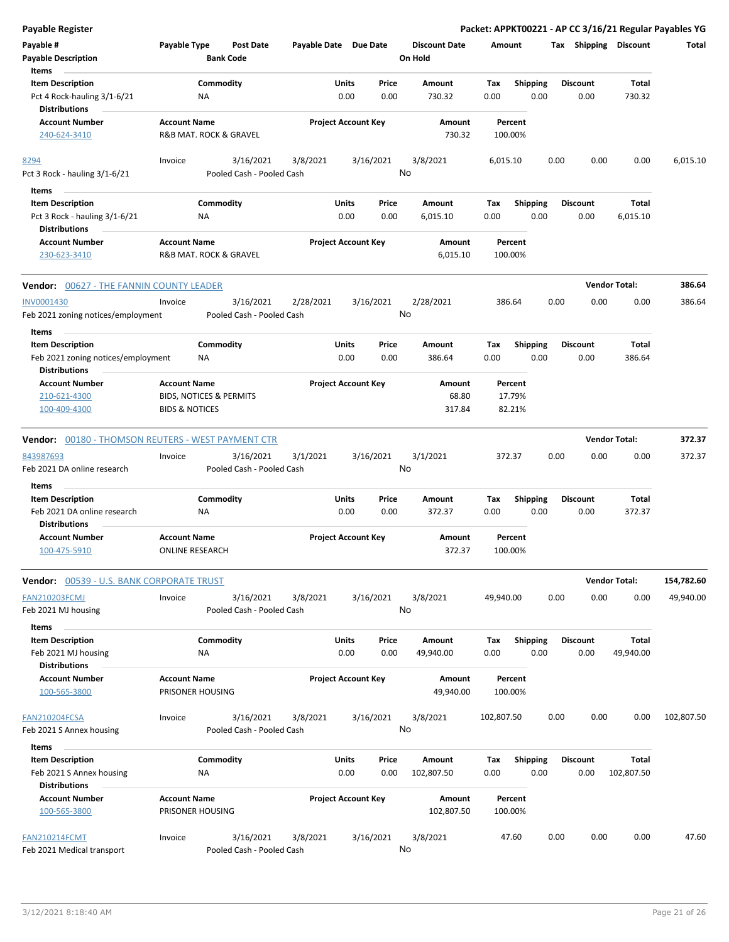| Payable Register |  |
|------------------|--|
|------------------|--|

| Payable #<br><b>Payable Description</b><br>Items                               | Payable Type                                                    | <b>Bank Code</b> | Post Date                              | Payable Date Due Date |               |                            | <b>Discount Date</b><br>On Hold |       | Amount      |                    |      |                 |      | Tax Shipping Discount | Total      |
|--------------------------------------------------------------------------------|-----------------------------------------------------------------|------------------|----------------------------------------|-----------------------|---------------|----------------------------|---------------------------------|-------|-------------|--------------------|------|-----------------|------|-----------------------|------------|
| <b>Item Description</b><br>Pct 4 Rock-hauling 3/1-6/21<br><b>Distributions</b> |                                                                 | Commodity<br>NA  |                                        |                       | Units<br>0.00 | Price<br>0.00              | Amount<br>730.32                |       | Tax<br>0.00 | <b>Shipping</b>    | 0.00 | <b>Discount</b> | 0.00 | Total<br>730.32       |            |
| <b>Account Number</b><br>240-624-3410                                          | <b>Account Name</b><br>R&B MAT. ROCK & GRAVEL                   |                  |                                        |                       |               | <b>Project Account Key</b> | Amount<br>730.32                |       |             | Percent<br>100.00% |      |                 |      |                       |            |
| 8294<br>Pct 3 Rock - hauling 3/1-6/21                                          | Invoice                                                         |                  | 3/16/2021<br>Pooled Cash - Pooled Cash | 3/8/2021              |               | 3/16/2021                  | 3/8/2021<br>No                  |       | 6,015.10    |                    |      | 0.00            | 0.00 | 0.00                  | 6,015.10   |
| Items                                                                          |                                                                 |                  |                                        |                       |               |                            |                                 |       |             |                    |      |                 |      |                       |            |
| <b>Item Description</b><br>Pct 3 Rock - hauling 3/1-6/21                       |                                                                 | Commodity<br>NA  |                                        |                       | Units<br>0.00 | Price<br>0.00              | Amount<br>6,015.10              |       | Tax<br>0.00 | <b>Shipping</b>    | 0.00 | <b>Discount</b> | 0.00 | Total<br>6,015.10     |            |
| <b>Distributions</b><br><b>Account Number</b>                                  | <b>Account Name</b>                                             |                  |                                        |                       |               | <b>Project Account Key</b> | Amount                          |       |             | Percent            |      |                 |      |                       |            |
| 230-623-3410                                                                   | R&B MAT. ROCK & GRAVEL                                          |                  |                                        |                       |               |                            | 6,015.10                        |       |             | 100.00%            |      |                 |      |                       |            |
| <b>Vendor: 00627 - THE FANNIN COUNTY LEADER</b>                                |                                                                 |                  |                                        |                       |               |                            |                                 |       |             |                    |      |                 |      | <b>Vendor Total:</b>  | 386.64     |
| <b>INV0001430</b><br>Feb 2021 zoning notices/employment                        | Invoice                                                         |                  | 3/16/2021<br>Pooled Cash - Pooled Cash | 2/28/2021             |               | 3/16/2021                  | 2/28/2021<br>No                 |       | 386.64      |                    |      | 0.00            | 0.00 | 0.00                  | 386.64     |
| Items                                                                          |                                                                 |                  |                                        |                       |               |                            |                                 |       |             |                    |      |                 |      |                       |            |
| <b>Item Description</b>                                                        |                                                                 | Commodity        |                                        |                       | Units         | Price                      | Amount                          |       | Тах         | Shipping           |      | <b>Discount</b> |      | Total                 |            |
| Feb 2021 zoning notices/employment<br><b>Distributions</b>                     |                                                                 | NA               |                                        |                       | 0.00          | 0.00                       | 386.64                          |       | 0.00        |                    | 0.00 |                 | 0.00 | 386.64                |            |
| <b>Account Number</b>                                                          | <b>Account Name</b>                                             |                  |                                        |                       |               | <b>Project Account Key</b> | Amount                          |       |             | Percent            |      |                 |      |                       |            |
| 210-621-4300<br>100-409-4300                                                   | <b>BIDS, NOTICES &amp; PERMITS</b><br><b>BIDS &amp; NOTICES</b> |                  |                                        |                       |               |                            | 317.84                          | 68.80 |             | 17.79%<br>82.21%   |      |                 |      |                       |            |
| <b>Vendor:</b> 00180 - THOMSON REUTERS - WEST PAYMENT CTR                      |                                                                 |                  |                                        |                       |               |                            |                                 |       |             |                    |      |                 |      | <b>Vendor Total:</b>  | 372.37     |
| 843987693                                                                      | Invoice                                                         |                  | 3/16/2021                              | 3/1/2021              |               | 3/16/2021                  | 3/1/2021                        |       | 372.37      |                    |      | 0.00            | 0.00 | 0.00                  | 372.37     |
| Feb 2021 DA online research                                                    |                                                                 |                  | Pooled Cash - Pooled Cash              |                       |               |                            | No                              |       |             |                    |      |                 |      |                       |            |
| Items                                                                          |                                                                 |                  |                                        |                       |               |                            |                                 |       |             |                    |      |                 |      |                       |            |
| <b>Item Description</b><br>Feb 2021 DA online research                         |                                                                 | Commodity<br>NA  |                                        |                       | Units<br>0.00 | Price<br>0.00              | Amount<br>372.37                |       | Tax<br>0.00 | <b>Shipping</b>    | 0.00 | <b>Discount</b> | 0.00 | Total<br>372.37       |            |
| <b>Distributions</b><br><b>Account Number</b><br>100-475-5910                  | <b>Account Name</b><br><b>ONLINE RESEARCH</b>                   |                  |                                        |                       |               | <b>Project Account Key</b> | Amount<br>372.37                |       |             | Percent<br>100.00% |      |                 |      |                       |            |
| <b>Vendor: 00539 - U.S. BANK CORPORATE TRUST</b>                               |                                                                 |                  |                                        |                       |               |                            |                                 |       |             |                    |      |                 |      | <b>Vendor Total:</b>  | 154,782.60 |
| <b>FAN210203FCMJ</b><br>Feb 2021 MJ housing                                    | Invoice                                                         |                  | 3/16/2021<br>Pooled Cash - Pooled Cash | 3/8/2021              |               | 3/16/2021                  | 3/8/2021<br>No                  |       | 49,940.00   |                    |      | 0.00            | 0.00 | 0.00                  | 49,940.00  |
| Items                                                                          |                                                                 |                  |                                        |                       |               |                            |                                 |       |             |                    |      |                 |      |                       |            |
| <b>Item Description</b><br>Feb 2021 MJ housing                                 |                                                                 | Commodity<br>ΝA  |                                        |                       | Units<br>0.00 | Price<br>0.00              | Amount<br>49,940.00             |       | Tax<br>0.00 | <b>Shipping</b>    | 0.00 | <b>Discount</b> | 0.00 | Total<br>49,940.00    |            |
| <b>Distributions</b>                                                           |                                                                 |                  |                                        |                       |               |                            |                                 |       |             |                    |      |                 |      |                       |            |
| <b>Account Number</b><br>100-565-3800                                          | <b>Account Name</b><br>PRISONER HOUSING                         |                  |                                        |                       |               | <b>Project Account Key</b> | Amount<br>49,940.00             |       |             | Percent<br>100.00% |      |                 |      |                       |            |
| <b>FAN210204FCSA</b>                                                           | Invoice                                                         |                  | 3/16/2021                              | 3/8/2021              |               | 3/16/2021                  | 3/8/2021                        |       | 102,807.50  |                    |      | 0.00            | 0.00 | 0.00                  | 102,807.50 |
| Feb 2021 S Annex housing                                                       |                                                                 |                  | Pooled Cash - Pooled Cash              |                       |               |                            | No                              |       |             |                    |      |                 |      |                       |            |
| Items                                                                          |                                                                 |                  |                                        |                       |               |                            |                                 |       |             |                    |      |                 |      |                       |            |
| <b>Item Description</b>                                                        |                                                                 | Commodity        |                                        |                       | Units         | Price                      | Amount                          |       | Tax         | <b>Shipping</b>    |      | <b>Discount</b> |      | Total                 |            |
| Feb 2021 S Annex housing                                                       |                                                                 | ΝA               |                                        |                       | 0.00          | 0.00                       | 102,807.50                      |       | 0.00        |                    | 0.00 |                 | 0.00 | 102,807.50            |            |
| <b>Distributions</b>                                                           |                                                                 |                  |                                        |                       |               |                            |                                 |       |             |                    |      |                 |      |                       |            |
| <b>Account Number</b><br>100-565-3800                                          | <b>Account Name</b><br>PRISONER HOUSING                         |                  |                                        |                       |               | <b>Project Account Key</b> | Amount<br>102,807.50            |       |             | Percent<br>100.00% |      |                 |      |                       |            |
| <b>FAN210214FCMT</b>                                                           | Invoice                                                         |                  | 3/16/2021                              | 3/8/2021              |               | 3/16/2021                  | 3/8/2021                        |       |             | 47.60              |      | 0.00            | 0.00 | 0.00                  | 47.60      |
| Feb 2021 Medical transport                                                     |                                                                 |                  | Pooled Cash - Pooled Cash              |                       |               |                            | No                              |       |             |                    |      |                 |      |                       |            |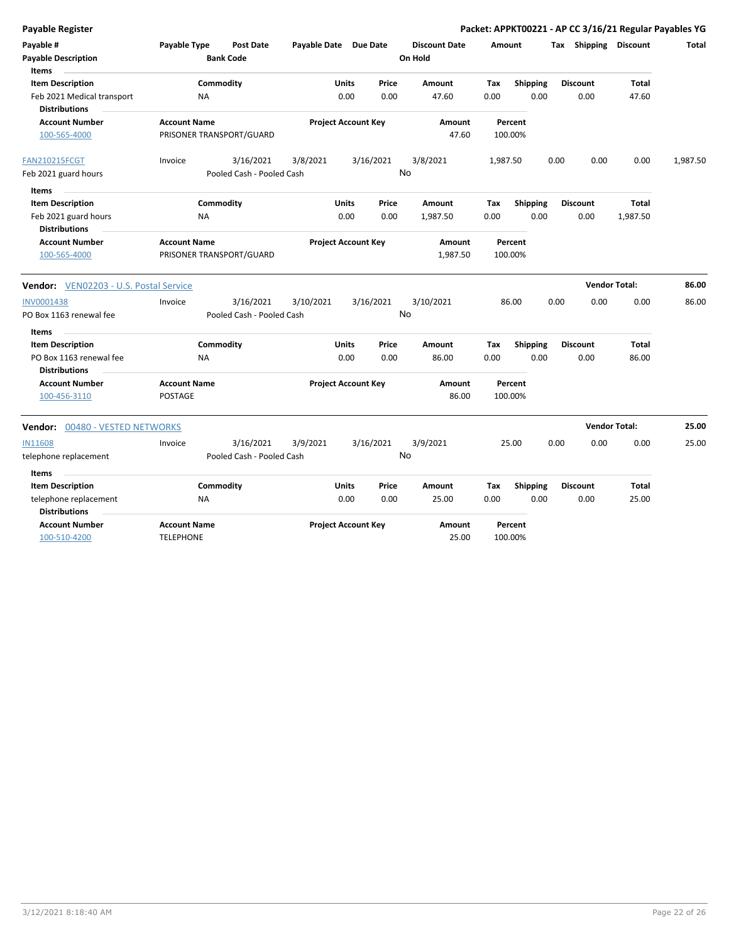| <b>Payable Register</b>                                                                       |                                                 |                                                     |                            |                 |                                 |                    |                         |      |                         | Packet: APPKT00221 - AP CC 3/16/21 Regular Payables YG |          |
|-----------------------------------------------------------------------------------------------|-------------------------------------------------|-----------------------------------------------------|----------------------------|-----------------|---------------------------------|--------------------|-------------------------|------|-------------------------|--------------------------------------------------------|----------|
| Payable #<br><b>Payable Description</b>                                                       | Payable Type<br><b>Bank Code</b>                | <b>Post Date</b>                                    | Payable Date Due Date      |                 | <b>Discount Date</b><br>On Hold | Amount             |                         |      |                         | Tax Shipping Discount                                  | Total    |
| <b>Items</b><br><b>Item Description</b><br>Feb 2021 Medical transport<br><b>Distributions</b> | Commodity<br>NA                                 |                                                     | <b>Units</b><br>0.00       | Price<br>0.00   | Amount<br>47.60                 | Tax<br>0.00        | Shipping<br>0.00        |      | <b>Discount</b><br>0.00 | <b>Total</b><br>47.60                                  |          |
| <b>Account Number</b><br>100-565-4000                                                         | <b>Account Name</b><br>PRISONER TRANSPORT/GUARD |                                                     | <b>Project Account Key</b> |                 | <b>Amount</b><br>47.60          | Percent<br>100.00% |                         |      |                         |                                                        |          |
| <b>FAN210215FCGT</b><br>Feb 2021 guard hours                                                  | Invoice                                         | 3/16/2021<br>3/8/2021<br>Pooled Cash - Pooled Cash  |                            | 3/16/2021<br>No | 3/8/2021                        | 1,987.50           |                         | 0.00 | 0.00                    | 0.00                                                   | 1,987.50 |
| Items<br><b>Item Description</b><br>Feb 2021 guard hours<br><b>Distributions</b>              | Commodity<br>ΝA                                 |                                                     | Units<br>0.00              | Price<br>0.00   | Amount<br>1,987.50              | Tax<br>0.00        | <b>Shipping</b><br>0.00 |      | <b>Discount</b><br>0.00 | Total<br>1,987.50                                      |          |
| <b>Account Number</b><br>100-565-4000                                                         | <b>Account Name</b><br>PRISONER TRANSPORT/GUARD |                                                     | <b>Project Account Key</b> |                 | Amount<br>1,987.50              | Percent<br>100.00% |                         |      |                         |                                                        |          |
| Vendor: VEN02203 - U.S. Postal Service                                                        |                                                 |                                                     |                            |                 |                                 |                    |                         |      | <b>Vendor Total:</b>    |                                                        | 86.00    |
| <b>INV0001438</b><br>PO Box 1163 renewal fee                                                  | Invoice                                         | 3/16/2021<br>3/10/2021<br>Pooled Cash - Pooled Cash |                            | 3/16/2021<br>No | 3/10/2021                       | 86.00              |                         | 0.00 | 0.00                    | 0.00                                                   | 86.00    |
| Items<br><b>Item Description</b><br>PO Box 1163 renewal fee                                   | Commodity<br><b>NA</b>                          |                                                     | <b>Units</b><br>0.00       | Price<br>0.00   | Amount<br>86.00                 | Tax<br>0.00        | <b>Shipping</b><br>0.00 |      | <b>Discount</b><br>0.00 | <b>Total</b><br>86.00                                  |          |
| <b>Distributions</b><br><b>Account Number</b><br>100-456-3110                                 | <b>Account Name</b><br><b>POSTAGE</b>           |                                                     | <b>Project Account Key</b> |                 | Amount<br>86.00                 | Percent<br>100.00% |                         |      |                         |                                                        |          |
| <b>Vendor: 00480 - VESTED NETWORKS</b>                                                        |                                                 |                                                     |                            |                 |                                 |                    |                         |      | <b>Vendor Total:</b>    |                                                        | 25.00    |
| <b>IN11608</b><br>telephone replacement                                                       | Invoice                                         | 3/16/2021<br>3/9/2021<br>Pooled Cash - Pooled Cash  |                            | 3/16/2021<br>No | 3/9/2021                        | 25.00              |                         | 0.00 | 0.00                    | 0.00                                                   | 25.00    |
| Items<br><b>Item Description</b><br>telephone replacement                                     | Commodity<br>NA                                 |                                                     | Units<br>0.00              | Price<br>0.00   | Amount<br>25.00                 | Tax<br>0.00        | <b>Shipping</b><br>0.00 |      | <b>Discount</b><br>0.00 | Total<br>25.00                                         |          |
| <b>Distributions</b><br><b>Account Number</b><br>100-510-4200                                 | <b>Account Name</b><br><b>TELEPHONE</b>         |                                                     | <b>Project Account Key</b> |                 | Amount<br>25.00                 | Percent<br>100.00% |                         |      |                         |                                                        |          |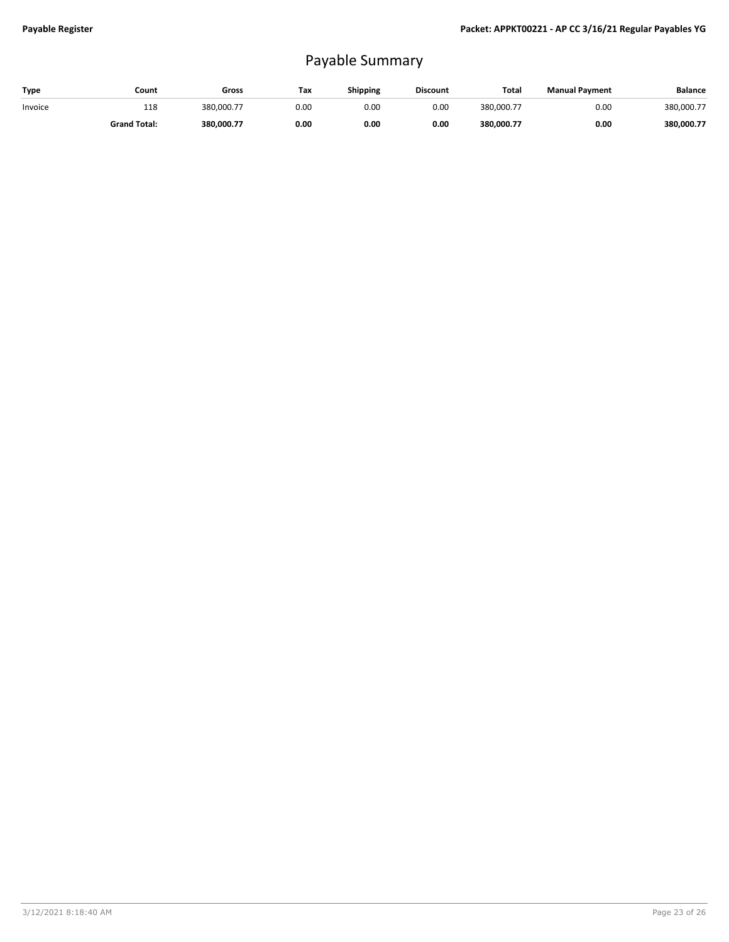## Payable Summary

| Type    | Count               | Gross      | Тах  | <b>Shipping</b> | <b>Discount</b> | Total      | <b>Manual Payment</b> | <b>Balance</b> |
|---------|---------------------|------------|------|-----------------|-----------------|------------|-----------------------|----------------|
| Invoice | 118                 | 380.000.77 | 0.OC | 0.00            | 0.00            | 380.000.77 | 0.00                  | 380,000.77     |
|         | <b>Grand Total:</b> | 380.000.77 | 0.00 | 0.00            | 0.00            | 380.000.77 | 0.00                  | 380,000.77     |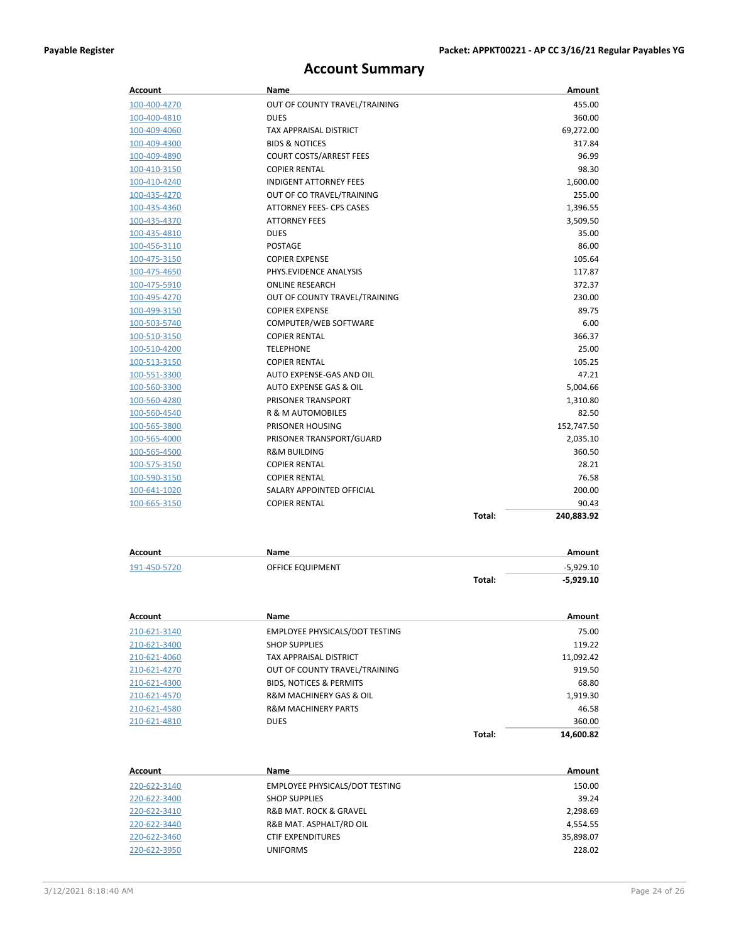### **Account Summary**

| Account      | <b>Name</b>                    |        | Amount     |
|--------------|--------------------------------|--------|------------|
| 100-400-4270 | OUT OF COUNTY TRAVEL/TRAINING  |        | 455.00     |
| 100-400-4810 | <b>DUES</b>                    |        | 360.00     |
| 100-409-4060 | <b>TAX APPRAISAL DISTRICT</b>  |        | 69,272.00  |
| 100-409-4300 | <b>BIDS &amp; NOTICES</b>      |        | 317.84     |
| 100-409-4890 | <b>COURT COSTS/ARREST FEES</b> |        | 96.99      |
| 100-410-3150 | <b>COPIER RENTAL</b>           |        | 98.30      |
| 100-410-4240 | <b>INDIGENT ATTORNEY FEES</b>  |        | 1,600.00   |
| 100-435-4270 | OUT OF CO TRAVEL/TRAINING      |        | 255.00     |
| 100-435-4360 | ATTORNEY FEES- CPS CASES       |        | 1,396.55   |
| 100-435-4370 | <b>ATTORNEY FEES</b>           |        | 3,509.50   |
| 100-435-4810 | <b>DUES</b>                    |        | 35.00      |
| 100-456-3110 | <b>POSTAGE</b>                 |        | 86.00      |
| 100-475-3150 | <b>COPIER EXPENSE</b>          |        | 105.64     |
| 100-475-4650 | PHYS.EVIDENCE ANALYSIS         |        | 117.87     |
| 100-475-5910 | <b>ONLINE RESEARCH</b>         |        | 372.37     |
| 100-495-4270 | OUT OF COUNTY TRAVEL/TRAINING  |        | 230.00     |
| 100-499-3150 | <b>COPIER EXPENSE</b>          |        | 89.75      |
| 100-503-5740 | COMPUTER/WEB SOFTWARE          |        | 6.00       |
| 100-510-3150 | <b>COPIER RENTAL</b>           |        | 366.37     |
| 100-510-4200 | <b>TELEPHONE</b>               |        | 25.00      |
| 100-513-3150 | <b>COPIER RENTAL</b>           |        | 105.25     |
| 100-551-3300 | AUTO EXPENSE-GAS AND OIL       |        | 47.21      |
| 100-560-3300 | AUTO EXPENSE GAS & OIL         |        | 5,004.66   |
| 100-560-4280 | PRISONER TRANSPORT             |        | 1,310.80   |
| 100-560-4540 | <b>R &amp; M AUTOMOBILES</b>   |        | 82.50      |
| 100-565-3800 | PRISONER HOUSING               |        | 152,747.50 |
| 100-565-4000 | PRISONER TRANSPORT/GUARD       |        | 2,035.10   |
| 100-565-4500 | <b>R&amp;M BUILDING</b>        |        | 360.50     |
| 100-575-3150 | <b>COPIER RENTAL</b>           |        | 28.21      |
| 100-590-3150 | <b>COPIER RENTAL</b>           |        | 76.58      |
| 100-641-1020 | SALARY APPOINTED OFFICIAL      |        | 200.00     |
| 100-665-3150 | <b>COPIER RENTAL</b>           |        | 90.43      |
|              |                                | Total: | 240,883.92 |

| Account      | Name             |        | Amount      |
|--------------|------------------|--------|-------------|
| 191-450-5720 | OFFICE EQUIPMENT |        | $-5.929.10$ |
|              |                  | Total: | $-5,929.10$ |

| Account      | Name                                   |        | Amount    |
|--------------|----------------------------------------|--------|-----------|
| 210-621-3140 | EMPLOYEE PHYSICALS/DOT TESTING         |        | 75.00     |
| 210-621-3400 | <b>SHOP SUPPLIES</b>                   |        | 119.22    |
| 210-621-4060 | <b>TAX APPRAISAL DISTRICT</b>          |        | 11,092.42 |
| 210-621-4270 | OUT OF COUNTY TRAVEL/TRAINING          |        | 919.50    |
| 210-621-4300 | <b>BIDS, NOTICES &amp; PERMITS</b>     |        | 68.80     |
| 210-621-4570 | <b>R&amp;M MACHINERY GAS &amp; OIL</b> |        | 1,919.30  |
| 210-621-4580 | <b>R&amp;M MACHINERY PARTS</b>         |        | 46.58     |
| 210-621-4810 | <b>DUES</b>                            |        | 360.00    |
|              |                                        | Total: | 14.600.82 |

| Account      | Name                                  | Amount    |
|--------------|---------------------------------------|-----------|
| 220-622-3140 | EMPLOYEE PHYSICALS/DOT TESTING        | 150.00    |
| 220-622-3400 | <b>SHOP SUPPLIES</b>                  | 39.24     |
| 220-622-3410 | <b>R&amp;B MAT. ROCK &amp; GRAVEL</b> | 2,298.69  |
| 220-622-3440 | R&B MAT. ASPHALT/RD OIL               | 4.554.55  |
| 220-622-3460 | <b>CTIF EXPENDITURES</b>              | 35.898.07 |
| 220-622-3950 | <b>UNIFORMS</b>                       | 228.02    |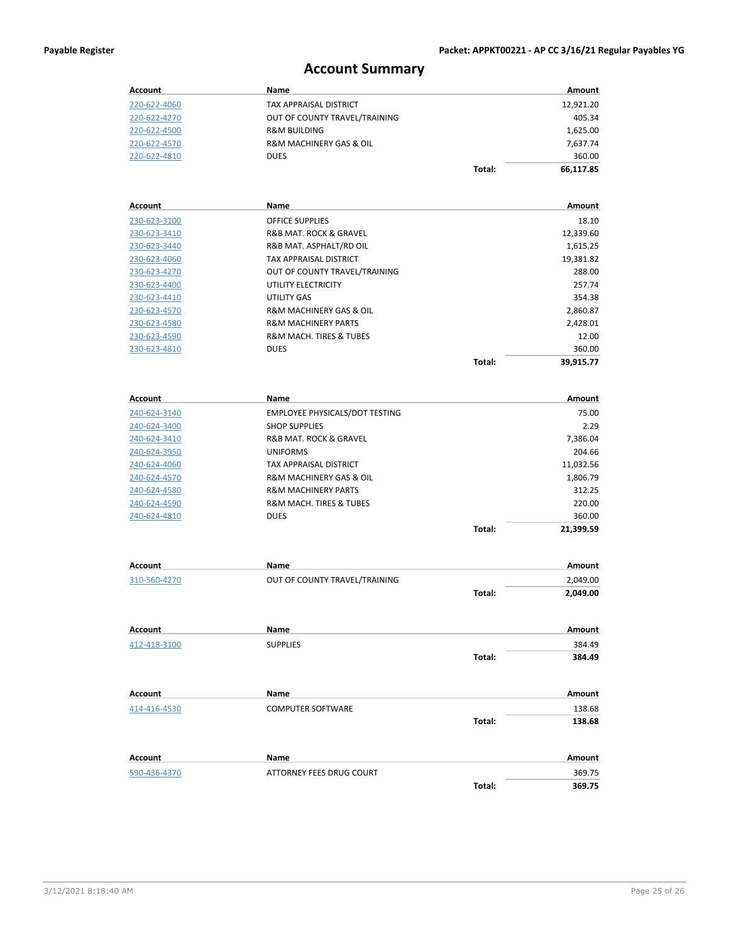### **Account Summary**

| Account             | Name                                  |        | Amount        |
|---------------------|---------------------------------------|--------|---------------|
| 220-622-4060        | TAX APPRAISAL DISTRICT                |        | 12,921.20     |
| 220-622-4270        | OUT OF COUNTY TRAVEL/TRAINING         |        | 405.34        |
| 220-622-4500        | <b>R&amp;M BUILDING</b>               |        | 1,625.00      |
| 220-622-4570        | R&M MACHINERY GAS & OIL               |        | 7,637.74      |
| 220-622-4810        | <b>DUES</b>                           |        | 360.00        |
|                     |                                       | Total: | 66,117.85     |
|                     |                                       |        |               |
| <b>Account</b>      | Name                                  |        | <b>Amount</b> |
| 230-623-3100        | <b>OFFICE SUPPLIES</b>                |        | 18.10         |
| 230-623-3410        | R&B MAT. ROCK & GRAVEL                |        | 12,339.60     |
| 230-623-3440        | R&B MAT. ASPHALT/RD OIL               |        | 1,615.25      |
| 230-623-4060        | TAX APPRAISAL DISTRICT                |        | 19,381.82     |
| 230-623-4270        | OUT OF COUNTY TRAVEL/TRAINING         |        | 288.00        |
| 230-623-4400        | UTILITY ELECTRICITY                   |        | 257.74        |
| 230-623-4410        | UTILITY GAS                           |        | 354.38        |
| 230-623-4570        | R&M MACHINERY GAS & OIL               |        | 2,860.87      |
| 230-623-4580        | <b>R&amp;M MACHINERY PARTS</b>        |        | 2,428.01      |
| 230-623-4590        | R&M MACH. TIRES & TUBES               |        | 12.00         |
| 230-623-4810        | <b>DUES</b>                           |        | 360.00        |
|                     |                                       | Total: | 39,915.77     |
|                     |                                       |        |               |
| <b>Account</b>      | Name                                  |        | Amount        |
| 240-624-3140        | <b>EMPLOYEE PHYSICALS/DOT TESTING</b> |        | 75.00         |
| 240-624-3400        | <b>SHOP SUPPLIES</b>                  |        | 2.29          |
| 240-624-3410        | R&B MAT. ROCK & GRAVEL                |        | 7,386.04      |
| 240-624-3950        | <b>UNIFORMS</b>                       |        | 204.66        |
| 240-624-4060        | TAX APPRAISAL DISTRICT                |        | 11,032.56     |
| 240-624-4570        | R&M MACHINERY GAS & OIL               |        | 1,806.79      |
| <u>240-624-4580</u> | <b>R&amp;M MACHINERY PARTS</b>        |        | 312.25        |
| 240-624-4590        | R&M MACH. TIRES & TUBES               |        | 220.00        |
| 240-624-4810        | <b>DUES</b>                           |        | 360.00        |
|                     |                                       | Total: | 21,399.59     |
|                     |                                       |        |               |
| <b>Account</b>      | Name                                  |        | Amount        |
| 310-560-4270        | OUT OF COUNTY TRAVEL/TRAINING         |        | 2,049.00      |
|                     |                                       | Total: | 2,049.00      |
|                     |                                       |        |               |
| Account             | Name                                  |        | Amount        |
| 412-418-3100        | <b>SUPPLIES</b>                       |        | 384.49        |
|                     |                                       | Total: | 384.49        |
|                     |                                       |        |               |
| <b>Account</b>      | Name                                  |        | Amount        |
| 414-416-4530        | <b>COMPUTER SOFTWARE</b>              |        | 138.68        |
|                     |                                       | Total: | 138.68        |
|                     |                                       |        |               |
| <b>Account</b>      | Name                                  |        | Amount        |
| 590-436-4370        | ATTORNEY FEES DRUG COURT              |        | 369.75        |
|                     |                                       | Total: | 369.75        |